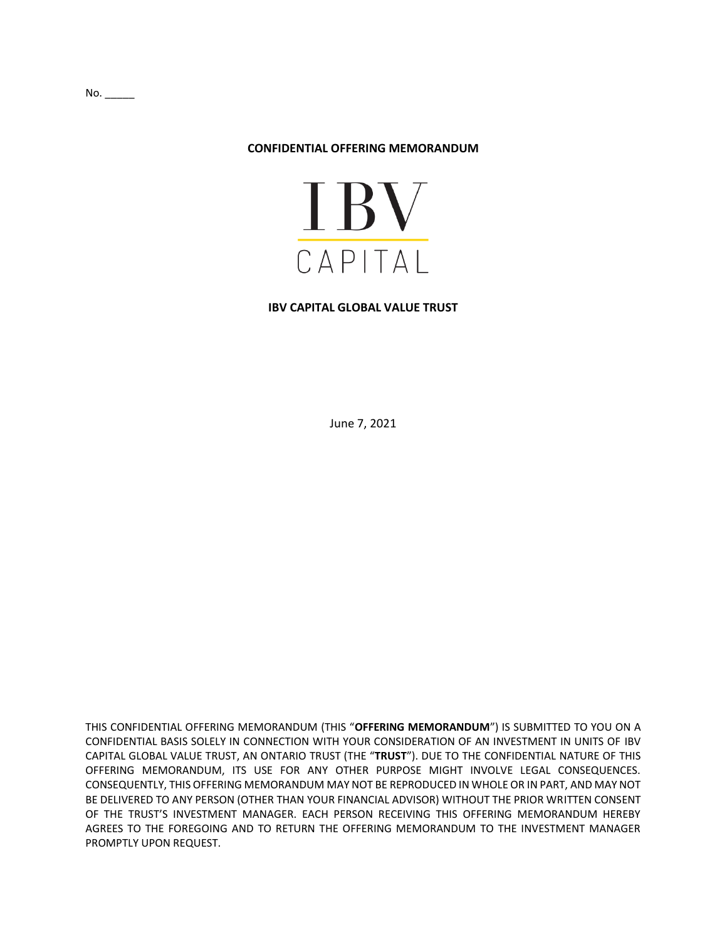#### **CONFIDENTIAL OFFERING MEMORANDUM**



#### **IBV CAPITAL GLOBAL VALUE TRUST**

June 7, 2021

THIS CONFIDENTIAL OFFERING MEMORANDUM (THIS "**OFFERING MEMORANDUM**") IS SUBMITTED TO YOU ON A CONFIDENTIAL BASIS SOLELY IN CONNECTION WITH YOUR CONSIDERATION OF AN INVESTMENT IN UNITS OF IBV CAPITAL GLOBAL VALUE TRUST, AN ONTARIO TRUST (THE "**TRUST**"). DUE TO THE CONFIDENTIAL NATURE OF THIS OFFERING MEMORANDUM, ITS USE FOR ANY OTHER PURPOSE MIGHT INVOLVE LEGAL CONSEQUENCES. CONSEQUENTLY, THIS OFFERING MEMORANDUM MAY NOT BE REPRODUCED IN WHOLE OR IN PART, AND MAY NOT BE DELIVERED TO ANY PERSON (OTHER THAN YOUR FINANCIAL ADVISOR) WITHOUT THE PRIOR WRITTEN CONSENT OF THE TRUST'S INVESTMENT MANAGER. EACH PERSON RECEIVING THIS OFFERING MEMORANDUM HEREBY AGREES TO THE FOREGOING AND TO RETURN THE OFFERING MEMORANDUM TO THE INVESTMENT MANAGER PROMPTLY UPON REQUEST.

 $No.$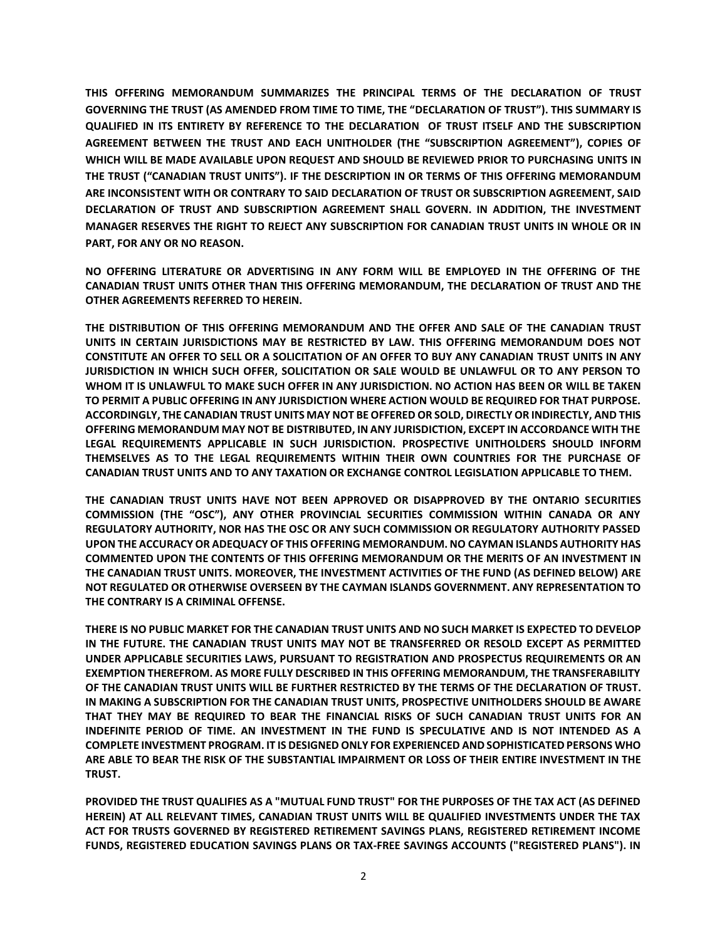**THIS OFFERING MEMORANDUM SUMMARIZES THE PRINCIPAL TERMS OF THE DECLARATION OF TRUST GOVERNING THE TRUST (AS AMENDED FROM TIME TO TIME, THE "DECLARATION OF TRUST"). THIS SUMMARY IS QUALIFIED IN ITS ENTIRETY BY REFERENCE TO THE DECLARATION OF TRUST ITSELF AND THE SUBSCRIPTION AGREEMENT BETWEEN THE TRUST AND EACH UNITHOLDER (THE "SUBSCRIPTION AGREEMENT"), COPIES OF WHICH WILL BE MADE AVAILABLE UPON REQUEST AND SHOULD BE REVIEWED PRIOR TO PURCHASING UNITS IN THE TRUST ("CANADIAN TRUST UNITS"). IF THE DESCRIPTION IN OR TERMS OF THIS OFFERING MEMORANDUM ARE INCONSISTENT WITH OR CONTRARY TO SAID DECLARATION OF TRUST OR SUBSCRIPTION AGREEMENT, SAID DECLARATION OF TRUST AND SUBSCRIPTION AGREEMENT SHALL GOVERN. IN ADDITION, THE INVESTMENT MANAGER RESERVES THE RIGHT TO REJECT ANY SUBSCRIPTION FOR CANADIAN TRUST UNITS IN WHOLE OR IN PART, FOR ANY OR NO REASON.**

**NO OFFERING LITERATURE OR ADVERTISING IN ANY FORM WILL BE EMPLOYED IN THE OFFERING OF THE CANADIAN TRUST UNITS OTHER THAN THIS OFFERING MEMORANDUM, THE DECLARATION OF TRUST AND THE OTHER AGREEMENTS REFERRED TO HEREIN.**

**THE DISTRIBUTION OF THIS OFFERING MEMORANDUM AND THE OFFER AND SALE OF THE CANADIAN TRUST UNITS IN CERTAIN JURISDICTIONS MAY BE RESTRICTED BY LAW. THIS OFFERING MEMORANDUM DOES NOT CONSTITUTE AN OFFER TO SELL OR A SOLICITATION OF AN OFFER TO BUY ANY CANADIAN TRUST UNITS IN ANY JURISDICTION IN WHICH SUCH OFFER, SOLICITATION OR SALE WOULD BE UNLAWFUL OR TO ANY PERSON TO WHOM IT IS UNLAWFUL TO MAKE SUCH OFFER IN ANY JURISDICTION. NO ACTION HAS BEEN OR WILL BE TAKEN TO PERMIT A PUBLIC OFFERING IN ANY JURISDICTION WHERE ACTION WOULD BE REQUIRED FOR THAT PURPOSE. ACCORDINGLY, THE CANADIAN TRUST UNITS MAY NOT BE OFFERED OR SOLD, DIRECTLY OR INDIRECTLY, AND THIS OFFERING MEMORANDUM MAY NOT BE DISTRIBUTED, IN ANY JURISDICTION, EXCEPT IN ACCORDANCE WITH THE LEGAL REQUIREMENTS APPLICABLE IN SUCH JURISDICTION. PROSPECTIVE UNITHOLDERS SHOULD INFORM THEMSELVES AS TO THE LEGAL REQUIREMENTS WITHIN THEIR OWN COUNTRIES FOR THE PURCHASE OF CANADIAN TRUST UNITS AND TO ANY TAXATION OR EXCHANGE CONTROL LEGISLATION APPLICABLE TO THEM.**

**THE CANADIAN TRUST UNITS HAVE NOT BEEN APPROVED OR DISAPPROVED BY THE ONTARIO SECURITIES COMMISSION (THE "OSC"), ANY OTHER PROVINCIAL SECURITIES COMMISSION WITHIN CANADA OR ANY REGULATORY AUTHORITY, NOR HAS THE OSC OR ANY SUCH COMMISSION OR REGULATORY AUTHORITY PASSED UPON THE ACCURACY OR ADEQUACY OF THIS OFFERING MEMORANDUM. NO CAYMAN ISLANDS AUTHORITY HAS COMMENTED UPON THE CONTENTS OF THIS OFFERING MEMORANDUM OR THE MERITS OF AN INVESTMENT IN THE CANADIAN TRUST UNITS. MOREOVER, THE INVESTMENT ACTIVITIES OF THE FUND (AS DEFINED BELOW) ARE NOT REGULATED OR OTHERWISE OVERSEEN BY THE CAYMAN ISLANDS GOVERNMENT. ANY REPRESENTATION TO THE CONTRARY IS A CRIMINAL OFFENSE.** 

**THERE IS NO PUBLIC MARKET FOR THE CANADIAN TRUST UNITS AND NO SUCH MARKET IS EXPECTED TO DEVELOP IN THE FUTURE. THE CANADIAN TRUST UNITS MAY NOT BE TRANSFERRED OR RESOLD EXCEPT AS PERMITTED UNDER APPLICABLE SECURITIES LAWS, PURSUANT TO REGISTRATION AND PROSPECTUS REQUIREMENTS OR AN EXEMPTION THEREFROM. AS MORE FULLY DESCRIBED IN THIS OFFERING MEMORANDUM, THE TRANSFERABILITY OF THE CANADIAN TRUST UNITS WILL BE FURTHER RESTRICTED BY THE TERMS OF THE DECLARATION OF TRUST. IN MAKING A SUBSCRIPTION FOR THE CANADIAN TRUST UNITS, PROSPECTIVE UNITHOLDERS SHOULD BE AWARE THAT THEY MAY BE REQUIRED TO BEAR THE FINANCIAL RISKS OF SUCH CANADIAN TRUST UNITS FOR AN INDEFINITE PERIOD OF TIME. AN INVESTMENT IN THE FUND IS SPECULATIVE AND IS NOT INTENDED AS A COMPLETE INVESTMENT PROGRAM. IT IS DESIGNED ONLY FOR EXPERIENCED AND SOPHISTICATED PERSONS WHO ARE ABLE TO BEAR THE RISK OF THE SUBSTANTIAL IMPAIRMENT OR LOSS OF THEIR ENTIRE INVESTMENT IN THE TRUST.**

**PROVIDED THE TRUST QUALIFIES AS A "MUTUAL FUND TRUST" FOR THE PURPOSES OF THE TAX ACT (AS DEFINED HEREIN) AT ALL RELEVANT TIMES, CANADIAN TRUST UNITS WILL BE QUALIFIED INVESTMENTS UNDER THE TAX ACT FOR TRUSTS GOVERNED BY REGISTERED RETIREMENT SAVINGS PLANS, REGISTERED RETIREMENT INCOME FUNDS, REGISTERED EDUCATION SAVINGS PLANS OR TAX-FREE SAVINGS ACCOUNTS ("REGISTERED PLANS"). IN**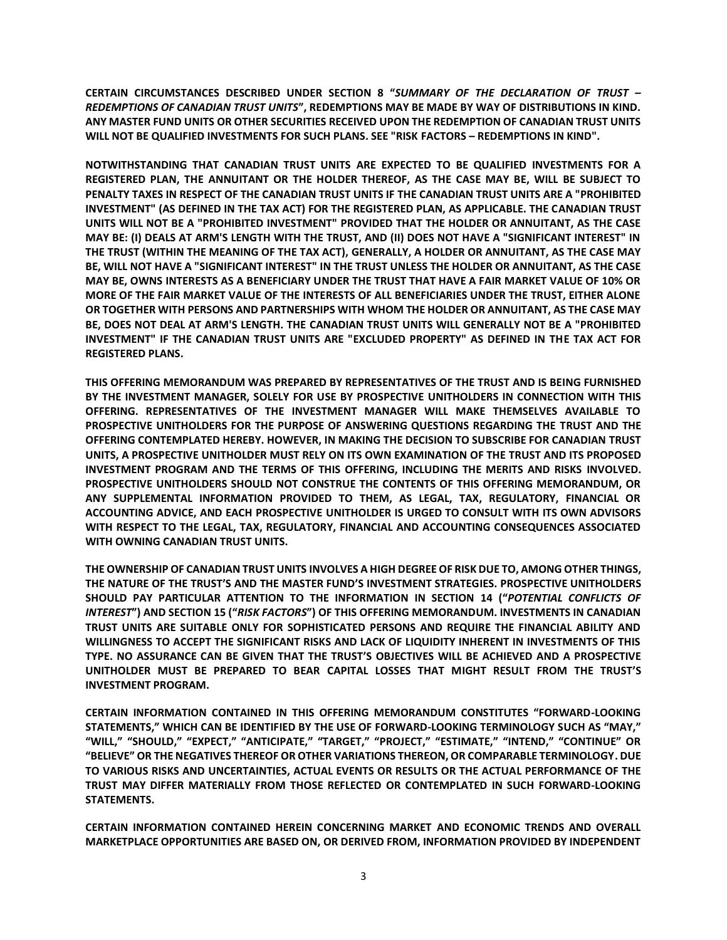**CERTAIN CIRCUMSTANCES DESCRIBED UNDER SECTION 8 "***SUMMARY OF THE DECLARATION OF TRUST – REDEMPTIONS OF CANADIAN TRUST UNITS***", REDEMPTIONS MAY BE MADE BY WAY OF DISTRIBUTIONS IN KIND. ANY MASTER FUND UNITS OR OTHER SECURITIES RECEIVED UPON THE REDEMPTION OF CANADIAN TRUST UNITS WILL NOT BE QUALIFIED INVESTMENTS FOR SUCH PLANS. SEE "RISK FACTORS – REDEMPTIONS IN KIND".** 

**NOTWITHSTANDING THAT CANADIAN TRUST UNITS ARE EXPECTED TO BE QUALIFIED INVESTMENTS FOR A REGISTERED PLAN, THE ANNUITANT OR THE HOLDER THEREOF, AS THE CASE MAY BE, WILL BE SUBJECT TO PENALTY TAXES IN RESPECT OF THE CANADIAN TRUST UNITS IF THE CANADIAN TRUST UNITS ARE A "PROHIBITED INVESTMENT" (AS DEFINED IN THE TAX ACT) FOR THE REGISTERED PLAN, AS APPLICABLE. THE CANADIAN TRUST UNITS WILL NOT BE A "PROHIBITED INVESTMENT" PROVIDED THAT THE HOLDER OR ANNUITANT, AS THE CASE MAY BE: (I) DEALS AT ARM'S LENGTH WITH THE TRUST, AND (II) DOES NOT HAVE A "SIGNIFICANT INTEREST" IN THE TRUST (WITHIN THE MEANING OF THE TAX ACT), GENERALLY, A HOLDER OR ANNUITANT, AS THE CASE MAY BE, WILL NOT HAVE A "SIGNIFICANT INTEREST" IN THE TRUST UNLESS THE HOLDER OR ANNUITANT, AS THE CASE MAY BE, OWNS INTERESTS AS A BENEFICIARY UNDER THE TRUST THAT HAVE A FAIR MARKET VALUE OF 10% OR MORE OF THE FAIR MARKET VALUE OF THE INTERESTS OF ALL BENEFICIARIES UNDER THE TRUST, EITHER ALONE OR TOGETHER WITH PERSONS AND PARTNERSHIPS WITH WHOM THE HOLDER OR ANNUITANT, AS THE CASE MAY BE, DOES NOT DEAL AT ARM'S LENGTH. THE CANADIAN TRUST UNITS WILL GENERALLY NOT BE A "PROHIBITED INVESTMENT" IF THE CANADIAN TRUST UNITS ARE "EXCLUDED PROPERTY" AS DEFINED IN THE TAX ACT FOR REGISTERED PLANS.**

**THIS OFFERING MEMORANDUM WAS PREPARED BY REPRESENTATIVES OF THE TRUST AND IS BEING FURNISHED BY THE INVESTMENT MANAGER, SOLELY FOR USE BY PROSPECTIVE UNITHOLDERS IN CONNECTION WITH THIS OFFERING. REPRESENTATIVES OF THE INVESTMENT MANAGER WILL MAKE THEMSELVES AVAILABLE TO PROSPECTIVE UNITHOLDERS FOR THE PURPOSE OF ANSWERING QUESTIONS REGARDING THE TRUST AND THE OFFERING CONTEMPLATED HEREBY. HOWEVER, IN MAKING THE DECISION TO SUBSCRIBE FOR CANADIAN TRUST UNITS, A PROSPECTIVE UNITHOLDER MUST RELY ON ITS OWN EXAMINATION OF THE TRUST AND ITS PROPOSED INVESTMENT PROGRAM AND THE TERMS OF THIS OFFERING, INCLUDING THE MERITS AND RISKS INVOLVED. PROSPECTIVE UNITHOLDERS SHOULD NOT CONSTRUE THE CONTENTS OF THIS OFFERING MEMORANDUM, OR ANY SUPPLEMENTAL INFORMATION PROVIDED TO THEM, AS LEGAL, TAX, REGULATORY, FINANCIAL OR ACCOUNTING ADVICE, AND EACH PROSPECTIVE UNITHOLDER IS URGED TO CONSULT WITH ITS OWN ADVISORS WITH RESPECT TO THE LEGAL, TAX, REGULATORY, FINANCIAL AND ACCOUNTING CONSEQUENCES ASSOCIATED WITH OWNING CANADIAN TRUST UNITS.** 

**THE OWNERSHIP OF CANADIAN TRUST UNITS INVOLVES A HIGH DEGREE OF RISK DUE TO, AMONG OTHER THINGS, THE NATURE OF THE TRUST'S AND THE MASTER FUND'S INVESTMENT STRATEGIES. PROSPECTIVE UNITHOLDERS SHOULD PAY PARTICULAR ATTENTION TO THE INFORMATION IN SECTION [14](#page-40-0) ("***POTENTIAL CONFLICTS OF INTEREST***") AND SECTION [15](#page-41-0) ("***RISK FACTORS***") OF THIS OFFERING MEMORANDUM. INVESTMENTS IN CANADIAN TRUST UNITS ARE SUITABLE ONLY FOR SOPHISTICATED PERSONS AND REQUIRE THE FINANCIAL ABILITY AND WILLINGNESS TO ACCEPT THE SIGNIFICANT RISKS AND LACK OF LIQUIDITY INHERENT IN INVESTMENTS OF THIS TYPE. NO ASSURANCE CAN BE GIVEN THAT THE TRUST'S OBJECTIVES WILL BE ACHIEVED AND A PROSPECTIVE UNITHOLDER MUST BE PREPARED TO BEAR CAPITAL LOSSES THAT MIGHT RESULT FROM THE TRUST'S INVESTMENT PROGRAM.** 

**CERTAIN INFORMATION CONTAINED IN THIS OFFERING MEMORANDUM CONSTITUTES "FORWARD-LOOKING STATEMENTS," WHICH CAN BE IDENTIFIED BY THE USE OF FORWARD-LOOKING TERMINOLOGY SUCH AS "MAY," "WILL," "SHOULD," "EXPECT," "ANTICIPATE," "TARGET," "PROJECT," "ESTIMATE," "INTEND," "CONTINUE" OR "BELIEVE" OR THE NEGATIVES THEREOF OR OTHER VARIATIONS THEREON, OR COMPARABLE TERMINOLOGY. DUE TO VARIOUS RISKS AND UNCERTAINTIES, ACTUAL EVENTS OR RESULTS OR THE ACTUAL PERFORMANCE OF THE TRUST MAY DIFFER MATERIALLY FROM THOSE REFLECTED OR CONTEMPLATED IN SUCH FORWARD-LOOKING STATEMENTS.**

**CERTAIN INFORMATION CONTAINED HEREIN CONCERNING MARKET AND ECONOMIC TRENDS AND OVERALL MARKETPLACE OPPORTUNITIES ARE BASED ON, OR DERIVED FROM, INFORMATION PROVIDED BY INDEPENDENT**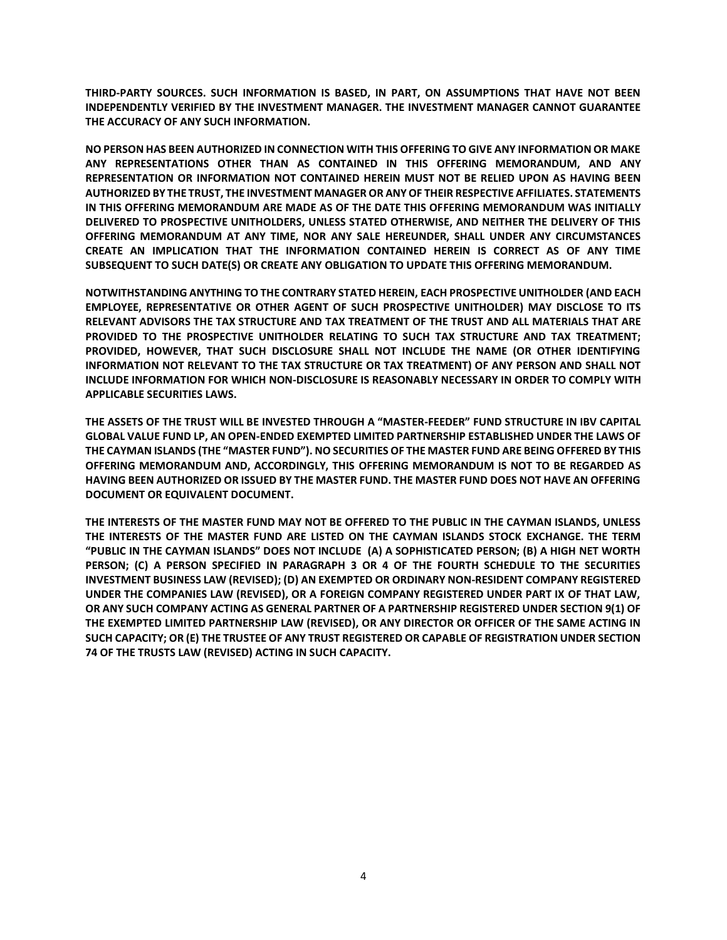**THIRD-PARTY SOURCES. SUCH INFORMATION IS BASED, IN PART, ON ASSUMPTIONS THAT HAVE NOT BEEN INDEPENDENTLY VERIFIED BY THE INVESTMENT MANAGER. THE INVESTMENT MANAGER CANNOT GUARANTEE THE ACCURACY OF ANY SUCH INFORMATION.** 

**NO PERSON HAS BEEN AUTHORIZED IN CONNECTION WITH THIS OFFERING TO GIVE ANY INFORMATION OR MAKE ANY REPRESENTATIONS OTHER THAN AS CONTAINED IN THIS OFFERING MEMORANDUM, AND ANY REPRESENTATION OR INFORMATION NOT CONTAINED HEREIN MUST NOT BE RELIED UPON AS HAVING BEEN AUTHORIZED BY THE TRUST, THE INVESTMENT MANAGER OR ANY OF THEIR RESPECTIVE AFFILIATES. STATEMENTS IN THIS OFFERING MEMORANDUM ARE MADE AS OF THE DATE THIS OFFERING MEMORANDUM WAS INITIALLY DELIVERED TO PROSPECTIVE UNITHOLDERS, UNLESS STATED OTHERWISE, AND NEITHER THE DELIVERY OF THIS OFFERING MEMORANDUM AT ANY TIME, NOR ANY SALE HEREUNDER, SHALL UNDER ANY CIRCUMSTANCES CREATE AN IMPLICATION THAT THE INFORMATION CONTAINED HEREIN IS CORRECT AS OF ANY TIME SUBSEQUENT TO SUCH DATE(S) OR CREATE ANY OBLIGATION TO UPDATE THIS OFFERING MEMORANDUM.** 

**NOTWITHSTANDING ANYTHING TO THE CONTRARY STATED HEREIN, EACH PROSPECTIVE UNITHOLDER (AND EACH EMPLOYEE, REPRESENTATIVE OR OTHER AGENT OF SUCH PROSPECTIVE UNITHOLDER) MAY DISCLOSE TO ITS RELEVANT ADVISORS THE TAX STRUCTURE AND TAX TREATMENT OF THE TRUST AND ALL MATERIALS THAT ARE PROVIDED TO THE PROSPECTIVE UNITHOLDER RELATING TO SUCH TAX STRUCTURE AND TAX TREATMENT; PROVIDED, HOWEVER, THAT SUCH DISCLOSURE SHALL NOT INCLUDE THE NAME (OR OTHER IDENTIFYING INFORMATION NOT RELEVANT TO THE TAX STRUCTURE OR TAX TREATMENT) OF ANY PERSON AND SHALL NOT INCLUDE INFORMATION FOR WHICH NON-DISCLOSURE IS REASONABLY NECESSARY IN ORDER TO COMPLY WITH APPLICABLE SECURITIES LAWS.**

**THE ASSETS OF THE TRUST WILL BE INVESTED THROUGH A "MASTER-FEEDER" FUND STRUCTURE IN IBV CAPITAL GLOBAL VALUE FUND LP, AN OPEN-ENDED EXEMPTED LIMITED PARTNERSHIP ESTABLISHED UNDER THE LAWS OF THE CAYMAN ISLANDS (THE "MASTER FUND"). NO SECURITIES OF THE MASTER FUND ARE BEING OFFERED BY THIS OFFERING MEMORANDUM AND, ACCORDINGLY, THIS OFFERING MEMORANDUM IS NOT TO BE REGARDED AS HAVING BEEN AUTHORIZED OR ISSUED BY THE MASTER FUND. THE MASTER FUND DOES NOT HAVE AN OFFERING DOCUMENT OR EQUIVALENT DOCUMENT.**

**THE INTERESTS OF THE MASTER FUND MAY NOT BE OFFERED TO THE PUBLIC IN THE CAYMAN ISLANDS, UNLESS THE INTERESTS OF THE MASTER FUND ARE LISTED ON THE CAYMAN ISLANDS STOCK EXCHANGE. THE TERM "PUBLIC IN THE CAYMAN ISLANDS" DOES NOT INCLUDE (A) A SOPHISTICATED PERSON; (B) A HIGH NET WORTH PERSON; (C) A PERSON SPECIFIED IN PARAGRAPH 3 OR 4 OF THE FOURTH SCHEDULE TO THE SECURITIES INVESTMENT BUSINESS LAW (REVISED); (D) AN EXEMPTED OR ORDINARY NON-RESIDENT COMPANY REGISTERED UNDER THE COMPANIES LAW (REVISED), OR A FOREIGN COMPANY REGISTERED UNDER PART IX OF THAT LAW, OR ANY SUCH COMPANY ACTING AS GENERAL PARTNER OF A PARTNERSHIP REGISTERED UNDER SECTION 9(1) OF THE EXEMPTED LIMITED PARTNERSHIP LAW (REVISED), OR ANY DIRECTOR OR OFFICER OF THE SAME ACTING IN SUCH CAPACITY; OR (E) THE TRUSTEE OF ANY TRUST REGISTERED OR CAPABLE OF REGISTRATION UNDER SECTION 74 OF THE TRUSTS LAW (REVISED) ACTING IN SUCH CAPACITY.**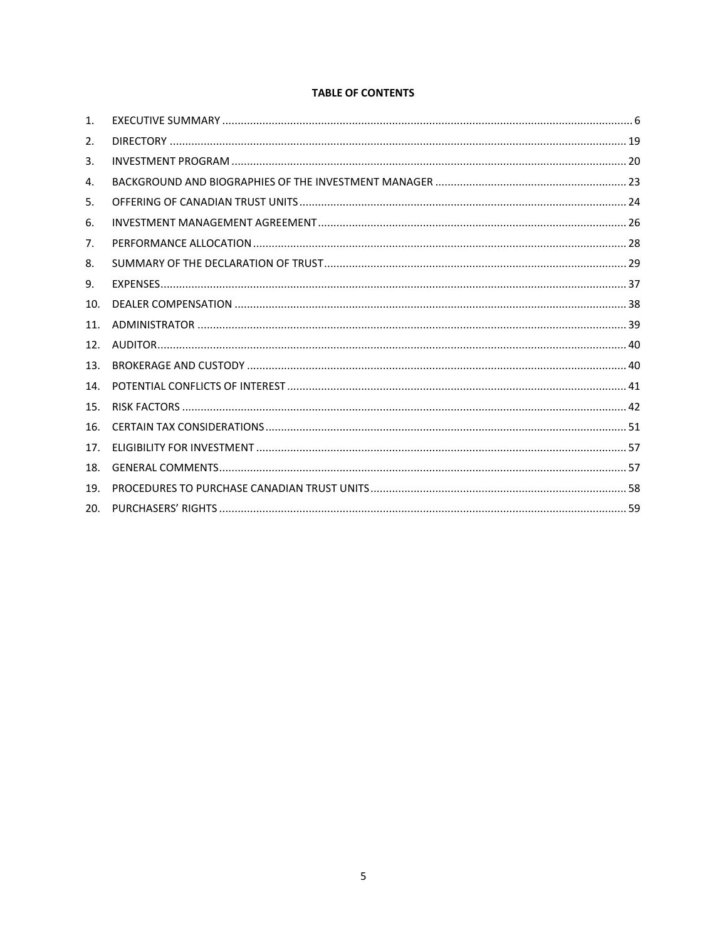# **TABLE OF CONTENTS**

| $\mathbf{1}$ .  |  |
|-----------------|--|
| 2.              |  |
| 3.              |  |
| 4.              |  |
| 5.              |  |
| 6.              |  |
| 7.              |  |
| 8.              |  |
| 9.              |  |
| 10.             |  |
| 11.             |  |
| 12 <sub>1</sub> |  |
| 13.             |  |
| 14.             |  |
| 15.             |  |
| 16.             |  |
| 17.             |  |
| 18.             |  |
| 19.             |  |
| 20.             |  |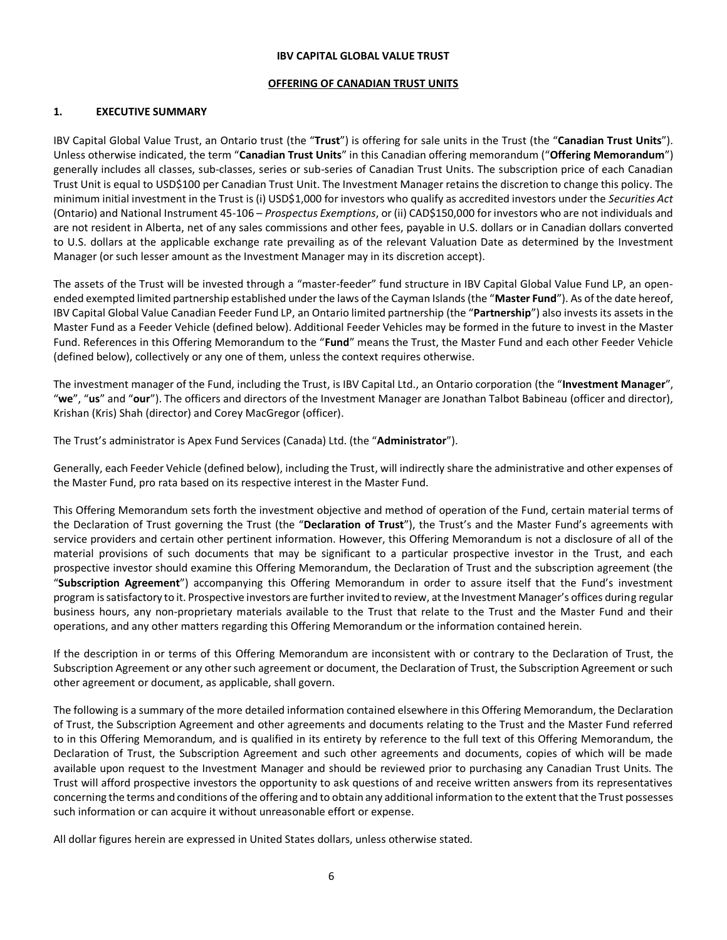#### **IBV CAPITAL GLOBAL VALUE TRUST**

#### **OFFERING OF CANADIAN TRUST UNITS**

## <span id="page-5-0"></span>**1. EXECUTIVE SUMMARY**

IBV Capital Global Value Trust, an Ontario trust (the "**Trust**") is offering for sale units in the Trust (the "**Canadian Trust Units**"). Unless otherwise indicated, the term "**Canadian Trust Units**" in this Canadian offering memorandum ("**Offering Memorandum**") generally includes all classes, sub-classes, series or sub-series of Canadian Trust Units. The subscription price of each Canadian Trust Unit is equal to USD\$100 per Canadian Trust Unit. The Investment Manager retains the discretion to change this policy. The minimum initial investment in the Trust is (i) USD\$1,000 for investors who qualify as accredited investors under the *Securities Act*  (Ontario) and National Instrument 45-106 – *Prospectus Exemptions*, or (ii) CAD\$150,000 for investors who are not individuals and are not resident in Alberta, net of any sales commissions and other fees, payable in U.S. dollars or in Canadian dollars converted to U.S. dollars at the applicable exchange rate prevailing as of the relevant Valuation Date as determined by the Investment Manager (or such lesser amount as the Investment Manager may in its discretion accept).

The assets of the Trust will be invested through a "master-feeder" fund structure in IBV Capital Global Value Fund LP, an openended exempted limited partnership established under the laws of the Cayman Islands (the "**Master Fund**"). As of the date hereof, IBV Capital Global Value Canadian Feeder Fund LP, an Ontario limited partnership (the "**Partnership**") also invests its assets in the Master Fund as a Feeder Vehicle (defined below). Additional Feeder Vehicles may be formed in the future to invest in the Master Fund. References in this Offering Memorandum to the "**Fund**" means the Trust, the Master Fund and each other Feeder Vehicle (defined below), collectively or any one of them, unless the context requires otherwise.

The investment manager of the Fund, including the Trust, is IBV Capital Ltd., an Ontario corporation (the "**Investment Manager**", "**we**", "**us**" and "**our**"). The officers and directors of the Investment Manager are Jonathan Talbot Babineau (officer and director), Krishan (Kris) Shah (director) and Corey MacGregor (officer).

The Trust's administrator is Apex Fund Services (Canada) Ltd. (the "**Administrator**").

Generally, each Feeder Vehicle (defined below), including the Trust, will indirectly share the administrative and other expenses of the Master Fund, pro rata based on its respective interest in the Master Fund.

This Offering Memorandum sets forth the investment objective and method of operation of the Fund, certain material terms of the Declaration of Trust governing the Trust (the "**Declaration of Trust**"), the Trust's and the Master Fund's agreements with service providers and certain other pertinent information. However, this Offering Memorandum is not a disclosure of all of the material provisions of such documents that may be significant to a particular prospective investor in the Trust, and each prospective investor should examine this Offering Memorandum, the Declaration of Trust and the subscription agreement (the "**Subscription Agreement**") accompanying this Offering Memorandum in order to assure itself that the Fund's investment program is satisfactory to it. Prospective investors are further invited to review, at the Investment Manager's offices during regular business hours, any non-proprietary materials available to the Trust that relate to the Trust and the Master Fund and their operations, and any other matters regarding this Offering Memorandum or the information contained herein.

If the description in or terms of this Offering Memorandum are inconsistent with or contrary to the Declaration of Trust, the Subscription Agreement or any other such agreement or document, the Declaration of Trust, the Subscription Agreement or such other agreement or document, as applicable, shall govern.

The following is a summary of the more detailed information contained elsewhere in this Offering Memorandum, the Declaration of Trust, the Subscription Agreement and other agreements and documents relating to the Trust and the Master Fund referred to in this Offering Memorandum, and is qualified in its entirety by reference to the full text of this Offering Memorandum, the Declaration of Trust, the Subscription Agreement and such other agreements and documents, copies of which will be made available upon request to the Investment Manager and should be reviewed prior to purchasing any Canadian Trust Units. The Trust will afford prospective investors the opportunity to ask questions of and receive written answers from its representatives concerning the terms and conditions of the offering and to obtain any additional information to the extent that the Trust possesses such information or can acquire it without unreasonable effort or expense.

All dollar figures herein are expressed in United States dollars, unless otherwise stated.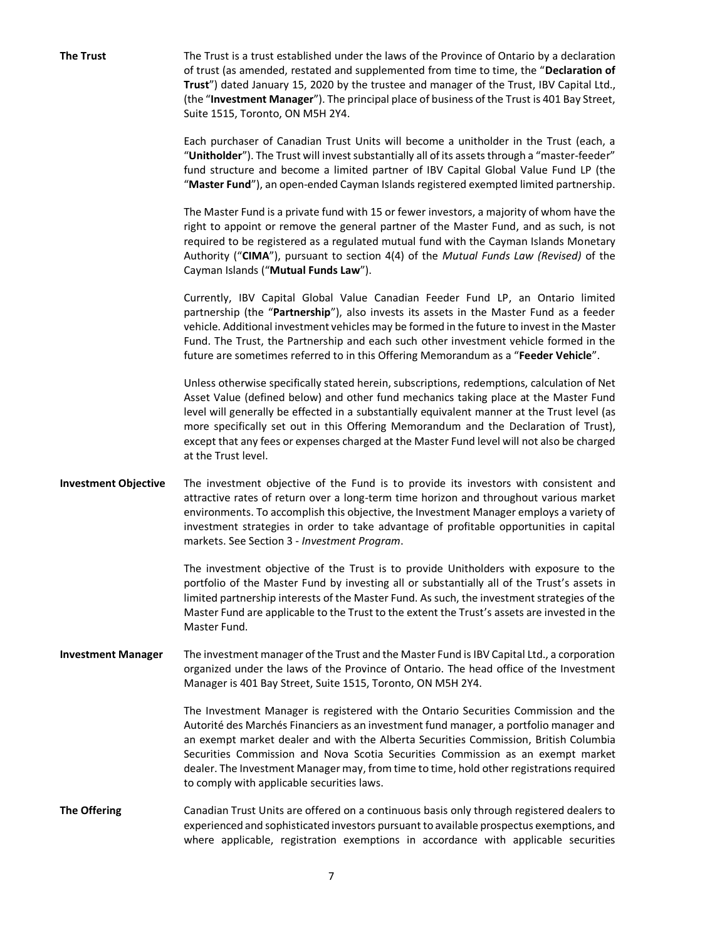**The Trust** The Trust is a trust established under the laws of the Province of Ontario by a declaration of trust (as amended, restated and supplemented from time to time, the "**Declaration of Trust**") dated January 15, 2020 by the trustee and manager of the Trust, IBV Capital Ltd., (the "**Investment Manager**"). The principal place of business of the Trust is 401 Bay Street, Suite 1515, Toronto, ON M5H 2Y4. Each purchaser of Canadian Trust Units will become a unitholder in the Trust (each, a "**Unitholder**"). The Trust will invest substantially all of its assets through a "master-feeder" fund structure and become a limited partner of IBV Capital Global Value Fund LP (the "**Master Fund**"), an open-ended Cayman Islands registered exempted limited partnership. The Master Fund is a private fund with 15 or fewer investors, a majority of whom have the right to appoint or remove the general partner of the Master Fund, and as such, is not required to be registered as a regulated mutual fund with the Cayman Islands Monetary Authority ("**CIMA**"), pursuant to section 4(4) of the *Mutual Funds Law (Revised)* of the Cayman Islands ("**Mutual Funds Law**"). Currently, IBV Capital Global Value Canadian Feeder Fund LP, an Ontario limited partnership (the "**Partnership**"), also invests its assets in the Master Fund as a feeder vehicle. Additional investment vehicles may be formed in the future to invest in the Master Fund. The Trust, the Partnership and each such other investment vehicle formed in the future are sometimes referred to in this Offering Memorandum as a "**Feeder Vehicle**". Unless otherwise specifically stated herein, subscriptions, redemptions, calculation of Net Asset Value (defined below) and other fund mechanics taking place at the Master Fund level will generally be effected in a substantially equivalent manner at the Trust level (as more specifically set out in this Offering Memorandum and the Declaration of Trust), except that any fees or expenses charged at the Master Fund level will not also be charged at the Trust level. **Investment Objective** The investment objective of the Fund is to provide its investors with consistent and attractive rates of return over a long-term time horizon and throughout various market environments. To accomplish this objective, the Investment Manager employs a variety of investment strategies in order to take advantage of profitable opportunities in capital markets. See Sectio[n 3](#page-19-0) - *Investment Program*. The investment objective of the Trust is to provide Unitholders with exposure to the portfolio of the Master Fund by investing all or substantially all of the Trust's assets in limited partnership interests of the Master Fund. As such, the investment strategies of the Master Fund are applicable to the Trust to the extent the Trust's assets are invested in the Master Fund. **Investment Manager** The investment manager of the Trust and the Master Fund is IBV Capital Ltd., a corporation organized under the laws of the Province of Ontario. The head office of the Investment Manager is 401 Bay Street, Suite 1515, Toronto, ON M5H 2Y4. The Investment Manager is registered with the Ontario Securities Commission and the Autorité des Marchés Financiers as an investment fund manager, a portfolio manager and an exempt market dealer and with the Alberta Securities Commission, British Columbia Securities Commission and Nova Scotia Securities Commission as an exempt market dealer. The Investment Manager may, from time to time, hold other registrations required to comply with applicable securities laws. **The Offering** Canadian Trust Units are offered on a continuous basis only through registered dealers to experienced and sophisticated investors pursuant to available prospectus exemptions, and

where applicable, registration exemptions in accordance with applicable securities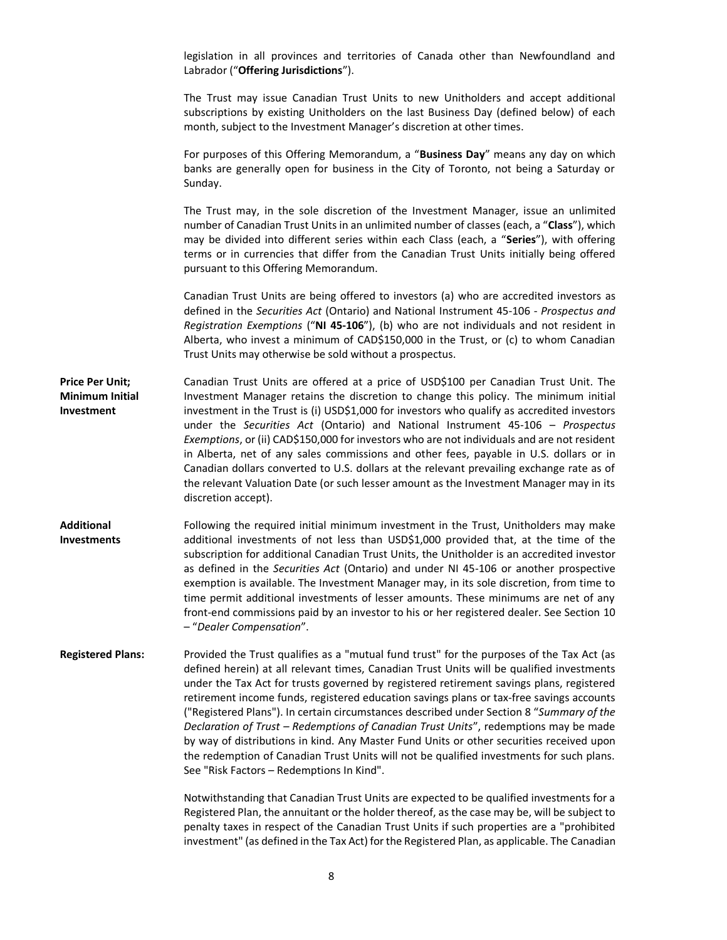|                                                         | legislation in all provinces and territories of Canada other than Newfoundland and<br>Labrador ("Offering Jurisdictions").                                                                                                                                                                                                                                                                                                                                                                                                                                                                                                                                                                                                                                                                              |
|---------------------------------------------------------|---------------------------------------------------------------------------------------------------------------------------------------------------------------------------------------------------------------------------------------------------------------------------------------------------------------------------------------------------------------------------------------------------------------------------------------------------------------------------------------------------------------------------------------------------------------------------------------------------------------------------------------------------------------------------------------------------------------------------------------------------------------------------------------------------------|
|                                                         | The Trust may issue Canadian Trust Units to new Unitholders and accept additional<br>subscriptions by existing Unitholders on the last Business Day (defined below) of each<br>month, subject to the Investment Manager's discretion at other times.                                                                                                                                                                                                                                                                                                                                                                                                                                                                                                                                                    |
|                                                         | For purposes of this Offering Memorandum, a "Business Day" means any day on which<br>banks are generally open for business in the City of Toronto, not being a Saturday or<br>Sunday.                                                                                                                                                                                                                                                                                                                                                                                                                                                                                                                                                                                                                   |
|                                                         | The Trust may, in the sole discretion of the Investment Manager, issue an unlimited<br>number of Canadian Trust Units in an unlimited number of classes (each, a "Class"), which<br>may be divided into different series within each Class (each, a "Series"), with offering<br>terms or in currencies that differ from the Canadian Trust Units initially being offered<br>pursuant to this Offering Memorandum.                                                                                                                                                                                                                                                                                                                                                                                       |
|                                                         | Canadian Trust Units are being offered to investors (a) who are accredited investors as<br>defined in the Securities Act (Ontario) and National Instrument 45-106 - Prospectus and<br>Registration Exemptions ("NI 45-106"), (b) who are not individuals and not resident in<br>Alberta, who invest a minimum of CAD\$150,000 in the Trust, or (c) to whom Canadian<br>Trust Units may otherwise be sold without a prospectus.                                                                                                                                                                                                                                                                                                                                                                          |
| <b>Price Per Unit;</b><br>Minimum Initial<br>Investment | Canadian Trust Units are offered at a price of USD\$100 per Canadian Trust Unit. The<br>Investment Manager retains the discretion to change this policy. The minimum initial<br>investment in the Trust is (i) USD\$1,000 for investors who qualify as accredited investors<br>under the Securities Act (Ontario) and National Instrument 45-106 - Prospectus<br>Exemptions, or (ii) CAD\$150,000 for investors who are not individuals and are not resident<br>in Alberta, net of any sales commissions and other fees, payable in U.S. dollars or in<br>Canadian dollars converted to U.S. dollars at the relevant prevailing exchange rate as of<br>the relevant Valuation Date (or such lesser amount as the Investment Manager may in its<br>discretion accept).                                   |
| Additional<br><b>Investments</b>                        | Following the required initial minimum investment in the Trust, Unitholders may make<br>additional investments of not less than USD\$1,000 provided that, at the time of the<br>subscription for additional Canadian Trust Units, the Unitholder is an accredited investor<br>as defined in the Securities Act (Ontario) and under NI 45-106 or another prospective<br>exemption is available. The Investment Manager may, in its sole discretion, from time to<br>time permit additional investments of lesser amounts. These minimums are net of any<br>front-end commissions paid by an investor to his or her registered dealer. See Section 10<br>- "Dealer Compensation".                                                                                                                         |
| <b>Registered Plans:</b>                                | Provided the Trust qualifies as a "mutual fund trust" for the purposes of the Tax Act (as<br>defined herein) at all relevant times, Canadian Trust Units will be qualified investments<br>under the Tax Act for trusts governed by registered retirement savings plans, registered<br>retirement income funds, registered education savings plans or tax-free savings accounts<br>("Registered Plans"). In certain circumstances described under Section 8 "Summary of the<br>Declaration of Trust - Redemptions of Canadian Trust Units", redemptions may be made<br>by way of distributions in kind. Any Master Fund Units or other securities received upon<br>the redemption of Canadian Trust Units will not be qualified investments for such plans.<br>See "Risk Factors - Redemptions In Kind". |
|                                                         | Notwithstanding that Canadian Trust Units are expected to be qualified investments for a<br>Registered Plan, the annuitant or the holder thereof, as the case may be, will be subject to<br>penalty taxes in respect of the Canadian Trust Units if such properties are a "prohibited<br>investment" (as defined in the Tax Act) for the Registered Plan, as applicable. The Canadian                                                                                                                                                                                                                                                                                                                                                                                                                   |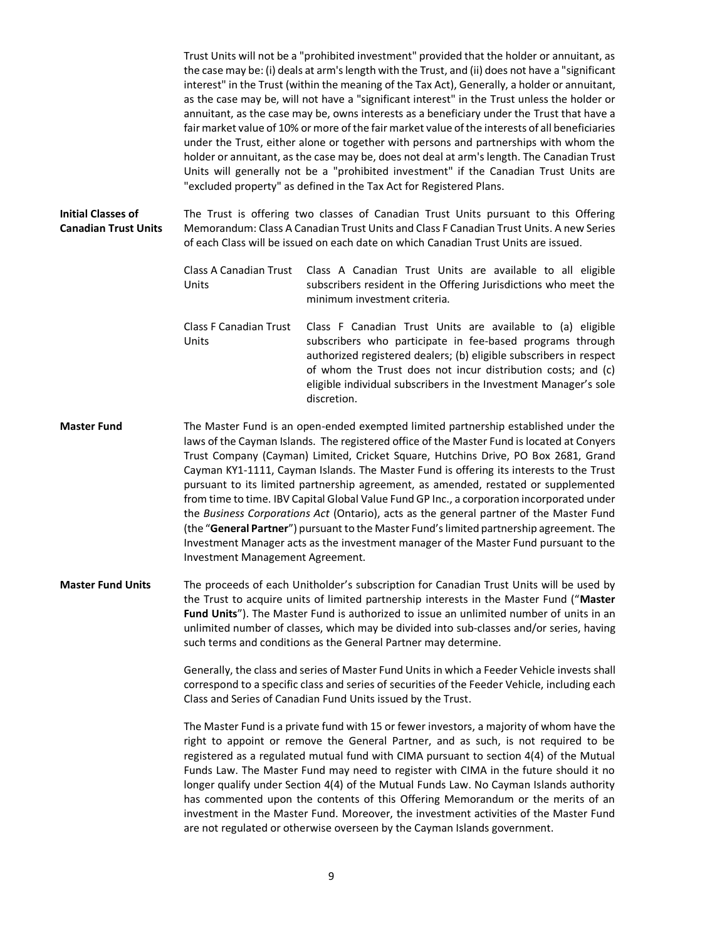Trust Units will not be a "prohibited investment" provided that the holder or annuitant, as the case may be: (i) deals at arm's length with the Trust, and (ii) does not have a "significant interest" in the Trust (within the meaning of the Tax Act), Generally, a holder or annuitant, as the case may be, will not have a "significant interest" in the Trust unless the holder or annuitant, as the case may be, owns interests as a beneficiary under the Trust that have a fair market value of 10% or more of the fair market value of the interests of all beneficiaries under the Trust, either alone or together with persons and partnerships with whom the holder or annuitant, as the case may be, does not deal at arm's length. The Canadian Trust Units will generally not be a "prohibited investment" if the Canadian Trust Units are "excluded property" as defined in the Tax Act for Registered Plans.

**Initial Classes of Canadian Trust Units** The Trust is offering two classes of Canadian Trust Units pursuant to this Offering Memorandum: Class A Canadian Trust Units and Class F Canadian Trust Units. A new Series of each Class will be issued on each date on which Canadian Trust Units are issued.

> Class A Canadian Trust Units Class A Canadian Trust Units are available to all eligible subscribers resident in the Offering Jurisdictions who meet the minimum investment criteria.

- Class F Canadian Trust Units Class F Canadian Trust Units are available to (a) eligible subscribers who participate in fee-based programs through authorized registered dealers; (b) eligible subscribers in respect of whom the Trust does not incur distribution costs; and (c) eligible individual subscribers in the Investment Manager's sole discretion.
- **Master Fund** The Master Fund is an open-ended exempted limited partnership established under the laws of the Cayman Islands. The registered office of the Master Fund is located at Conyers Trust Company (Cayman) Limited, Cricket Square, Hutchins Drive, PO Box 2681, Grand Cayman KY1-1111, Cayman Islands. The Master Fund is offering its interests to the Trust pursuant to its limited partnership agreement, as amended, restated or supplemented from time to time. IBV Capital Global Value Fund GP Inc., a corporation incorporated under the *Business Corporations Act* (Ontario), acts as the general partner of the Master Fund (the "**General Partner**") pursuant to the Master Fund's limited partnership agreement. The Investment Manager acts as the investment manager of the Master Fund pursuant to the Investment Management Agreement.
- **Master Fund Units** The proceeds of each Unitholder's subscription for Canadian Trust Units will be used by the Trust to acquire units of limited partnership interests in the Master Fund ("**Master Fund Units**"). The Master Fund is authorized to issue an unlimited number of units in an unlimited number of classes, which may be divided into sub-classes and/or series, having such terms and conditions as the General Partner may determine.

Generally, the class and series of Master Fund Units in which a Feeder Vehicle invests shall correspond to a specific class and series of securities of the Feeder Vehicle, including each Class and Series of Canadian Fund Units issued by the Trust.

The Master Fund is a private fund with 15 or fewer investors, a majority of whom have the right to appoint or remove the General Partner, and as such, is not required to be registered as a regulated mutual fund with CIMA pursuant to section 4(4) of the Mutual Funds Law. The Master Fund may need to register with CIMA in the future should it no longer qualify under Section 4(4) of the Mutual Funds Law. No Cayman Islands authority has commented upon the contents of this Offering Memorandum or the merits of an investment in the Master Fund. Moreover, the investment activities of the Master Fund are not regulated or otherwise overseen by the Cayman Islands government.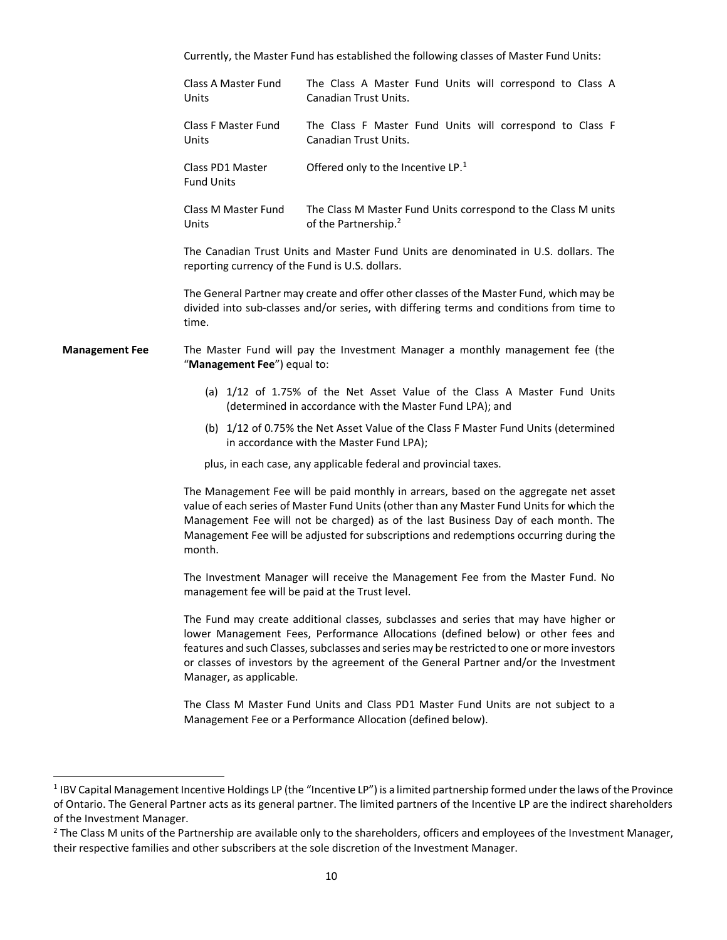|                       | Currently, the Master Fund has established the following classes of Master Fund Units:                                                                                                                                                                                                                                                 |                                                                                                                                                                                                                                                                                                                                                                   |  |  |
|-----------------------|----------------------------------------------------------------------------------------------------------------------------------------------------------------------------------------------------------------------------------------------------------------------------------------------------------------------------------------|-------------------------------------------------------------------------------------------------------------------------------------------------------------------------------------------------------------------------------------------------------------------------------------------------------------------------------------------------------------------|--|--|
|                       | Class A Master Fund<br>Units                                                                                                                                                                                                                                                                                                           | The Class A Master Fund Units will correspond to Class A<br>Canadian Trust Units.                                                                                                                                                                                                                                                                                 |  |  |
|                       | <b>Class F Master Fund</b><br>Units                                                                                                                                                                                                                                                                                                    | The Class F Master Fund Units will correspond to Class F<br>Canadian Trust Units.                                                                                                                                                                                                                                                                                 |  |  |
|                       | Class PD1 Master<br><b>Fund Units</b>                                                                                                                                                                                                                                                                                                  | Offered only to the Incentive LP. <sup>1</sup>                                                                                                                                                                                                                                                                                                                    |  |  |
|                       | Class M Master Fund<br>Units                                                                                                                                                                                                                                                                                                           | The Class M Master Fund Units correspond to the Class M units<br>of the Partnership. <sup>2</sup>                                                                                                                                                                                                                                                                 |  |  |
|                       | The Canadian Trust Units and Master Fund Units are denominated in U.S. dollars. The<br>reporting currency of the Fund is U.S. dollars.<br>The General Partner may create and offer other classes of the Master Fund, which may be<br>divided into sub-classes and/or series, with differing terms and conditions from time to<br>time. |                                                                                                                                                                                                                                                                                                                                                                   |  |  |
|                       |                                                                                                                                                                                                                                                                                                                                        |                                                                                                                                                                                                                                                                                                                                                                   |  |  |
| <b>Management Fee</b> | The Master Fund will pay the Investment Manager a monthly management fee (the<br>"Management Fee") equal to:                                                                                                                                                                                                                           |                                                                                                                                                                                                                                                                                                                                                                   |  |  |
|                       | (a) 1/12 of 1.75% of the Net Asset Value of the Class A Master Fund Units<br>(determined in accordance with the Master Fund LPA); and                                                                                                                                                                                                  |                                                                                                                                                                                                                                                                                                                                                                   |  |  |
|                       |                                                                                                                                                                                                                                                                                                                                        | (b) 1/12 of 0.75% the Net Asset Value of the Class F Master Fund Units (determined<br>in accordance with the Master Fund LPA);                                                                                                                                                                                                                                    |  |  |
|                       |                                                                                                                                                                                                                                                                                                                                        | plus, in each case, any applicable federal and provincial taxes.                                                                                                                                                                                                                                                                                                  |  |  |
|                       | month.                                                                                                                                                                                                                                                                                                                                 | The Management Fee will be paid monthly in arrears, based on the aggregate net asset<br>value of each series of Master Fund Units (other than any Master Fund Units for which the<br>Management Fee will not be charged) as of the last Business Day of each month. The<br>Management Fee will be adjusted for subscriptions and redemptions occurring during the |  |  |
|                       | management fee will be paid at the Trust level.                                                                                                                                                                                                                                                                                        | The Investment Manager will receive the Management Fee from the Master Fund. No                                                                                                                                                                                                                                                                                   |  |  |
|                       | Manager, as applicable.                                                                                                                                                                                                                                                                                                                | The Fund may create additional classes, subclasses and series that may have higher or<br>lower Management Fees, Performance Allocations (defined below) or other fees and<br>features and such Classes, subclasses and series may be restricted to one or more investors<br>or classes of investors by the agreement of the General Partner and/or the Investment |  |  |
|                       |                                                                                                                                                                                                                                                                                                                                        | The Class M Master Fund Units and Class PD1 Master Fund Units are not subject to a                                                                                                                                                                                                                                                                                |  |  |

The Class M Master Fund Units and Class PD1 Master Fund Units are not subject to a Management Fee or a Performance Allocation (defined below).

<sup>&</sup>lt;sup>1</sup> IBV Capital Management Incentive Holdings LP (the "Incentive LP") is a limited partnership formed under the laws of the Province of Ontario. The General Partner acts as its general partner. The limited partners of the Incentive LP are the indirect shareholders of the Investment Manager.

<sup>&</sup>lt;sup>2</sup> The Class M units of the Partnership are available only to the shareholders, officers and employees of the Investment Manager, their respective families and other subscribers at the sole discretion of the Investment Manager.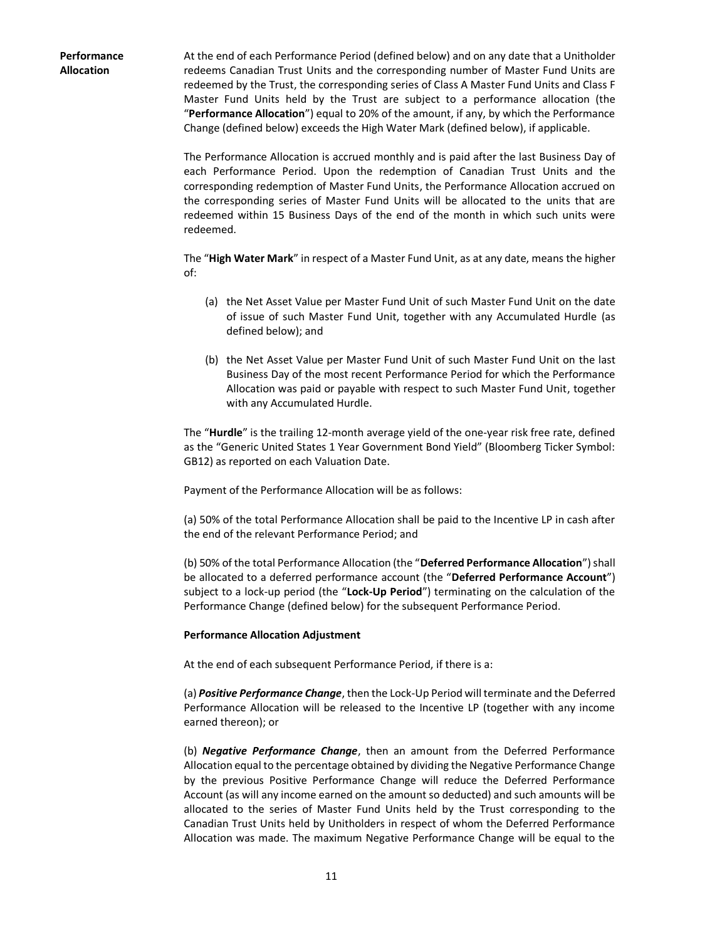**Performance Allocation**

At the end of each Performance Period (defined below) and on any date that a Unitholder redeems Canadian Trust Units and the corresponding number of Master Fund Units are redeemed by the Trust, the corresponding series of Class A Master Fund Units and Class F Master Fund Units held by the Trust are subject to a performance allocation (the "**Performance Allocation**") equal to 20% of the amount, if any, by which the Performance Change (defined below) exceeds the High Water Mark (defined below), if applicable.

The Performance Allocation is accrued monthly and is paid after the last Business Day of each Performance Period. Upon the redemption of Canadian Trust Units and the corresponding redemption of Master Fund Units, the Performance Allocation accrued on the corresponding series of Master Fund Units will be allocated to the units that are redeemed within 15 Business Days of the end of the month in which such units were redeemed.

The "**High Water Mark**" in respect of a Master Fund Unit, as at any date, means the higher of:

- (a) the Net Asset Value per Master Fund Unit of such Master Fund Unit on the date of issue of such Master Fund Unit, together with any Accumulated Hurdle (as defined below); and
- (b) the Net Asset Value per Master Fund Unit of such Master Fund Unit on the last Business Day of the most recent Performance Period for which the Performance Allocation was paid or payable with respect to such Master Fund Unit, together with any Accumulated Hurdle.

The "**Hurdle**" is the trailing 12-month average yield of the one-year risk free rate, defined as the "Generic United States 1 Year Government Bond Yield" (Bloomberg Ticker Symbol: GB12) as reported on each Valuation Date.

Payment of the Performance Allocation will be as follows:

(a) 50% of the total Performance Allocation shall be paid to the Incentive LP in cash after the end of the relevant Performance Period; and

(b) 50% of the total Performance Allocation (the "**Deferred Performance Allocation**") shall be allocated to a deferred performance account (the "**Deferred Performance Account**") subject to a lock-up period (the "**Lock-Up Period**") terminating on the calculation of the Performance Change (defined below) for the subsequent Performance Period.

#### **Performance Allocation Adjustment**

At the end of each subsequent Performance Period, if there is a:

(a) *Positive Performance Change*, then the Lock-Up Period will terminate and the Deferred Performance Allocation will be released to the Incentive LP (together with any income earned thereon); or

(b) *Negative Performance Change*, then an amount from the Deferred Performance Allocation equal to the percentage obtained by dividing the Negative Performance Change by the previous Positive Performance Change will reduce the Deferred Performance Account (as will any income earned on the amount so deducted) and such amounts will be allocated to the series of Master Fund Units held by the Trust corresponding to the Canadian Trust Units held by Unitholders in respect of whom the Deferred Performance Allocation was made. The maximum Negative Performance Change will be equal to the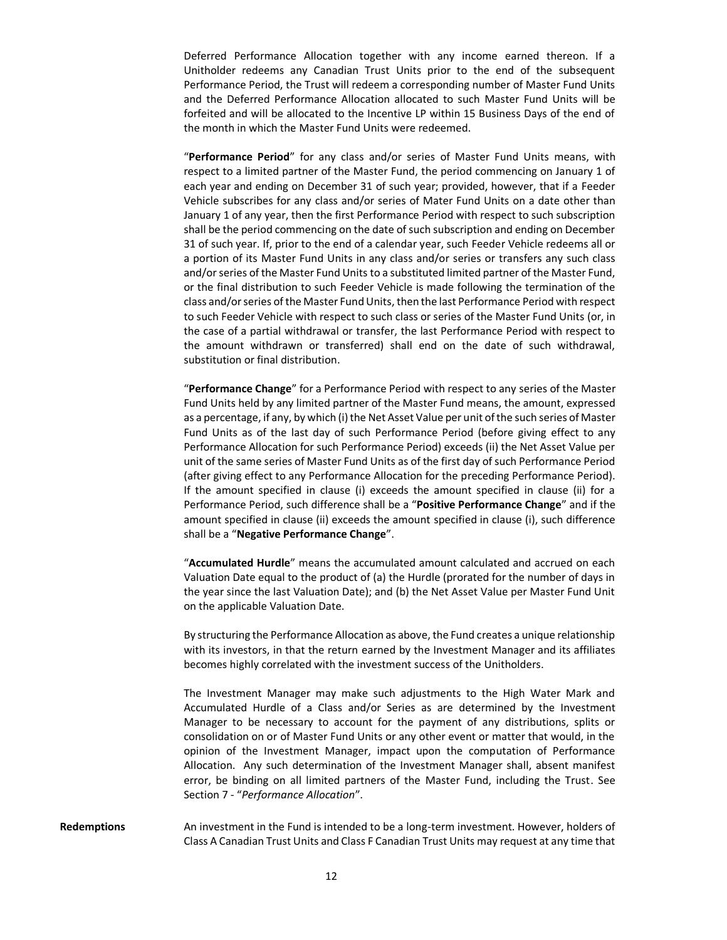Deferred Performance Allocation together with any income earned thereon. If a Unitholder redeems any Canadian Trust Units prior to the end of the subsequent Performance Period, the Trust will redeem a corresponding number of Master Fund Units and the Deferred Performance Allocation allocated to such Master Fund Units will be forfeited and will be allocated to the Incentive LP within 15 Business Days of the end of the month in which the Master Fund Units were redeemed.

"**Performance Period**" for any class and/or series of Master Fund Units means, with respect to a limited partner of the Master Fund, the period commencing on January 1 of each year and ending on December 31 of such year; provided, however, that if a Feeder Vehicle subscribes for any class and/or series of Mater Fund Units on a date other than January 1 of any year, then the first Performance Period with respect to such subscription shall be the period commencing on the date of such subscription and ending on December 31 of such year. If, prior to the end of a calendar year, such Feeder Vehicle redeems all or a portion of its Master Fund Units in any class and/or series or transfers any such class and/or series of the Master Fund Units to a substituted limited partner of the Master Fund, or the final distribution to such Feeder Vehicle is made following the termination of the class and/or series of the Master Fund Units, then the last Performance Period with respect to such Feeder Vehicle with respect to such class or series of the Master Fund Units (or, in the case of a partial withdrawal or transfer, the last Performance Period with respect to the amount withdrawn or transferred) shall end on the date of such withdrawal, substitution or final distribution.

"**Performance Change**" for a Performance Period with respect to any series of the Master Fund Units held by any limited partner of the Master Fund means, the amount, expressed as a percentage, if any, by which (i) the Net Asset Value per unit of the such series of Master Fund Units as of the last day of such Performance Period (before giving effect to any Performance Allocation for such Performance Period) exceeds (ii) the Net Asset Value per unit of the same series of Master Fund Units as of the first day of such Performance Period (after giving effect to any Performance Allocation for the preceding Performance Period). If the amount specified in clause (i) exceeds the amount specified in clause (ii) for a Performance Period, such difference shall be a "**Positive Performance Change**" and if the amount specified in clause (ii) exceeds the amount specified in clause (i), such difference shall be a "**Negative Performance Change**".

"**Accumulated Hurdle**" means the accumulated amount calculated and accrued on each Valuation Date equal to the product of (a) the Hurdle (prorated for the number of days in the year since the last Valuation Date); and (b) the Net Asset Value per Master Fund Unit on the applicable Valuation Date.

By structuring the Performance Allocation as above, the Fund creates a unique relationship with its investors, in that the return earned by the Investment Manager and its affiliates becomes highly correlated with the investment success of the Unitholders.

The Investment Manager may make such adjustments to the High Water Mark and Accumulated Hurdle of a Class and/or Series as are determined by the Investment Manager to be necessary to account for the payment of any distributions, splits or consolidation on or of Master Fund Units or any other event or matter that would, in the opinion of the Investment Manager, impact upon the computation of Performance Allocation. Any such determination of the Investment Manager shall, absent manifest error, be binding on all limited partners of the Master Fund, including the Trust. See Section [7](#page-27-0) - "*Performance Allocation*".

**Redemptions** An investment in the Fund is intended to be a long-term investment. However, holders of Class A Canadian Trust Units and Class F Canadian Trust Units may request at any time that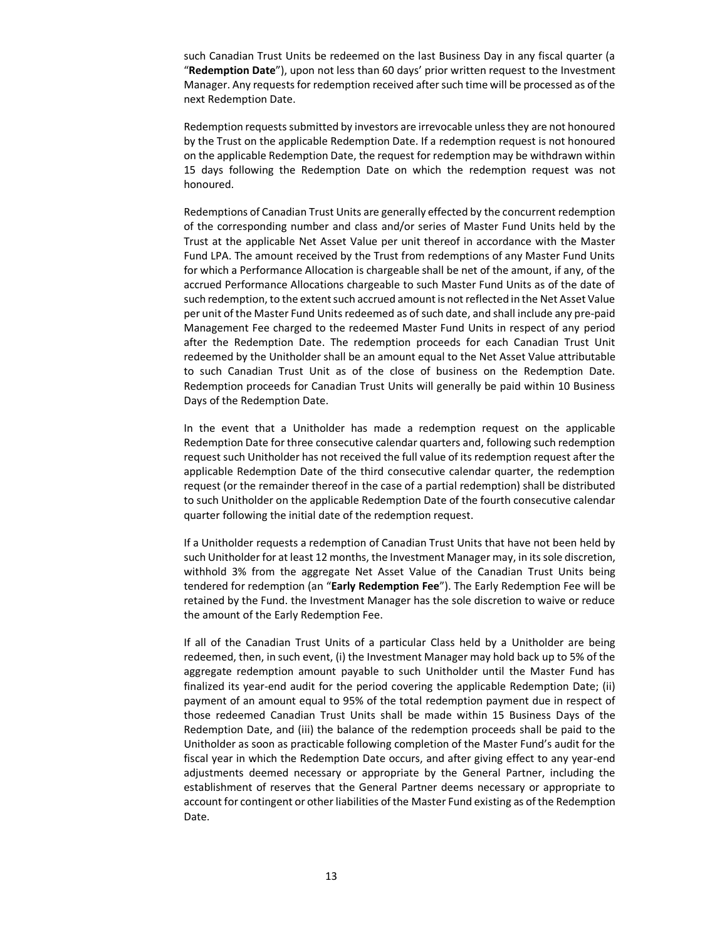such Canadian Trust Units be redeemed on the last Business Day in any fiscal quarter (a "**Redemption Date**"), upon not less than 60 days' prior written request to the Investment Manager. Any requests for redemption received after such time will be processed as of the next Redemption Date.

Redemption requests submitted by investors are irrevocable unless they are not honoured by the Trust on the applicable Redemption Date. If a redemption request is not honoured on the applicable Redemption Date, the request for redemption may be withdrawn within 15 days following the Redemption Date on which the redemption request was not honoured.

Redemptions of Canadian Trust Units are generally effected by the concurrent redemption of the corresponding number and class and/or series of Master Fund Units held by the Trust at the applicable Net Asset Value per unit thereof in accordance with the Master Fund LPA. The amount received by the Trust from redemptions of any Master Fund Units for which a Performance Allocation is chargeable shall be net of the amount, if any, of the accrued Performance Allocations chargeable to such Master Fund Units as of the date of such redemption, to the extent such accrued amount is not reflected in the Net Asset Value per unit of the Master Fund Units redeemed as of such date, and shall include any pre-paid Management Fee charged to the redeemed Master Fund Units in respect of any period after the Redemption Date. The redemption proceeds for each Canadian Trust Unit redeemed by the Unitholder shall be an amount equal to the Net Asset Value attributable to such Canadian Trust Unit as of the close of business on the Redemption Date. Redemption proceeds for Canadian Trust Units will generally be paid within 10 Business Days of the Redemption Date.

In the event that a Unitholder has made a redemption request on the applicable Redemption Date for three consecutive calendar quarters and, following such redemption request such Unitholder has not received the full value of its redemption request after the applicable Redemption Date of the third consecutive calendar quarter, the redemption request (or the remainder thereof in the case of a partial redemption) shall be distributed to such Unitholder on the applicable Redemption Date of the fourth consecutive calendar quarter following the initial date of the redemption request.

If a Unitholder requests a redemption of Canadian Trust Units that have not been held by such Unitholder for at least 12 months, the Investment Manager may, in its sole discretion, withhold 3% from the aggregate Net Asset Value of the Canadian Trust Units being tendered for redemption (an "**Early Redemption Fee**"). The Early Redemption Fee will be retained by the Fund. the Investment Manager has the sole discretion to waive or reduce the amount of the Early Redemption Fee.

If all of the Canadian Trust Units of a particular Class held by a Unitholder are being redeemed, then, in such event, (i) the Investment Manager may hold back up to 5% of the aggregate redemption amount payable to such Unitholder until the Master Fund has finalized its year-end audit for the period covering the applicable Redemption Date; (ii) payment of an amount equal to 95% of the total redemption payment due in respect of those redeemed Canadian Trust Units shall be made within 15 Business Days of the Redemption Date, and (iii) the balance of the redemption proceeds shall be paid to the Unitholder as soon as practicable following completion of the Master Fund's audit for the fiscal year in which the Redemption Date occurs, and after giving effect to any year-end adjustments deemed necessary or appropriate by the General Partner, including the establishment of reserves that the General Partner deems necessary or appropriate to account for contingent or other liabilities of the Master Fund existing as of the Redemption Date.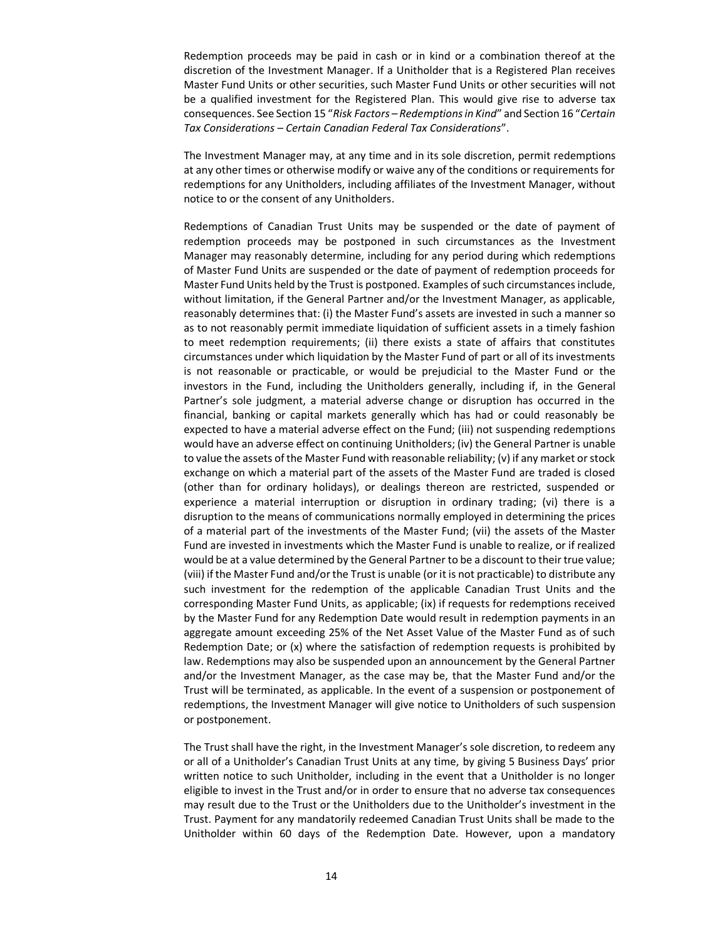Redemption proceeds may be paid in cash or in kind or a combination thereof at the discretion of the Investment Manager. If a Unitholder that is a Registered Plan receives Master Fund Units or other securities, such Master Fund Units or other securities will not be a qualified investment for the Registered Plan. This would give rise to adverse tax consequences. See Section 15 "*Risk Factors – Redemptions in Kind*" and Section 16 "*Certain Tax Considerations – Certain Canadian Federal Tax Considerations*".

The Investment Manager may, at any time and in its sole discretion, permit redemptions at any other times or otherwise modify or waive any of the conditions or requirements for redemptions for any Unitholders, including affiliates of the Investment Manager, without notice to or the consent of any Unitholders.

Redemptions of Canadian Trust Units may be suspended or the date of payment of redemption proceeds may be postponed in such circumstances as the Investment Manager may reasonably determine, including for any period during which redemptions of Master Fund Units are suspended or the date of payment of redemption proceeds for Master Fund Units held by the Trust is postponed. Examples of such circumstances include, without limitation, if the General Partner and/or the Investment Manager, as applicable, reasonably determines that: (i) the Master Fund's assets are invested in such a manner so as to not reasonably permit immediate liquidation of sufficient assets in a timely fashion to meet redemption requirements; (ii) there exists a state of affairs that constitutes circumstances under which liquidation by the Master Fund of part or all of its investments is not reasonable or practicable, or would be prejudicial to the Master Fund or the investors in the Fund, including the Unitholders generally, including if, in the General Partner's sole judgment, a material adverse change or disruption has occurred in the financial, banking or capital markets generally which has had or could reasonably be expected to have a material adverse effect on the Fund; (iii) not suspending redemptions would have an adverse effect on continuing Unitholders; (iv) the General Partner is unable to value the assets of the Master Fund with reasonable reliability; (v) if any market or stock exchange on which a material part of the assets of the Master Fund are traded is closed (other than for ordinary holidays), or dealings thereon are restricted, suspended or experience a material interruption or disruption in ordinary trading; (vi) there is a disruption to the means of communications normally employed in determining the prices of a material part of the investments of the Master Fund; (vii) the assets of the Master Fund are invested in investments which the Master Fund is unable to realize, or if realized would be at a value determined by the General Partner to be a discount to their true value; (viii) if the Master Fund and/or the Trust is unable (or it is not practicable) to distribute any such investment for the redemption of the applicable Canadian Trust Units and the corresponding Master Fund Units, as applicable; (ix) if requests for redemptions received by the Master Fund for any Redemption Date would result in redemption payments in an aggregate amount exceeding 25% of the Net Asset Value of the Master Fund as of such Redemption Date; or (x) where the satisfaction of redemption requests is prohibited by law. Redemptions may also be suspended upon an announcement by the General Partner and/or the Investment Manager, as the case may be, that the Master Fund and/or the Trust will be terminated, as applicable. In the event of a suspension or postponement of redemptions, the Investment Manager will give notice to Unitholders of such suspension or postponement.

The Trust shall have the right, in the Investment Manager's sole discretion, to redeem any or all of a Unitholder's Canadian Trust Units at any time, by giving 5 Business Days' prior written notice to such Unitholder, including in the event that a Unitholder is no longer eligible to invest in the Trust and/or in order to ensure that no adverse tax consequences may result due to the Trust or the Unitholders due to the Unitholder's investment in the Trust. Payment for any mandatorily redeemed Canadian Trust Units shall be made to the Unitholder within 60 days of the Redemption Date. However, upon a mandatory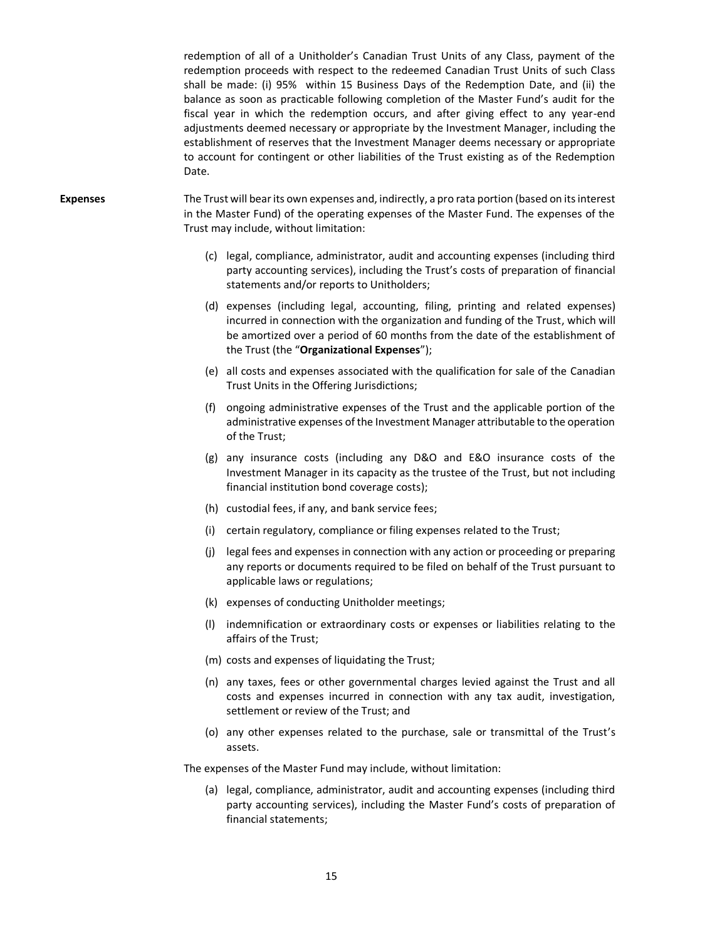redemption of all of a Unitholder's Canadian Trust Units of any Class, payment of the redemption proceeds with respect to the redeemed Canadian Trust Units of such Class shall be made: (i) 95% within 15 Business Days of the Redemption Date, and (ii) the balance as soon as practicable following completion of the Master Fund's audit for the fiscal year in which the redemption occurs, and after giving effect to any year-end adjustments deemed necessary or appropriate by the Investment Manager, including the establishment of reserves that the Investment Manager deems necessary or appropriate to account for contingent or other liabilities of the Trust existing as of the Redemption Date.

- **Expenses** The Trust will bear its own expenses and, indirectly, a pro rata portion (based on its interest in the Master Fund) of the operating expenses of the Master Fund. The expenses of the Trust may include, without limitation:
	- (c) legal, compliance, administrator, audit and accounting expenses (including third party accounting services), including the Trust's costs of preparation of financial statements and/or reports to Unitholders;
	- (d) expenses (including legal, accounting, filing, printing and related expenses) incurred in connection with the organization and funding of the Trust, which will be amortized over a period of 60 months from the date of the establishment of the Trust (the "**Organizational Expenses**");
	- (e) all costs and expenses associated with the qualification for sale of the Canadian Trust Units in the Offering Jurisdictions;
	- (f) ongoing administrative expenses of the Trust and the applicable portion of the administrative expenses of the Investment Manager attributable to the operation of the Trust;
	- (g) any insurance costs (including any D&O and E&O insurance costs of the Investment Manager in its capacity as the trustee of the Trust, but not including financial institution bond coverage costs);
	- (h) custodial fees, if any, and bank service fees;
	- (i) certain regulatory, compliance or filing expenses related to the Trust;
	- (j) legal fees and expenses in connection with any action or proceeding or preparing any reports or documents required to be filed on behalf of the Trust pursuant to applicable laws or regulations;
	- (k) expenses of conducting Unitholder meetings;
	- (l) indemnification or extraordinary costs or expenses or liabilities relating to the affairs of the Trust;
	- (m) costs and expenses of liquidating the Trust;
	- (n) any taxes, fees or other governmental charges levied against the Trust and all costs and expenses incurred in connection with any tax audit, investigation, settlement or review of the Trust; and
	- (o) any other expenses related to the purchase, sale or transmittal of the Trust's assets.

The expenses of the Master Fund may include, without limitation:

(a) legal, compliance, administrator, audit and accounting expenses (including third party accounting services), including the Master Fund's costs of preparation of financial statements;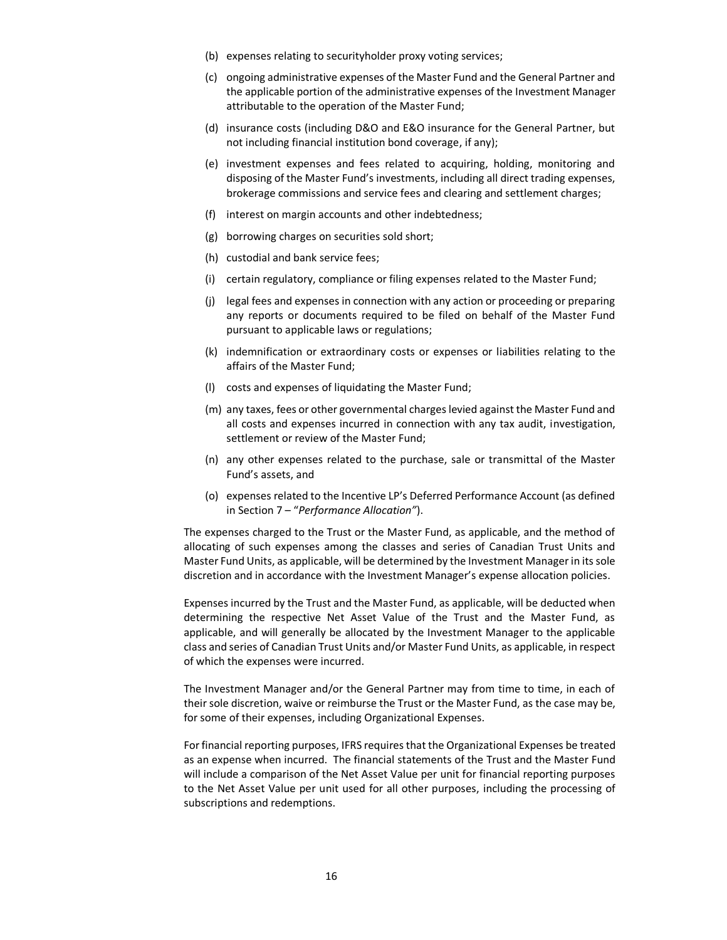- (b) expenses relating to securityholder proxy voting services;
- (c) ongoing administrative expenses of the Master Fund and the General Partner and the applicable portion of the administrative expenses of the Investment Manager attributable to the operation of the Master Fund;
- (d) insurance costs (including D&O and E&O insurance for the General Partner, but not including financial institution bond coverage, if any);
- (e) investment expenses and fees related to acquiring, holding, monitoring and disposing of the Master Fund's investments, including all direct trading expenses, brokerage commissions and service fees and clearing and settlement charges;
- (f) interest on margin accounts and other indebtedness;
- (g) borrowing charges on securities sold short;
- (h) custodial and bank service fees;
- (i) certain regulatory, compliance or filing expenses related to the Master Fund;
- (j) legal fees and expenses in connection with any action or proceeding or preparing any reports or documents required to be filed on behalf of the Master Fund pursuant to applicable laws or regulations;
- (k) indemnification or extraordinary costs or expenses or liabilities relating to the affairs of the Master Fund;
- (l) costs and expenses of liquidating the Master Fund;
- (m) any taxes, fees or other governmental charges levied against the Master Fund and all costs and expenses incurred in connection with any tax audit, investigation, settlement or review of the Master Fund;
- (n) any other expenses related to the purchase, sale or transmittal of the Master Fund's assets, and
- (o) expenses related to the Incentive LP's Deferred Performance Account (as defined in Section [7](#page-27-0) – "*Performance Allocation"*).

The expenses charged to the Trust or the Master Fund, as applicable, and the method of allocating of such expenses among the classes and series of Canadian Trust Units and Master Fund Units, as applicable, will be determined by the Investment Manager in its sole discretion and in accordance with the Investment Manager's expense allocation policies.

Expenses incurred by the Trust and the Master Fund, as applicable, will be deducted when determining the respective Net Asset Value of the Trust and the Master Fund, as applicable, and will generally be allocated by the Investment Manager to the applicable class and series of Canadian Trust Units and/or Master Fund Units, as applicable, in respect of which the expenses were incurred.

The Investment Manager and/or the General Partner may from time to time, in each of their sole discretion, waive or reimburse the Trust or the Master Fund, as the case may be, for some of their expenses, including Organizational Expenses.

For financial reporting purposes, IFRS requires that the Organizational Expenses be treated as an expense when incurred. The financial statements of the Trust and the Master Fund will include a comparison of the Net Asset Value per unit for financial reporting purposes to the Net Asset Value per unit used for all other purposes, including the processing of subscriptions and redemptions.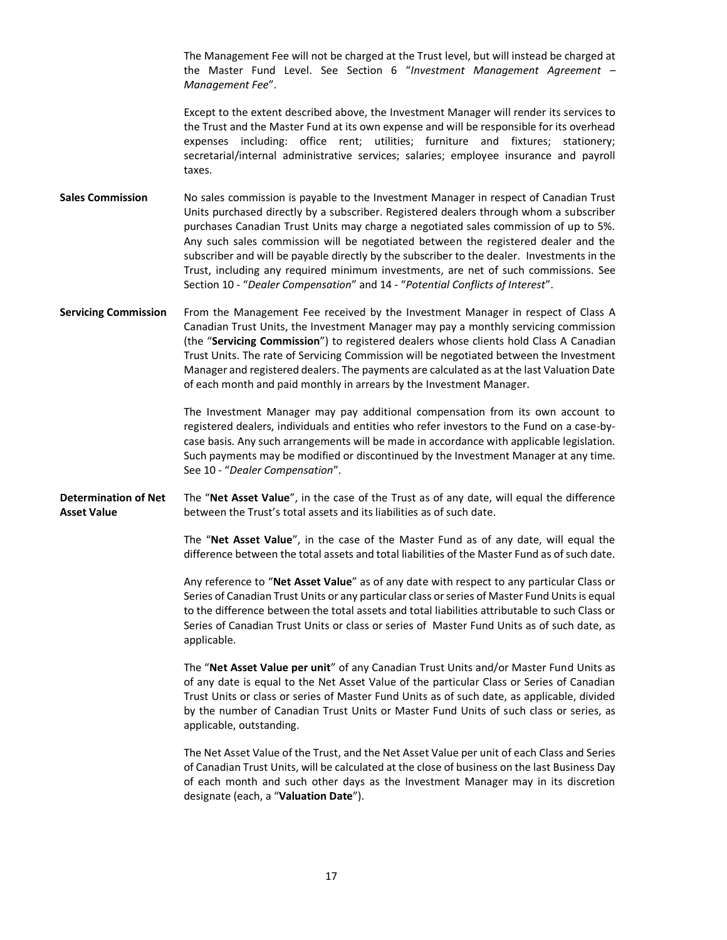The Management Fee will not be charged at the Trust level, but will instead be charged at the Master Fund Level. See Section 6 "*Investment Management Agreement* – *Management Fee*".

Except to the extent described above, the Investment Manager will render its services to the Trust and the Master Fund at its own expense and will be responsible for its overhead expenses including: office rent; utilities; furniture and fixtures; stationery; secretarial/internal administrative services; salaries; employee insurance and payroll taxes.

**Sales Commission** No sales commission is payable to the Investment Manager in respect of Canadian Trust Units purchased directly by a subscriber. Registered dealers through whom a subscriber purchases Canadian Trust Units may charge a negotiated sales commission of up to 5%. Any such sales commission will be negotiated between the registered dealer and the subscriber and will be payable directly by the subscriber to the dealer. Investments in the Trust, including any required minimum investments, are net of such commissions. See Section [10](#page-37-0) - "*Dealer Compensation*" and 14 - "*Potential Conflicts of Interest*".

**Servicing Commission** From the Management Fee received by the Investment Manager in respect of Class A Canadian Trust Units, the Investment Manager may pay a monthly servicing commission (the "**Servicing Commission**") to registered dealers whose clients hold Class A Canadian Trust Units. The rate of Servicing Commission will be negotiated between the Investment Manager and registered dealers. The payments are calculated as at the last Valuation Date of each month and paid monthly in arrears by the Investment Manager.

> The Investment Manager may pay additional compensation from its own account to registered dealers, individuals and entities who refer investors to the Fund on a case-bycase basis. Any such arrangements will be made in accordance with applicable legislation. Such payments may be modified or discontinued by the Investment Manager at any time. Se[e 10](#page-37-0) - "*Dealer Compensation*".

**Determination of Net Asset Value** The "**Net Asset Value**", in the case of the Trust as of any date, will equal the difference between the Trust's total assets and its liabilities as of such date.

> The "**Net Asset Value**", in the case of the Master Fund as of any date, will equal the difference between the total assets and total liabilities of the Master Fund as of such date.

> Any reference to "**Net Asset Value**" as of any date with respect to any particular Class or Series of Canadian Trust Units or any particular class or series of Master Fund Units is equal to the difference between the total assets and total liabilities attributable to such Class or Series of Canadian Trust Units or class or series of Master Fund Units as of such date, as applicable.

> The "**Net Asset Value per unit**" of any Canadian Trust Units and/or Master Fund Units as of any date is equal to the Net Asset Value of the particular Class or Series of Canadian Trust Units or class or series of Master Fund Units as of such date, as applicable, divided by the number of Canadian Trust Units or Master Fund Units of such class or series, as applicable, outstanding.

> The Net Asset Value of the Trust, and the Net Asset Value per unit of each Class and Series of Canadian Trust Units, will be calculated at the close of business on the last Business Day of each month and such other days as the Investment Manager may in its discretion designate (each, a "**Valuation Date**").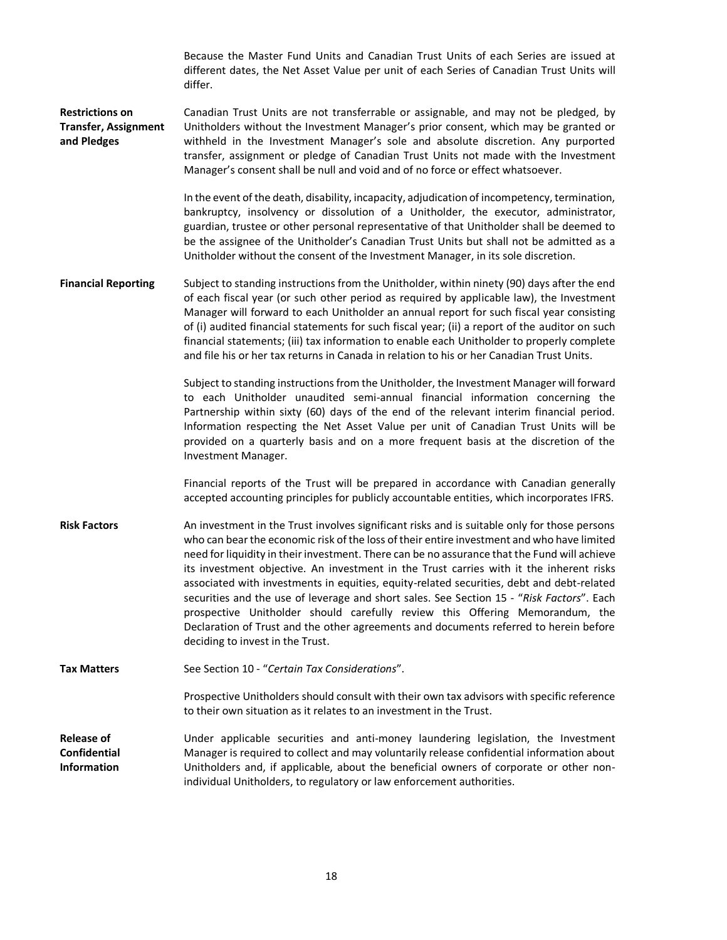Because the Master Fund Units and Canadian Trust Units of each Series are issued at different dates, the Net Asset Value per unit of each Series of Canadian Trust Units will differ.

**Restrictions on Transfer, Assignment and Pledges** Canadian Trust Units are not transferrable or assignable, and may not be pledged, by Unitholders without the Investment Manager's prior consent, which may be granted or withheld in the Investment Manager's sole and absolute discretion. Any purported transfer, assignment or pledge of Canadian Trust Units not made with the Investment Manager's consent shall be null and void and of no force or effect whatsoever.

> In the event of the death, disability, incapacity, adjudication of incompetency, termination, bankruptcy, insolvency or dissolution of a Unitholder, the executor, administrator, guardian, trustee or other personal representative of that Unitholder shall be deemed to be the assignee of the Unitholder's Canadian Trust Units but shall not be admitted as a Unitholder without the consent of the Investment Manager, in its sole discretion.

**Financial Reporting** Subject to standing instructions from the Unitholder, within ninety (90) days after the end of each fiscal year (or such other period as required by applicable law), the Investment Manager will forward to each Unitholder an annual report for such fiscal year consisting of (i) audited financial statements for such fiscal year; (ii) a report of the auditor on such financial statements; (iii) tax information to enable each Unitholder to properly complete and file his or her tax returns in Canada in relation to his or her Canadian Trust Units.

> Subject to standing instructions from the Unitholder, the Investment Manager will forward to each Unitholder unaudited semi-annual financial information concerning the Partnership within sixty (60) days of the end of the relevant interim financial period. Information respecting the Net Asset Value per unit of Canadian Trust Units will be provided on a quarterly basis and on a more frequent basis at the discretion of the Investment Manager.

> Financial reports of the Trust will be prepared in accordance with Canadian generally accepted accounting principles for publicly accountable entities, which incorporates IFRS.

**Risk Factors** An investment in the Trust involves significant risks and is suitable only for those persons who can bear the economic risk of the loss of their entire investment and who have limited need for liquidity in their investment. There can be no assurance that the Fund will achieve its investment objective. An investment in the Trust carries with it the inherent risks associated with investments in equities, equity-related securities, debt and debt-related securities and the use of leverage and short sales. See Section [15](#page-41-0) - "*Risk Factors*". Each prospective Unitholder should carefully review this Offering Memorandum, the Declaration of Trust and the other agreements and documents referred to herein before deciding to invest in the Trust.

Tax Matters See Section [10](#page-37-0) - "Certain Tax Considerations".

Prospective Unitholders should consult with their own tax advisors with specific reference to their own situation as it relates to an investment in the Trust.

**Release of Confidential Information** Under applicable securities and anti-money laundering legislation, the Investment Manager is required to collect and may voluntarily release confidential information about Unitholders and, if applicable, about the beneficial owners of corporate or other nonindividual Unitholders, to regulatory or law enforcement authorities.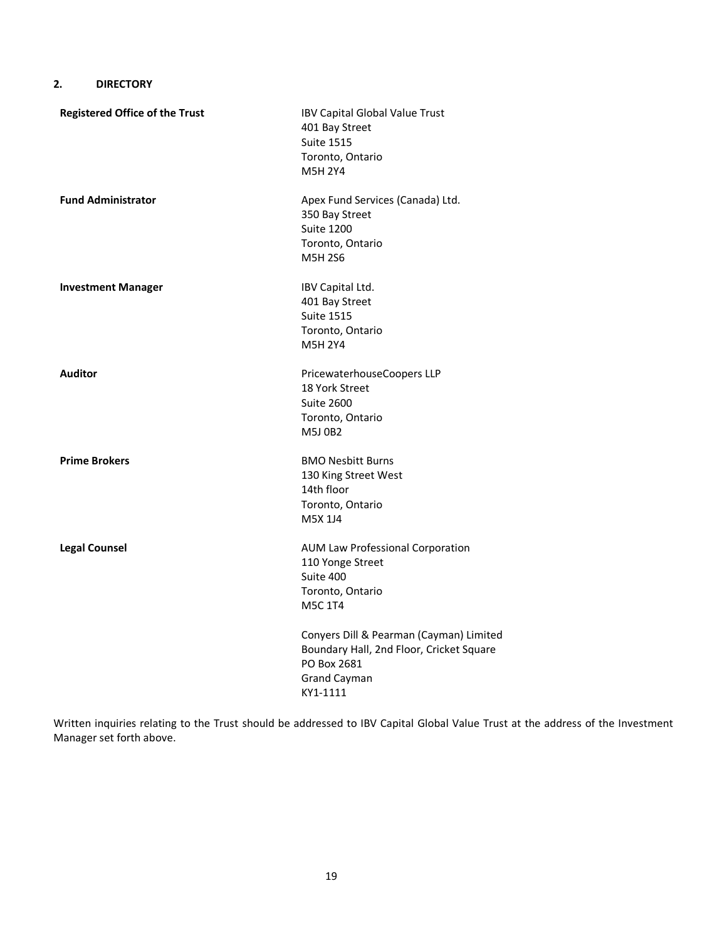# <span id="page-18-0"></span>**2. DIRECTORY**

| <b>Registered Office of the Trust</b> | IBV Capital Global Value Trust<br>401 Bay Street<br><b>Suite 1515</b><br>Toronto, Ontario<br><b>M5H 2Y4</b>                           |
|---------------------------------------|---------------------------------------------------------------------------------------------------------------------------------------|
| <b>Fund Administrator</b>             | Apex Fund Services (Canada) Ltd.<br>350 Bay Street<br><b>Suite 1200</b><br>Toronto, Ontario<br><b>M5H 2S6</b>                         |
| <b>Investment Manager</b>             | IBV Capital Ltd.<br>401 Bay Street<br><b>Suite 1515</b><br>Toronto, Ontario<br>M5H 2Y4                                                |
| Auditor                               | PricewaterhouseCoopers LLP<br>18 York Street<br><b>Suite 2600</b><br>Toronto, Ontario<br>M5J 0B2                                      |
| <b>Prime Brokers</b>                  | <b>BMO Nesbitt Burns</b><br>130 King Street West<br>14th floor<br>Toronto, Ontario<br>M5X 1J4                                         |
| <b>Legal Counsel</b>                  | AUM Law Professional Corporation<br>110 Yonge Street<br>Suite 400<br>Toronto, Ontario<br><b>M5C 1T4</b>                               |
|                                       | Conyers Dill & Pearman (Cayman) Limited<br>Boundary Hall, 2nd Floor, Cricket Square<br>PO Box 2681<br><b>Grand Cayman</b><br>KY1-1111 |

Written inquiries relating to the Trust should be addressed to IBV Capital Global Value Trust at the address of the Investment Manager set forth above.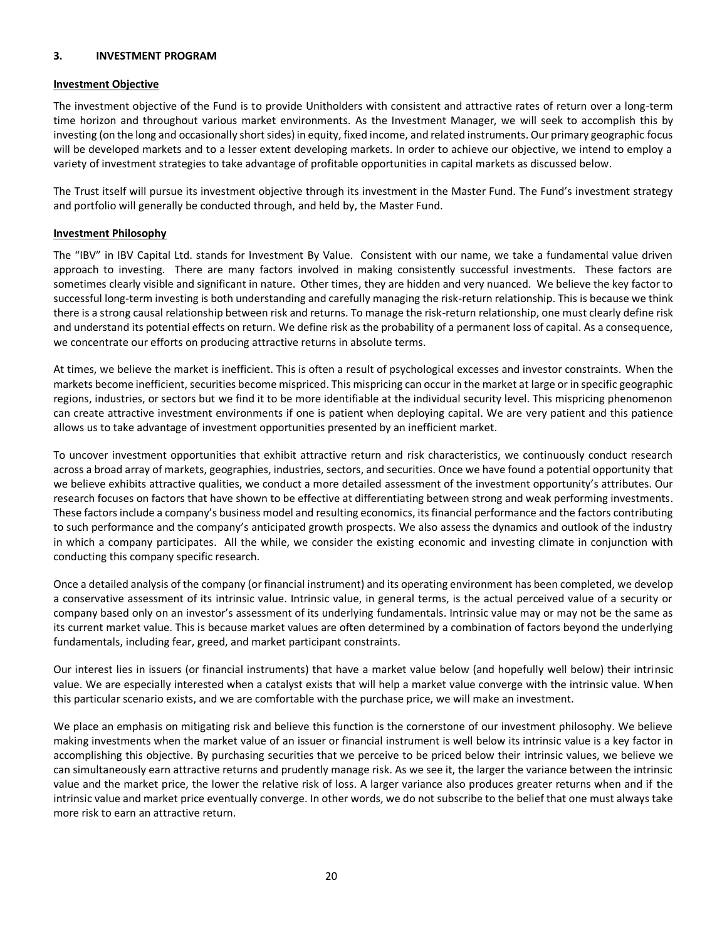#### <span id="page-19-0"></span>**3. INVESTMENT PROGRAM**

#### **Investment Objective**

The investment objective of the Fund is to provide Unitholders with consistent and attractive rates of return over a long-term time horizon and throughout various market environments. As the Investment Manager, we will seek to accomplish this by investing (on the long and occasionally short sides) in equity, fixed income, and related instruments. Our primary geographic focus will be developed markets and to a lesser extent developing markets. In order to achieve our objective, we intend to employ a variety of investment strategies to take advantage of profitable opportunities in capital markets as discussed below.

The Trust itself will pursue its investment objective through its investment in the Master Fund. The Fund's investment strategy and portfolio will generally be conducted through, and held by, the Master Fund.

#### **Investment Philosophy**

The "IBV" in IBV Capital Ltd. stands for Investment By Value. Consistent with our name, we take a fundamental value driven approach to investing. There are many factors involved in making consistently successful investments. These factors are sometimes clearly visible and significant in nature. Other times, they are hidden and very nuanced. We believe the key factor to successful long-term investing is both understanding and carefully managing the risk-return relationship. This is because we think there is a strong causal relationship between risk and returns. To manage the risk-return relationship, one must clearly define risk and understand its potential effects on return. We define risk as the probability of a permanent loss of capital. As a consequence, we concentrate our efforts on producing attractive returns in absolute terms.

At times, we believe the market is inefficient. This is often a result of psychological excesses and investor constraints. When the markets become inefficient, securities become mispriced. This mispricing can occur in the market at large or in specific geographic regions, industries, or sectors but we find it to be more identifiable at the individual security level. This mispricing phenomenon can create attractive investment environments if one is patient when deploying capital. We are very patient and this patience allows us to take advantage of investment opportunities presented by an inefficient market.

To uncover investment opportunities that exhibit attractive return and risk characteristics, we continuously conduct research across a broad array of markets, geographies, industries, sectors, and securities. Once we have found a potential opportunity that we believe exhibits attractive qualities, we conduct a more detailed assessment of the investment opportunity's attributes. Our research focuses on factors that have shown to be effective at differentiating between strong and weak performing investments. These factors include a company's business model and resulting economics, its financial performance and the factors contributing to such performance and the company's anticipated growth prospects. We also assess the dynamics and outlook of the industry in which a company participates. All the while, we consider the existing economic and investing climate in conjunction with conducting this company specific research.

Once a detailed analysis of the company (or financial instrument) and its operating environment has been completed, we develop a conservative assessment of its intrinsic value. Intrinsic value, in general terms, is the actual perceived value of a security or company based only on an investor's assessment of its underlying fundamentals. Intrinsic value may or may not be the same as its current market value. This is because market values are often determined by a combination of factors beyond the underlying fundamentals, including fear, greed, and market participant constraints.

Our interest lies in issuers (or financial instruments) that have a market value below (and hopefully well below) their intrinsic value. We are especially interested when a catalyst exists that will help a market value converge with the intrinsic value. When this particular scenario exists, and we are comfortable with the purchase price, we will make an investment.

We place an emphasis on mitigating risk and believe this function is the cornerstone of our investment philosophy. We believe making investments when the market value of an issuer or financial instrument is well below its intrinsic value is a key factor in accomplishing this objective. By purchasing securities that we perceive to be priced below their intrinsic values, we believe we can simultaneously earn attractive returns and prudently manage risk. As we see it, the larger the variance between the intrinsic value and the market price, the lower the relative risk of loss. A larger variance also produces greater returns when and if the intrinsic value and market price eventually converge. In other words, we do not subscribe to the belief that one must always take more risk to earn an attractive return.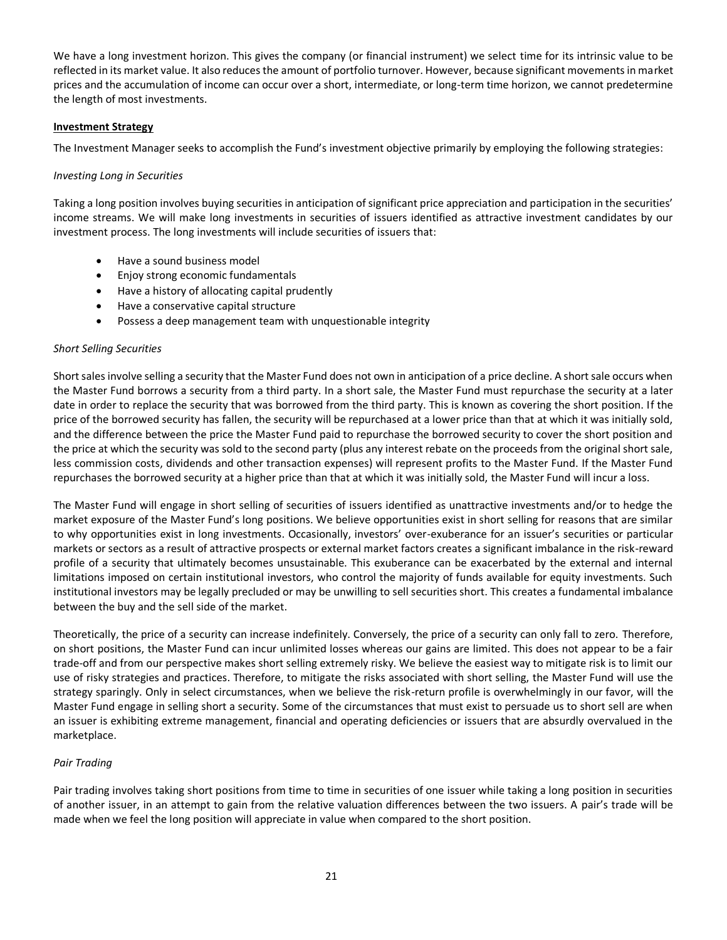We have a long investment horizon. This gives the company (or financial instrument) we select time for its intrinsic value to be reflected in its market value. It also reduces the amount of portfolio turnover. However, because significant movements in market prices and the accumulation of income can occur over a short, intermediate, or long-term time horizon, we cannot predetermine the length of most investments.

#### **Investment Strategy**

The Investment Manager seeks to accomplish the Fund's investment objective primarily by employing the following strategies:

#### *Investing Long in Securities*

Taking a long position involves buying securities in anticipation of significant price appreciation and participation in the securities' income streams. We will make long investments in securities of issuers identified as attractive investment candidates by our investment process. The long investments will include securities of issuers that:

- Have a sound business model
- Enjoy strong economic fundamentals
- Have a history of allocating capital prudently
- Have a conservative capital structure
- Possess a deep management team with unquestionable integrity

#### *Short Selling Securities*

Short sales involve selling a security that the Master Fund does not own in anticipation of a price decline. A short sale occurs when the Master Fund borrows a security from a third party. In a short sale, the Master Fund must repurchase the security at a later date in order to replace the security that was borrowed from the third party. This is known as covering the short position. If the price of the borrowed security has fallen, the security will be repurchased at a lower price than that at which it was initially sold, and the difference between the price the Master Fund paid to repurchase the borrowed security to cover the short position and the price at which the security was sold to the second party (plus any interest rebate on the proceeds from the original short sale, less commission costs, dividends and other transaction expenses) will represent profits to the Master Fund. If the Master Fund repurchases the borrowed security at a higher price than that at which it was initially sold, the Master Fund will incur a loss.

The Master Fund will engage in short selling of securities of issuers identified as unattractive investments and/or to hedge the market exposure of the Master Fund's long positions. We believe opportunities exist in short selling for reasons that are similar to why opportunities exist in long investments. Occasionally, investors' over-exuberance for an issuer's securities or particular markets or sectors as a result of attractive prospects or external market factors creates a significant imbalance in the risk-reward profile of a security that ultimately becomes unsustainable. This exuberance can be exacerbated by the external and internal limitations imposed on certain institutional investors, who control the majority of funds available for equity investments. Such institutional investors may be legally precluded or may be unwilling to sell securities short. This creates a fundamental imbalance between the buy and the sell side of the market.

Theoretically, the price of a security can increase indefinitely. Conversely, the price of a security can only fall to zero. Therefore, on short positions, the Master Fund can incur unlimited losses whereas our gains are limited. This does not appear to be a fair trade-off and from our perspective makes short selling extremely risky. We believe the easiest way to mitigate risk is to limit our use of risky strategies and practices. Therefore, to mitigate the risks associated with short selling, the Master Fund will use the strategy sparingly. Only in select circumstances, when we believe the risk-return profile is overwhelmingly in our favor, will the Master Fund engage in selling short a security. Some of the circumstances that must exist to persuade us to short sell are when an issuer is exhibiting extreme management, financial and operating deficiencies or issuers that are absurdly overvalued in the marketplace.

## *Pair Trading*

Pair trading involves taking short positions from time to time in securities of one issuer while taking a long position in securities of another issuer, in an attempt to gain from the relative valuation differences between the two issuers. A pair's trade will be made when we feel the long position will appreciate in value when compared to the short position.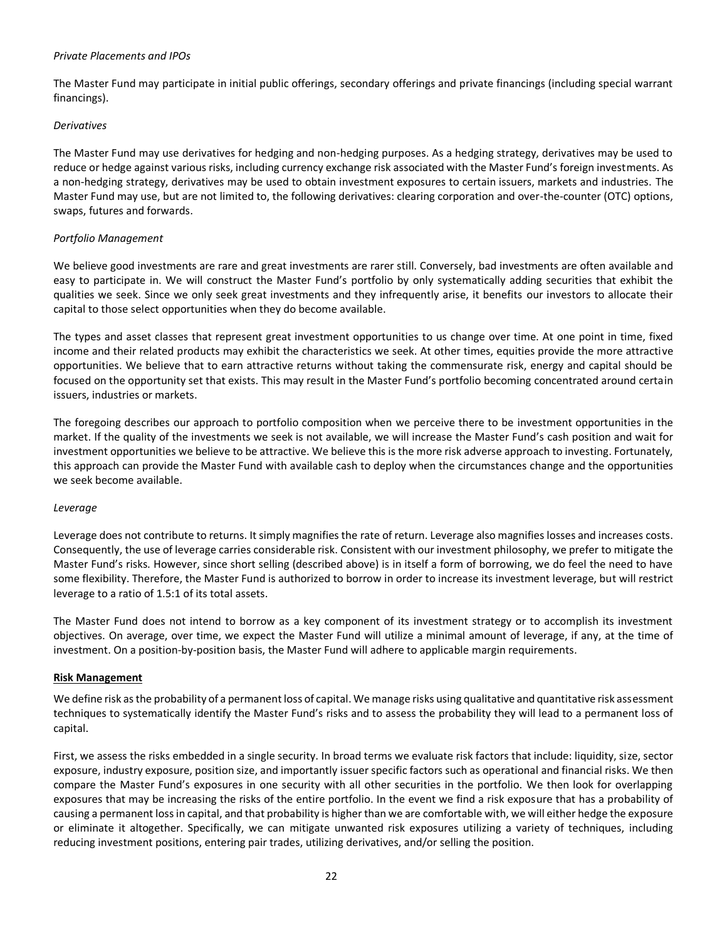#### *Private Placements and IPOs*

The Master Fund may participate in initial public offerings, secondary offerings and private financings (including special warrant financings).

## *Derivatives*

The Master Fund may use derivatives for hedging and non-hedging purposes. As a hedging strategy, derivatives may be used to reduce or hedge against various risks, including currency exchange risk associated with the Master Fund's foreign investments. As a non-hedging strategy, derivatives may be used to obtain investment exposures to certain issuers, markets and industries. The Master Fund may use, but are not limited to, the following derivatives: clearing corporation and over-the-counter (OTC) options, swaps, futures and forwards.

## *Portfolio Management*

We believe good investments are rare and great investments are rarer still. Conversely, bad investments are often available and easy to participate in. We will construct the Master Fund's portfolio by only systematically adding securities that exhibit the qualities we seek. Since we only seek great investments and they infrequently arise, it benefits our investors to allocate their capital to those select opportunities when they do become available.

The types and asset classes that represent great investment opportunities to us change over time. At one point in time, fixed income and their related products may exhibit the characteristics we seek. At other times, equities provide the more attractive opportunities. We believe that to earn attractive returns without taking the commensurate risk, energy and capital should be focused on the opportunity set that exists. This may result in the Master Fund's portfolio becoming concentrated around certain issuers, industries or markets.

The foregoing describes our approach to portfolio composition when we perceive there to be investment opportunities in the market. If the quality of the investments we seek is not available, we will increase the Master Fund's cash position and wait for investment opportunities we believe to be attractive. We believe this is the more risk adverse approach to investing. Fortunately, this approach can provide the Master Fund with available cash to deploy when the circumstances change and the opportunities we seek become available.

#### *Leverage*

Leverage does not contribute to returns. It simply magnifies the rate of return. Leverage also magnifies losses and increases costs. Consequently, the use of leverage carries considerable risk. Consistent with our investment philosophy, we prefer to mitigate the Master Fund's risks. However, since short selling (described above) is in itself a form of borrowing, we do feel the need to have some flexibility. Therefore, the Master Fund is authorized to borrow in order to increase its investment leverage, but will restrict leverage to a ratio of 1.5:1 of its total assets.

The Master Fund does not intend to borrow as a key component of its investment strategy or to accomplish its investment objectives. On average, over time, we expect the Master Fund will utilize a minimal amount of leverage, if any, at the time of investment. On a position-by-position basis, the Master Fund will adhere to applicable margin requirements.

## **Risk Management**

We define risk as the probability of a permanent loss of capital. We manage risks using qualitative and quantitative risk assessment techniques to systematically identify the Master Fund's risks and to assess the probability they will lead to a permanent loss of capital.

First, we assess the risks embedded in a single security. In broad terms we evaluate risk factors that include: liquidity, size, sector exposure, industry exposure, position size, and importantly issuer specific factors such as operational and financial risks. We then compare the Master Fund's exposures in one security with all other securities in the portfolio. We then look for overlapping exposures that may be increasing the risks of the entire portfolio. In the event we find a risk exposure that has a probability of causing a permanent loss in capital, and that probability is higher than we are comfortable with, we will either hedge the exposure or eliminate it altogether. Specifically, we can mitigate unwanted risk exposures utilizing a variety of techniques, including reducing investment positions, entering pair trades, utilizing derivatives, and/or selling the position.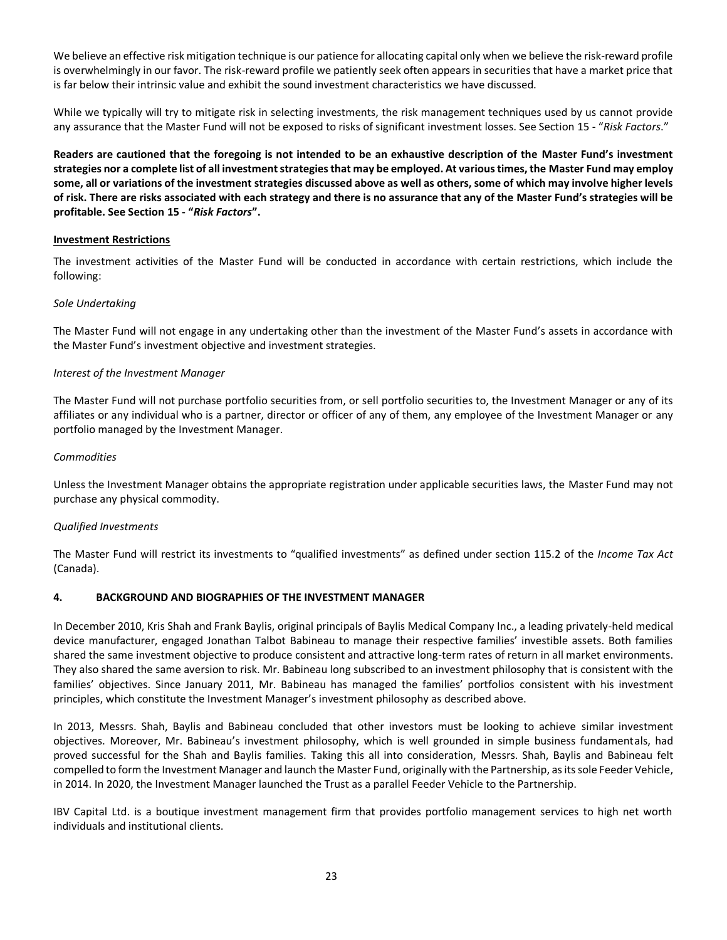We believe an effective risk mitigation technique is our patience for allocating capital only when we believe the risk-reward profile is overwhelmingly in our favor. The risk-reward profile we patiently seek often appears in securities that have a market price that is far below their intrinsic value and exhibit the sound investment characteristics we have discussed.

While we typically will try to mitigate risk in selecting investments, the risk management techniques used by us cannot provide any assurance that the Master Fund will not be exposed to risks of significant investment losses. See Sectio[n 15](#page-41-0) - "*Risk Factors*."

**Readers are cautioned that the foregoing is not intended to be an exhaustive description of the Master Fund's investment strategies nor a complete list of all investment strategies that may be employed. At various times, the Master Fund may employ some, all or variations of the investment strategies discussed above as well as others, some of which may involve higher levels of risk. There are risks associated with each strategy and there is no assurance that any of the Master Fund's strategies will be profitable. See Section [15](#page-41-0) - "***Risk Factors***".**

#### **Investment Restrictions**

The investment activities of the Master Fund will be conducted in accordance with certain restrictions, which include the following:

#### *Sole Undertaking*

The Master Fund will not engage in any undertaking other than the investment of the Master Fund's assets in accordance with the Master Fund's investment objective and investment strategies.

#### *Interest of the Investment Manager*

The Master Fund will not purchase portfolio securities from, or sell portfolio securities to, the Investment Manager or any of its affiliates or any individual who is a partner, director or officer of any of them, any employee of the Investment Manager or any portfolio managed by the Investment Manager.

#### *Commodities*

Unless the Investment Manager obtains the appropriate registration under applicable securities laws, the Master Fund may not purchase any physical commodity.

#### *Qualified Investments*

The Master Fund will restrict its investments to "qualified investments" as defined under section 115.2 of the *Income Tax Act* (Canada).

## <span id="page-22-0"></span>**4. BACKGROUND AND BIOGRAPHIES OF THE INVESTMENT MANAGER**

In December 2010, Kris Shah and Frank Baylis, original principals of Baylis Medical Company Inc., a leading privately-held medical device manufacturer, engaged Jonathan Talbot Babineau to manage their respective families' investible assets. Both families shared the same investment objective to produce consistent and attractive long-term rates of return in all market environments. They also shared the same aversion to risk. Mr. Babineau long subscribed to an investment philosophy that is consistent with the families' objectives. Since January 2011, Mr. Babineau has managed the families' portfolios consistent with his investment principles, which constitute the Investment Manager's investment philosophy as described above.

In 2013, Messrs. Shah, Baylis and Babineau concluded that other investors must be looking to achieve similar investment objectives. Moreover, Mr. Babineau's investment philosophy, which is well grounded in simple business fundamentals, had proved successful for the Shah and Baylis families. Taking this all into consideration, Messrs. Shah, Baylis and Babineau felt compelled to form the Investment Manager and launch the Master Fund, originally with the Partnership, as its sole Feeder Vehicle, in 2014. In 2020, the Investment Manager launched the Trust as a parallel Feeder Vehicle to the Partnership.

IBV Capital Ltd. is a boutique investment management firm that provides portfolio management services to high net worth individuals and institutional clients.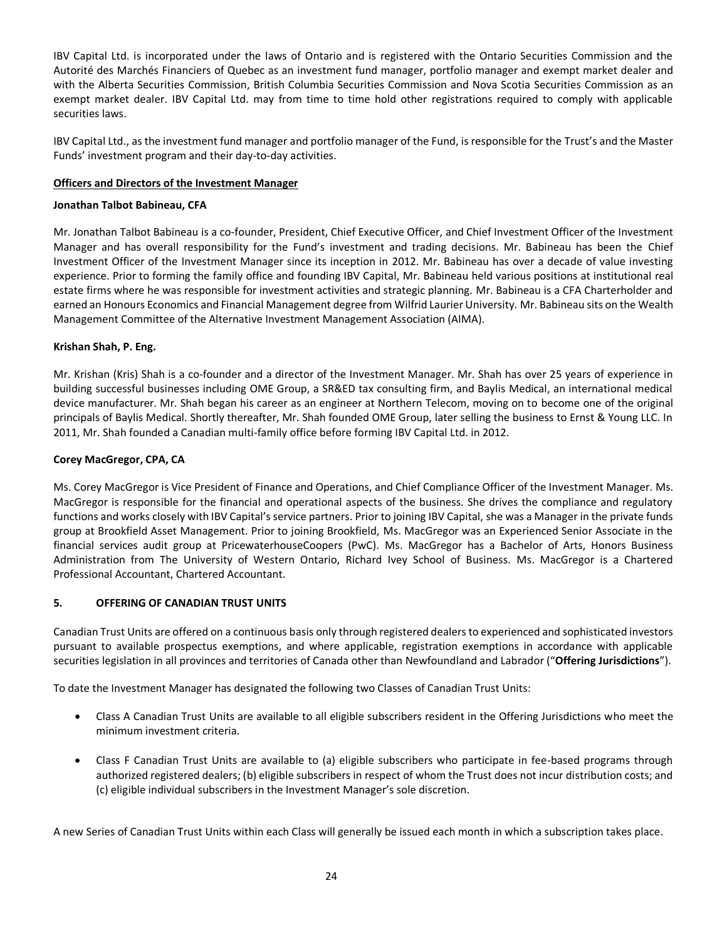IBV Capital Ltd. is incorporated under the laws of Ontario and is registered with the Ontario Securities Commission and the Autorité des Marchés Financiers of Quebec as an investment fund manager, portfolio manager and exempt market dealer and with the Alberta Securities Commission, British Columbia Securities Commission and Nova Scotia Securities Commission as an exempt market dealer. IBV Capital Ltd. may from time to time hold other registrations required to comply with applicable securities laws.

IBV Capital Ltd., as the investment fund manager and portfolio manager of the Fund, is responsible for the Trust's and the Master Funds' investment program and their day-to-day activities.

## **Officers and Directors of the Investment Manager**

## **Jonathan Talbot Babineau, CFA**

Mr. Jonathan Talbot Babineau is a co-founder, President, Chief Executive Officer, and Chief Investment Officer of the Investment Manager and has overall responsibility for the Fund's investment and trading decisions. Mr. Babineau has been the Chief Investment Officer of the Investment Manager since its inception in 2012. Mr. Babineau has over a decade of value investing experience. Prior to forming the family office and founding IBV Capital, Mr. Babineau held various positions at institutional real estate firms where he was responsible for investment activities and strategic planning. Mr. Babineau is a CFA Charterholder and earned an Honours Economics and Financial Management degree from Wilfrid Laurier University. Mr. Babineau sits on the Wealth Management Committee of the Alternative Investment Management Association (AIMA).

# **Krishan Shah, P. Eng.**

Mr. Krishan (Kris) Shah is a co-founder and a director of the Investment Manager. Mr. Shah has over 25 years of experience in building successful businesses including OME Group, a SR&ED tax consulting firm, and Baylis Medical, an international medical device manufacturer. Mr. Shah began his career as an engineer at Northern Telecom, moving on to become one of the original principals of Baylis Medical. Shortly thereafter, Mr. Shah founded OME Group, later selling the business to Ernst & Young LLC. In 2011, Mr. Shah founded a Canadian multi-family office before forming IBV Capital Ltd. in 2012.

# **Corey MacGregor, CPA, CA**

Ms. Corey MacGregor is Vice President of Finance and Operations, and Chief Compliance Officer of the Investment Manager. Ms. MacGregor is responsible for the financial and operational aspects of the business. She drives the compliance and regulatory functions and works closely with IBV Capital's service partners. Prior to joining IBV Capital, she was a Manager in the private funds group at Brookfield Asset Management. Prior to joining Brookfield, Ms. MacGregor was an Experienced Senior Associate in the financial services audit group at PricewaterhouseCoopers (PwC). Ms. MacGregor has a Bachelor of Arts, Honors Business Administration from The University of Western Ontario, Richard Ivey School of Business. Ms. MacGregor is a Chartered Professional Accountant, Chartered Accountant.

# <span id="page-23-0"></span>**5. OFFERING OF CANADIAN TRUST UNITS**

Canadian Trust Units are offered on a continuous basis only through registered dealers to experienced and sophisticated investors pursuant to available prospectus exemptions, and where applicable, registration exemptions in accordance with applicable securities legislation in all provinces and territories of Canada other than Newfoundland and Labrador ("**Offering Jurisdictions**").

To date the Investment Manager has designated the following two Classes of Canadian Trust Units:

- Class A Canadian Trust Units are available to all eligible subscribers resident in the Offering Jurisdictions who meet the minimum investment criteria.
- Class F Canadian Trust Units are available to (a) eligible subscribers who participate in fee-based programs through authorized registered dealers; (b) eligible subscribers in respect of whom the Trust does not incur distribution costs; and (c) eligible individual subscribers in the Investment Manager's sole discretion.

A new Series of Canadian Trust Units within each Class will generally be issued each month in which a subscription takes place.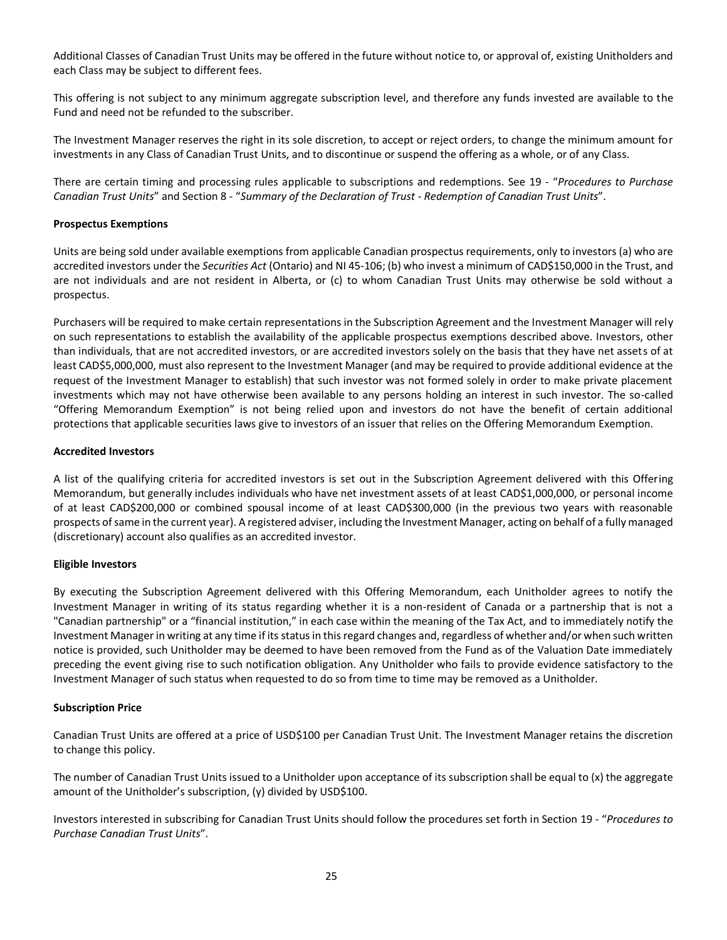Additional Classes of Canadian Trust Units may be offered in the future without notice to, or approval of, existing Unitholders and each Class may be subject to different fees.

This offering is not subject to any minimum aggregate subscription level, and therefore any funds invested are available to the Fund and need not be refunded to the subscriber.

The Investment Manager reserves the right in its sole discretion, to accept or reject orders, to change the minimum amount for investments in any Class of Canadian Trust Units, and to discontinue or suspend the offering as a whole, or of any Class.

There are certain timing and processing rules applicable to subscriptions and redemptions. See [19](#page-57-0) - "*Procedures to Purchase Canadian Trust Units*" and Section [8](#page-28-0) - "*Summary of the Declaration of Trust - Redemption of Canadian Trust Units*".

#### **Prospectus Exemptions**

Units are being sold under available exemptions from applicable Canadian prospectus requirements, only to investors (a) who are accredited investors under the *Securities Act* (Ontario) and NI 45-106; (b) who invest a minimum of CAD\$150,000 in the Trust, and are not individuals and are not resident in Alberta, or (c) to whom Canadian Trust Units may otherwise be sold without a prospectus.

Purchasers will be required to make certain representations in the Subscription Agreement and the Investment Manager will rely on such representations to establish the availability of the applicable prospectus exemptions described above. Investors, other than individuals, that are not accredited investors, or are accredited investors solely on the basis that they have net assets of at least CAD\$5,000,000, must also represent to the Investment Manager (and may be required to provide additional evidence at the request of the Investment Manager to establish) that such investor was not formed solely in order to make private placement investments which may not have otherwise been available to any persons holding an interest in such investor. The so-called "Offering Memorandum Exemption" is not being relied upon and investors do not have the benefit of certain additional protections that applicable securities laws give to investors of an issuer that relies on the Offering Memorandum Exemption.

#### **Accredited Investors**

A list of the qualifying criteria for accredited investors is set out in the Subscription Agreement delivered with this Offering Memorandum, but generally includes individuals who have net investment assets of at least CAD\$1,000,000, or personal income of at least CAD\$200,000 or combined spousal income of at least CAD\$300,000 (in the previous two years with reasonable prospects of same in the current year). A registered adviser, including the Investment Manager, acting on behalf of a fully managed (discretionary) account also qualifies as an accredited investor.

## **Eligible Investors**

By executing the Subscription Agreement delivered with this Offering Memorandum, each Unitholder agrees to notify the Investment Manager in writing of its status regarding whether it is a non-resident of Canada or a partnership that is not a "Canadian partnership" or a "financial institution," in each case within the meaning of the Tax Act, and to immediately notify the Investment Manager in writing at any time if its status in this regard changes and, regardless of whether and/or when such written notice is provided, such Unitholder may be deemed to have been removed from the Fund as of the Valuation Date immediately preceding the event giving rise to such notification obligation. Any Unitholder who fails to provide evidence satisfactory to the Investment Manager of such status when requested to do so from time to time may be removed as a Unitholder.

#### **Subscription Price**

Canadian Trust Units are offered at a price of USD\$100 per Canadian Trust Unit. The Investment Manager retains the discretion to change this policy.

The number of Canadian Trust Units issued to a Unitholder upon acceptance of its subscription shall be equal to (x) the aggregate amount of the Unitholder's subscription, (y) divided by USD\$100.

Investors interested in subscribing for Canadian Trust Units should follow the procedures set forth in Section [19](#page-57-0) - "*Procedures to Purchase Canadian Trust Units*".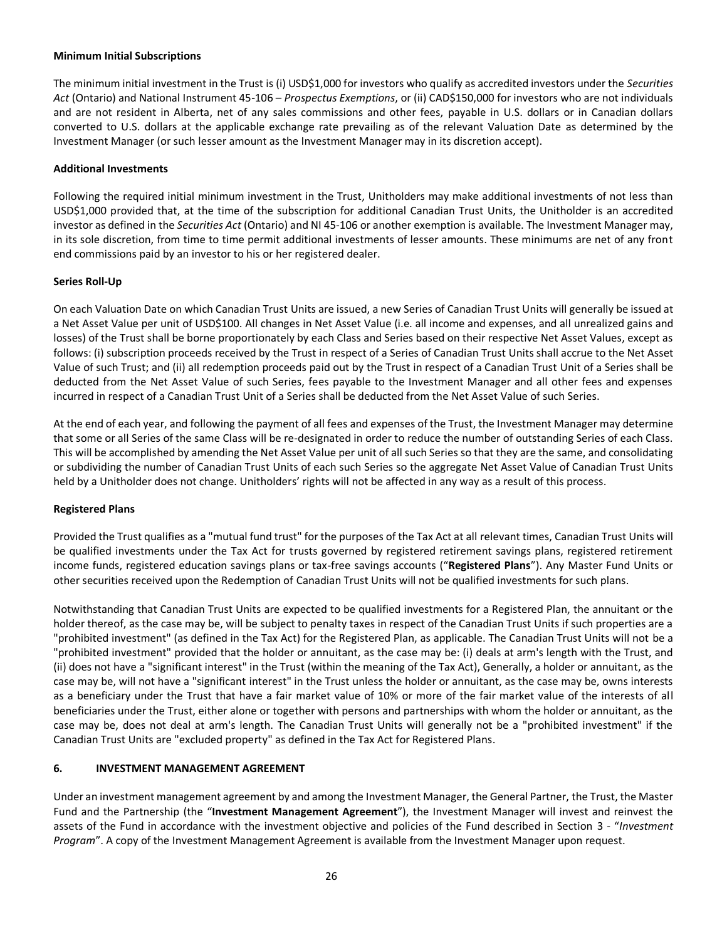#### **Minimum Initial Subscriptions**

The minimum initial investment in the Trust is (i) USD\$1,000 for investors who qualify as accredited investors under the *Securities Act* (Ontario) and National Instrument 45-106 – *Prospectus Exemptions*, or (ii) CAD\$150,000 for investors who are not individuals and are not resident in Alberta, net of any sales commissions and other fees, payable in U.S. dollars or in Canadian dollars converted to U.S. dollars at the applicable exchange rate prevailing as of the relevant Valuation Date as determined by the Investment Manager (or such lesser amount as the Investment Manager may in its discretion accept).

#### **Additional Investments**

Following the required initial minimum investment in the Trust, Unitholders may make additional investments of not less than USD\$1,000 provided that, at the time of the subscription for additional Canadian Trust Units, the Unitholder is an accredited investor as defined in the *Securities Act* (Ontario) and NI 45-106 or another exemption is available. The Investment Manager may, in its sole discretion, from time to time permit additional investments of lesser amounts. These minimums are net of any front end commissions paid by an investor to his or her registered dealer.

#### **Series Roll-Up**

On each Valuation Date on which Canadian Trust Units are issued, a new Series of Canadian Trust Units will generally be issued at a Net Asset Value per unit of USD\$100. All changes in Net Asset Value (i.e. all income and expenses, and all unrealized gains and losses) of the Trust shall be borne proportionately by each Class and Series based on their respective Net Asset Values, except as follows: (i) subscription proceeds received by the Trust in respect of a Series of Canadian Trust Units shall accrue to the Net Asset Value of such Trust; and (ii) all redemption proceeds paid out by the Trust in respect of a Canadian Trust Unit of a Series shall be deducted from the Net Asset Value of such Series, fees payable to the Investment Manager and all other fees and expenses incurred in respect of a Canadian Trust Unit of a Series shall be deducted from the Net Asset Value of such Series.

At the end of each year, and following the payment of all fees and expenses of the Trust, the Investment Manager may determine that some or all Series of the same Class will be re-designated in order to reduce the number of outstanding Series of each Class. This will be accomplished by amending the Net Asset Value per unit of all such Series so that they are the same, and consolidating or subdividing the number of Canadian Trust Units of each such Series so the aggregate Net Asset Value of Canadian Trust Units held by a Unitholder does not change. Unitholders' rights will not be affected in any way as a result of this process.

## **Registered Plans**

Provided the Trust qualifies as a "mutual fund trust" for the purposes of the Tax Act at all relevant times, Canadian Trust Units will be qualified investments under the Tax Act for trusts governed by registered retirement savings plans, registered retirement income funds, registered education savings plans or tax-free savings accounts ("**Registered Plans**"). Any Master Fund Units or other securities received upon the Redemption of Canadian Trust Units will not be qualified investments for such plans.

Notwithstanding that Canadian Trust Units are expected to be qualified investments for a Registered Plan, the annuitant or the holder thereof, as the case may be, will be subject to penalty taxes in respect of the Canadian Trust Units if such properties are a "prohibited investment" (as defined in the Tax Act) for the Registered Plan, as applicable. The Canadian Trust Units will not be a "prohibited investment" provided that the holder or annuitant, as the case may be: (i) deals at arm's length with the Trust, and (ii) does not have a "significant interest" in the Trust (within the meaning of the Tax Act), Generally, a holder or annuitant, as the case may be, will not have a "significant interest" in the Trust unless the holder or annuitant, as the case may be, owns interests as a beneficiary under the Trust that have a fair market value of 10% or more of the fair market value of the interests of all beneficiaries under the Trust, either alone or together with persons and partnerships with whom the holder or annuitant, as the case may be, does not deal at arm's length. The Canadian Trust Units will generally not be a "prohibited investment" if the Canadian Trust Units are "excluded property" as defined in the Tax Act for Registered Plans.

## <span id="page-25-0"></span>**6. INVESTMENT MANAGEMENT AGREEMENT**

Under an investment management agreement by and among the Investment Manager, the General Partner, the Trust, the Master Fund and the Partnership (the "**Investment Management Agreement**"), the Investment Manager will invest and reinvest the assets of the Fund in accordance with the investment objective and policies of the Fund described in Section [3](#page-19-0) - "*Investment Program*". A copy of the Investment Management Agreement is available from the Investment Manager upon request.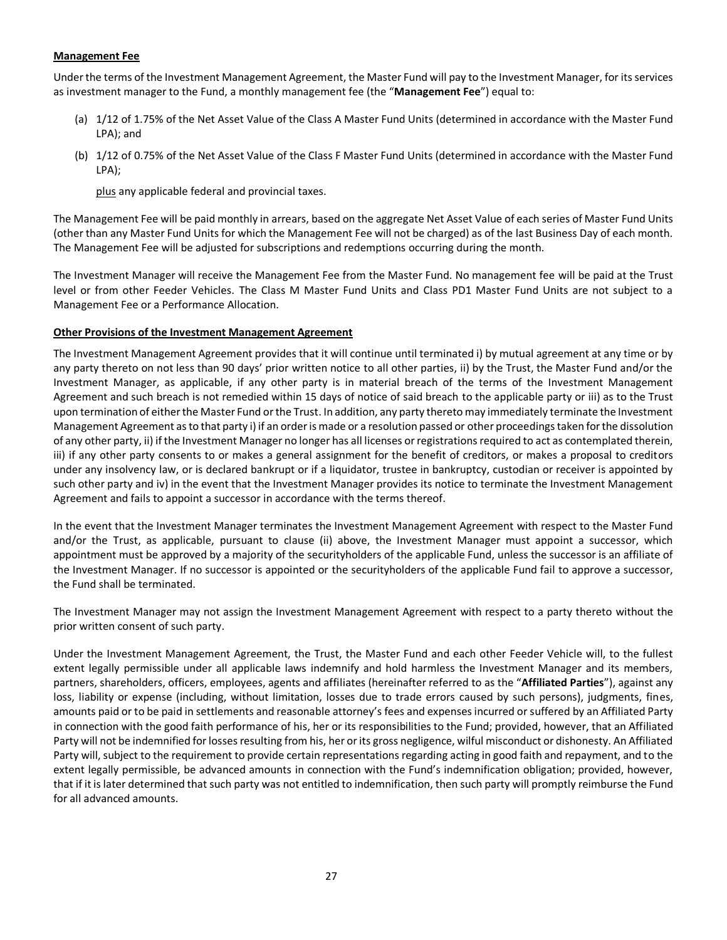#### **Management Fee**

Under the terms of the Investment Management Agreement, the Master Fund will pay to the Investment Manager, for its services as investment manager to the Fund, a monthly management fee (the "**Management Fee**") equal to:

- (a) 1/12 of 1.75% of the Net Asset Value of the Class A Master Fund Units (determined in accordance with the Master Fund LPA); and
- (b) 1/12 of 0.75% of the Net Asset Value of the Class F Master Fund Units (determined in accordance with the Master Fund LPA);

plus any applicable federal and provincial taxes.

The Management Fee will be paid monthly in arrears, based on the aggregate Net Asset Value of each series of Master Fund Units (other than any Master Fund Units for which the Management Fee will not be charged) as of the last Business Day of each month. The Management Fee will be adjusted for subscriptions and redemptions occurring during the month.

The Investment Manager will receive the Management Fee from the Master Fund. No management fee will be paid at the Trust level or from other Feeder Vehicles. The Class M Master Fund Units and Class PD1 Master Fund Units are not subject to a Management Fee or a Performance Allocation.

#### **Other Provisions of the Investment Management Agreement**

The Investment Management Agreement provides that it will continue until terminated i) by mutual agreement at any time or by any party thereto on not less than 90 days' prior written notice to all other parties, ii) by the Trust, the Master Fund and/or the Investment Manager, as applicable, if any other party is in material breach of the terms of the Investment Management Agreement and such breach is not remedied within 15 days of notice of said breach to the applicable party or iii) as to the Trust upon termination of either the Master Fund or the Trust. In addition, any party thereto may immediately terminate the Investment Management Agreement as to that party i) if an order is made or a resolution passed or other proceedings taken for the dissolution of any other party, ii) if the Investment Manager no longer has all licenses or registrations required to act as contemplated therein, iii) if any other party consents to or makes a general assignment for the benefit of creditors, or makes a proposal to creditors under any insolvency law, or is declared bankrupt or if a liquidator, trustee in bankruptcy, custodian or receiver is appointed by such other party and iv) in the event that the Investment Manager provides its notice to terminate the Investment Management Agreement and fails to appoint a successor in accordance with the terms thereof.

In the event that the Investment Manager terminates the Investment Management Agreement with respect to the Master Fund and/or the Trust, as applicable, pursuant to clause (ii) above, the Investment Manager must appoint a successor, which appointment must be approved by a majority of the securityholders of the applicable Fund, unless the successor is an affiliate of the Investment Manager. If no successor is appointed or the securityholders of the applicable Fund fail to approve a successor, the Fund shall be terminated.

The Investment Manager may not assign the Investment Management Agreement with respect to a party thereto without the prior written consent of such party.

Under the Investment Management Agreement, the Trust, the Master Fund and each other Feeder Vehicle will, to the fullest extent legally permissible under all applicable laws indemnify and hold harmless the Investment Manager and its members, partners, shareholders, officers, employees, agents and affiliates (hereinafter referred to as the "**Affiliated Parties**"), against any loss, liability or expense (including, without limitation, losses due to trade errors caused by such persons), judgments, fines, amounts paid or to be paid in settlements and reasonable attorney's fees and expenses incurred or suffered by an Affiliated Party in connection with the good faith performance of his, her or its responsibilities to the Fund; provided, however, that an Affiliated Party will not be indemnified for losses resulting from his, her or its gross negligence, wilful misconduct or dishonesty. An Affiliated Party will, subject to the requirement to provide certain representations regarding acting in good faith and repayment, and to the extent legally permissible, be advanced amounts in connection with the Fund's indemnification obligation; provided, however, that if it is later determined that such party was not entitled to indemnification, then such party will promptly reimburse the Fund for all advanced amounts.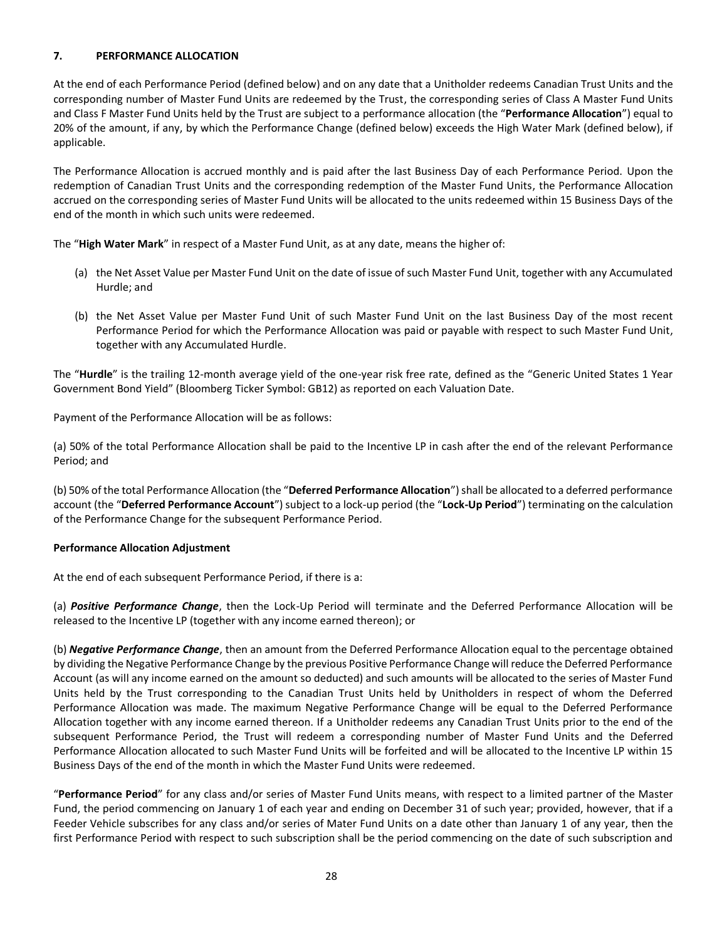# <span id="page-27-0"></span>**7. PERFORMANCE ALLOCATION**

At the end of each Performance Period (defined below) and on any date that a Unitholder redeems Canadian Trust Units and the corresponding number of Master Fund Units are redeemed by the Trust, the corresponding series of Class A Master Fund Units and Class F Master Fund Units held by the Trust are subject to a performance allocation (the "**Performance Allocation**") equal to 20% of the amount, if any, by which the Performance Change (defined below) exceeds the High Water Mark (defined below), if applicable.

The Performance Allocation is accrued monthly and is paid after the last Business Day of each Performance Period. Upon the redemption of Canadian Trust Units and the corresponding redemption of the Master Fund Units, the Performance Allocation accrued on the corresponding series of Master Fund Units will be allocated to the units redeemed within 15 Business Days of the end of the month in which such units were redeemed.

The "**High Water Mark**" in respect of a Master Fund Unit, as at any date, means the higher of:

- (a) the Net Asset Value per Master Fund Unit on the date of issue of such Master Fund Unit, together with any Accumulated Hurdle; and
- (b) the Net Asset Value per Master Fund Unit of such Master Fund Unit on the last Business Day of the most recent Performance Period for which the Performance Allocation was paid or payable with respect to such Master Fund Unit, together with any Accumulated Hurdle.

The "**Hurdle**" is the trailing 12-month average yield of the one-year risk free rate, defined as the "Generic United States 1 Year Government Bond Yield" (Bloomberg Ticker Symbol: GB12) as reported on each Valuation Date.

Payment of the Performance Allocation will be as follows:

(a) 50% of the total Performance Allocation shall be paid to the Incentive LP in cash after the end of the relevant Performance Period; and

(b) 50% of the total Performance Allocation (the "**Deferred Performance Allocation**") shall be allocated to a deferred performance account (the "**Deferred Performance Account**") subject to a lock-up period (the "**Lock-Up Period**") terminating on the calculation of the Performance Change for the subsequent Performance Period.

## **Performance Allocation Adjustment**

At the end of each subsequent Performance Period, if there is a:

(a) *Positive Performance Change*, then the Lock-Up Period will terminate and the Deferred Performance Allocation will be released to the Incentive LP (together with any income earned thereon); or

(b) *Negative Performance Change*, then an amount from the Deferred Performance Allocation equal to the percentage obtained by dividing the Negative Performance Change by the previous Positive Performance Change will reduce the Deferred Performance Account (as will any income earned on the amount so deducted) and such amounts will be allocated to the series of Master Fund Units held by the Trust corresponding to the Canadian Trust Units held by Unitholders in respect of whom the Deferred Performance Allocation was made. The maximum Negative Performance Change will be equal to the Deferred Performance Allocation together with any income earned thereon. If a Unitholder redeems any Canadian Trust Units prior to the end of the subsequent Performance Period, the Trust will redeem a corresponding number of Master Fund Units and the Deferred Performance Allocation allocated to such Master Fund Units will be forfeited and will be allocated to the Incentive LP within 15 Business Days of the end of the month in which the Master Fund Units were redeemed.

"**Performance Period**" for any class and/or series of Master Fund Units means, with respect to a limited partner of the Master Fund, the period commencing on January 1 of each year and ending on December 31 of such year; provided, however, that if a Feeder Vehicle subscribes for any class and/or series of Mater Fund Units on a date other than January 1 of any year, then the first Performance Period with respect to such subscription shall be the period commencing on the date of such subscription and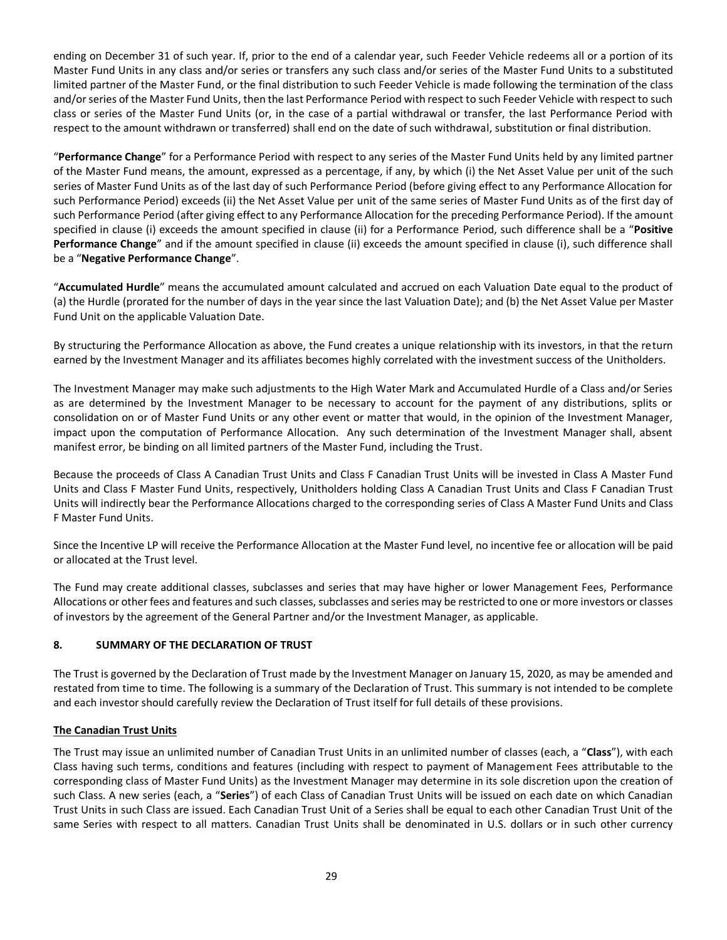ending on December 31 of such year. If, prior to the end of a calendar year, such Feeder Vehicle redeems all or a portion of its Master Fund Units in any class and/or series or transfers any such class and/or series of the Master Fund Units to a substituted limited partner of the Master Fund, or the final distribution to such Feeder Vehicle is made following the termination of the class and/or series of the Master Fund Units, then the last Performance Period with respect to such Feeder Vehicle with respect to such class or series of the Master Fund Units (or, in the case of a partial withdrawal or transfer, the last Performance Period with respect to the amount withdrawn or transferred) shall end on the date of such withdrawal, substitution or final distribution.

"**Performance Change**" for a Performance Period with respect to any series of the Master Fund Units held by any limited partner of the Master Fund means, the amount, expressed as a percentage, if any, by which (i) the Net Asset Value per unit of the such series of Master Fund Units as of the last day of such Performance Period (before giving effect to any Performance Allocation for such Performance Period) exceeds (ii) the Net Asset Value per unit of the same series of Master Fund Units as of the first day of such Performance Period (after giving effect to any Performance Allocation for the preceding Performance Period). If the amount specified in clause (i) exceeds the amount specified in clause (ii) for a Performance Period, such difference shall be a "**Positive Performance Change**" and if the amount specified in clause (ii) exceeds the amount specified in clause (i), such difference shall be a "**Negative Performance Change**".

"**Accumulated Hurdle**" means the accumulated amount calculated and accrued on each Valuation Date equal to the product of (a) the Hurdle (prorated for the number of days in the year since the last Valuation Date); and (b) the Net Asset Value per Master Fund Unit on the applicable Valuation Date.

By structuring the Performance Allocation as above, the Fund creates a unique relationship with its investors, in that the return earned by the Investment Manager and its affiliates becomes highly correlated with the investment success of the Unitholders.

The Investment Manager may make such adjustments to the High Water Mark and Accumulated Hurdle of a Class and/or Series as are determined by the Investment Manager to be necessary to account for the payment of any distributions, splits or consolidation on or of Master Fund Units or any other event or matter that would, in the opinion of the Investment Manager, impact upon the computation of Performance Allocation. Any such determination of the Investment Manager shall, absent manifest error, be binding on all limited partners of the Master Fund, including the Trust.

Because the proceeds of Class A Canadian Trust Units and Class F Canadian Trust Units will be invested in Class A Master Fund Units and Class F Master Fund Units, respectively, Unitholders holding Class A Canadian Trust Units and Class F Canadian Trust Units will indirectly bear the Performance Allocations charged to the corresponding series of Class A Master Fund Units and Class F Master Fund Units.

Since the Incentive LP will receive the Performance Allocation at the Master Fund level, no incentive fee or allocation will be paid or allocated at the Trust level.

The Fund may create additional classes, subclasses and series that may have higher or lower Management Fees, Performance Allocations or other fees and features and such classes, subclasses and series may be restricted to one or more investors or classes of investors by the agreement of the General Partner and/or the Investment Manager, as applicable.

# <span id="page-28-0"></span>**8. SUMMARY OF THE DECLARATION OF TRUST**

The Trust is governed by the Declaration of Trust made by the Investment Manager on January 15, 2020, as may be amended and restated from time to time. The following is a summary of the Declaration of Trust. This summary is not intended to be complete and each investor should carefully review the Declaration of Trust itself for full details of these provisions.

## **The Canadian Trust Units**

The Trust may issue an unlimited number of Canadian Trust Units in an unlimited number of classes (each, a "**Class**"), with each Class having such terms, conditions and features (including with respect to payment of Management Fees attributable to the corresponding class of Master Fund Units) as the Investment Manager may determine in its sole discretion upon the creation of such Class. A new series (each, a "**Series**") of each Class of Canadian Trust Units will be issued on each date on which Canadian Trust Units in such Class are issued. Each Canadian Trust Unit of a Series shall be equal to each other Canadian Trust Unit of the same Series with respect to all matters. Canadian Trust Units shall be denominated in U.S. dollars or in such other currency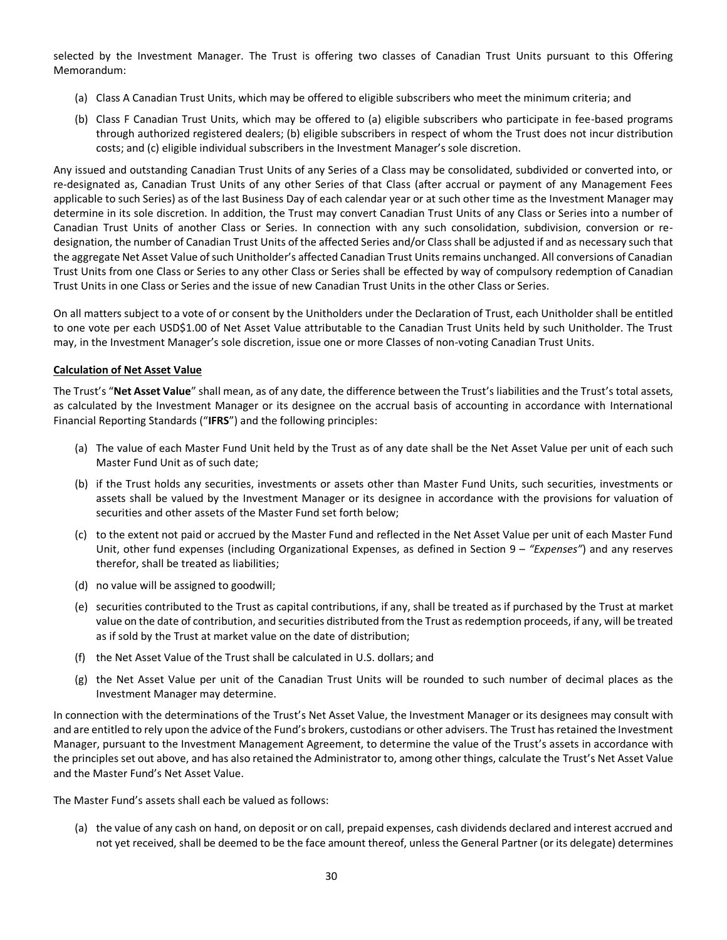selected by the Investment Manager. The Trust is offering two classes of Canadian Trust Units pursuant to this Offering Memorandum:

- (a) Class A Canadian Trust Units, which may be offered to eligible subscribers who meet the minimum criteria; and
- (b) Class F Canadian Trust Units, which may be offered to (a) eligible subscribers who participate in fee-based programs through authorized registered dealers; (b) eligible subscribers in respect of whom the Trust does not incur distribution costs; and (c) eligible individual subscribers in the Investment Manager's sole discretion.

Any issued and outstanding Canadian Trust Units of any Series of a Class may be consolidated, subdivided or converted into, or re-designated as, Canadian Trust Units of any other Series of that Class (after accrual or payment of any Management Fees applicable to such Series) as of the last Business Day of each calendar year or at such other time as the Investment Manager may determine in its sole discretion. In addition, the Trust may convert Canadian Trust Units of any Class or Series into a number of Canadian Trust Units of another Class or Series. In connection with any such consolidation, subdivision, conversion or redesignation, the number of Canadian Trust Units of the affected Series and/or Class shall be adjusted if and as necessary such that the aggregate Net Asset Value of such Unitholder's affected Canadian Trust Units remains unchanged. All conversions of Canadian Trust Units from one Class or Series to any other Class or Series shall be effected by way of compulsory redemption of Canadian Trust Units in one Class or Series and the issue of new Canadian Trust Units in the other Class or Series.

On all matters subject to a vote of or consent by the Unitholders under the Declaration of Trust, each Unitholder shall be entitled to one vote per each USD\$1.00 of Net Asset Value attributable to the Canadian Trust Units held by such Unitholder. The Trust may, in the Investment Manager's sole discretion, issue one or more Classes of non-voting Canadian Trust Units.

#### **Calculation of Net Asset Value**

The Trust's "**Net Asset Value**" shall mean, as of any date, the difference between the Trust's liabilities and the Trust's total assets, as calculated by the Investment Manager or its designee on the accrual basis of accounting in accordance with International Financial Reporting Standards ("**IFRS**") and the following principles:

- (a) The value of each Master Fund Unit held by the Trust as of any date shall be the Net Asset Value per unit of each such Master Fund Unit as of such date;
- (b) if the Trust holds any securities, investments or assets other than Master Fund Units, such securities, investments or assets shall be valued by the Investment Manager or its designee in accordance with the provisions for valuation of securities and other assets of the Master Fund set forth below;
- (c) to the extent not paid or accrued by the Master Fund and reflected in the Net Asset Value per unit of each Master Fund Unit, other fund expenses (including Organizational Expenses, as defined in Section [9](#page-36-0) – *"Expenses"*) and any reserves therefor, shall be treated as liabilities;
- (d) no value will be assigned to goodwill;
- (e) securities contributed to the Trust as capital contributions, if any, shall be treated as if purchased by the Trust at market value on the date of contribution, and securities distributed from the Trust as redemption proceeds, if any, will be treated as if sold by the Trust at market value on the date of distribution;
- (f) the Net Asset Value of the Trust shall be calculated in U.S. dollars; and
- (g) the Net Asset Value per unit of the Canadian Trust Units will be rounded to such number of decimal places as the Investment Manager may determine.

In connection with the determinations of the Trust's Net Asset Value, the Investment Manager or its designees may consult with and are entitled to rely upon the advice of the Fund's brokers, custodians or other advisers. The Trust has retained the Investment Manager, pursuant to the Investment Management Agreement, to determine the value of the Trust's assets in accordance with the principles set out above, and has also retained the Administrator to, among other things, calculate the Trust's Net Asset Value and the Master Fund's Net Asset Value.

The Master Fund's assets shall each be valued as follows:

(a) the value of any cash on hand, on deposit or on call, prepaid expenses, cash dividends declared and interest accrued and not yet received, shall be deemed to be the face amount thereof, unless the General Partner (or its delegate) determines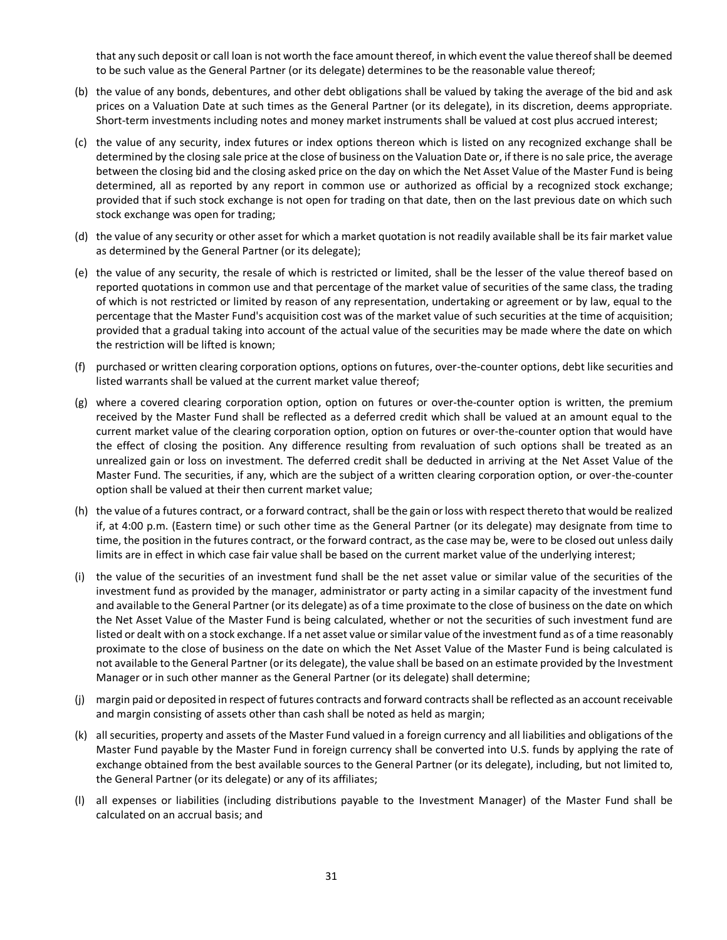that any such deposit or call loan is not worth the face amount thereof, in which event the value thereof shall be deemed to be such value as the General Partner (or its delegate) determines to be the reasonable value thereof;

- (b) the value of any bonds, debentures, and other debt obligations shall be valued by taking the average of the bid and ask prices on a Valuation Date at such times as the General Partner (or its delegate), in its discretion, deems appropriate. Short-term investments including notes and money market instruments shall be valued at cost plus accrued interest;
- (c) the value of any security, index futures or index options thereon which is listed on any recognized exchange shall be determined by the closing sale price at the close of business on the Valuation Date or, if there is no sale price, the average between the closing bid and the closing asked price on the day on which the Net Asset Value of the Master Fund is being determined, all as reported by any report in common use or authorized as official by a recognized stock exchange; provided that if such stock exchange is not open for trading on that date, then on the last previous date on which such stock exchange was open for trading;
- (d) the value of any security or other asset for which a market quotation is not readily available shall be its fair market value as determined by the General Partner (or its delegate);
- (e) the value of any security, the resale of which is restricted or limited, shall be the lesser of the value thereof based on reported quotations in common use and that percentage of the market value of securities of the same class, the trading of which is not restricted or limited by reason of any representation, undertaking or agreement or by law, equal to the percentage that the Master Fund's acquisition cost was of the market value of such securities at the time of acquisition; provided that a gradual taking into account of the actual value of the securities may be made where the date on which the restriction will be lifted is known;
- (f) purchased or written clearing corporation options, options on futures, over-the-counter options, debt like securities and listed warrants shall be valued at the current market value thereof;
- (g) where a covered clearing corporation option, option on futures or over-the-counter option is written, the premium received by the Master Fund shall be reflected as a deferred credit which shall be valued at an amount equal to the current market value of the clearing corporation option, option on futures or over-the-counter option that would have the effect of closing the position. Any difference resulting from revaluation of such options shall be treated as an unrealized gain or loss on investment. The deferred credit shall be deducted in arriving at the Net Asset Value of the Master Fund. The securities, if any, which are the subject of a written clearing corporation option, or over-the-counter option shall be valued at their then current market value;
- (h) the value of a futures contract, or a forward contract, shall be the gain or loss with respect thereto that would be realized if, at 4:00 p.m. (Eastern time) or such other time as the General Partner (or its delegate) may designate from time to time, the position in the futures contract, or the forward contract, as the case may be, were to be closed out unless daily limits are in effect in which case fair value shall be based on the current market value of the underlying interest;
- (i) the value of the securities of an investment fund shall be the net asset value or similar value of the securities of the investment fund as provided by the manager, administrator or party acting in a similar capacity of the investment fund and available to the General Partner (or its delegate) as of a time proximate to the close of business on the date on which the Net Asset Value of the Master Fund is being calculated, whether or not the securities of such investment fund are listed or dealt with on a stock exchange. If a net asset value or similar value of the investment fund as of a time reasonably proximate to the close of business on the date on which the Net Asset Value of the Master Fund is being calculated is not available to the General Partner (or its delegate), the value shall be based on an estimate provided by the Investment Manager or in such other manner as the General Partner (or its delegate) shall determine;
- (j) margin paid or deposited in respect of futures contracts and forward contracts shall be reflected as an account receivable and margin consisting of assets other than cash shall be noted as held as margin;
- (k) all securities, property and assets of the Master Fund valued in a foreign currency and all liabilities and obligations of the Master Fund payable by the Master Fund in foreign currency shall be converted into U.S. funds by applying the rate of exchange obtained from the best available sources to the General Partner (or its delegate), including, but not limited to, the General Partner (or its delegate) or any of its affiliates;
- (l) all expenses or liabilities (including distributions payable to the Investment Manager) of the Master Fund shall be calculated on an accrual basis; and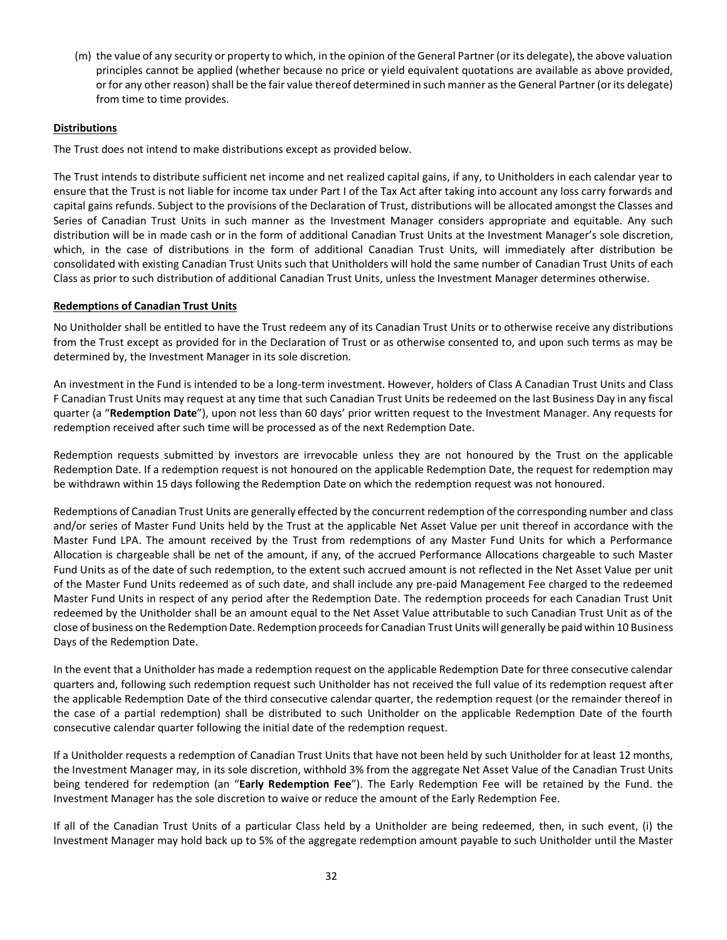(m) the value of any security or property to which, in the opinion of the General Partner (or its delegate), the above valuation principles cannot be applied (whether because no price or yield equivalent quotations are available as above provided, or for any other reason) shall be the fair value thereof determined in such manner as the General Partner (or its delegate) from time to time provides.

# **Distributions**

The Trust does not intend to make distributions except as provided below.

The Trust intends to distribute sufficient net income and net realized capital gains, if any, to Unitholders in each calendar year to ensure that the Trust is not liable for income tax under Part I of the Tax Act after taking into account any loss carry forwards and capital gains refunds. Subject to the provisions of the Declaration of Trust, distributions will be allocated amongst the Classes and Series of Canadian Trust Units in such manner as the Investment Manager considers appropriate and equitable. Any such distribution will be in made cash or in the form of additional Canadian Trust Units at the Investment Manager's sole discretion, which, in the case of distributions in the form of additional Canadian Trust Units, will immediately after distribution be consolidated with existing Canadian Trust Units such that Unitholders will hold the same number of Canadian Trust Units of each Class as prior to such distribution of additional Canadian Trust Units, unless the Investment Manager determines otherwise.

## **Redemptions of Canadian Trust Units**

No Unitholder shall be entitled to have the Trust redeem any of its Canadian Trust Units or to otherwise receive any distributions from the Trust except as provided for in the Declaration of Trust or as otherwise consented to, and upon such terms as may be determined by, the Investment Manager in its sole discretion.

An investment in the Fund is intended to be a long-term investment. However, holders of Class A Canadian Trust Units and Class F Canadian Trust Units may request at any time that such Canadian Trust Units be redeemed on the last Business Day in any fiscal quarter (a "**Redemption Date**"), upon not less than 60 days' prior written request to the Investment Manager. Any requests for redemption received after such time will be processed as of the next Redemption Date.

Redemption requests submitted by investors are irrevocable unless they are not honoured by the Trust on the applicable Redemption Date. If a redemption request is not honoured on the applicable Redemption Date, the request for redemption may be withdrawn within 15 days following the Redemption Date on which the redemption request was not honoured.

Redemptions of Canadian Trust Units are generally effected by the concurrent redemption of the corresponding number and class and/or series of Master Fund Units held by the Trust at the applicable Net Asset Value per unit thereof in accordance with the Master Fund LPA. The amount received by the Trust from redemptions of any Master Fund Units for which a Performance Allocation is chargeable shall be net of the amount, if any, of the accrued Performance Allocations chargeable to such Master Fund Units as of the date of such redemption, to the extent such accrued amount is not reflected in the Net Asset Value per unit of the Master Fund Units redeemed as of such date, and shall include any pre-paid Management Fee charged to the redeemed Master Fund Units in respect of any period after the Redemption Date. The redemption proceeds for each Canadian Trust Unit redeemed by the Unitholder shall be an amount equal to the Net Asset Value attributable to such Canadian Trust Unit as of the close of business on the Redemption Date. Redemption proceeds for Canadian Trust Units will generally be paid within 10 Business Days of the Redemption Date.

In the event that a Unitholder has made a redemption request on the applicable Redemption Date for three consecutive calendar quarters and, following such redemption request such Unitholder has not received the full value of its redemption request after the applicable Redemption Date of the third consecutive calendar quarter, the redemption request (or the remainder thereof in the case of a partial redemption) shall be distributed to such Unitholder on the applicable Redemption Date of the fourth consecutive calendar quarter following the initial date of the redemption request.

If a Unitholder requests a redemption of Canadian Trust Units that have not been held by such Unitholder for at least 12 months, the Investment Manager may, in its sole discretion, withhold 3% from the aggregate Net Asset Value of the Canadian Trust Units being tendered for redemption (an "**Early Redemption Fee**"). The Early Redemption Fee will be retained by the Fund. the Investment Manager has the sole discretion to waive or reduce the amount of the Early Redemption Fee.

If all of the Canadian Trust Units of a particular Class held by a Unitholder are being redeemed, then, in such event, (i) the Investment Manager may hold back up to 5% of the aggregate redemption amount payable to such Unitholder until the Master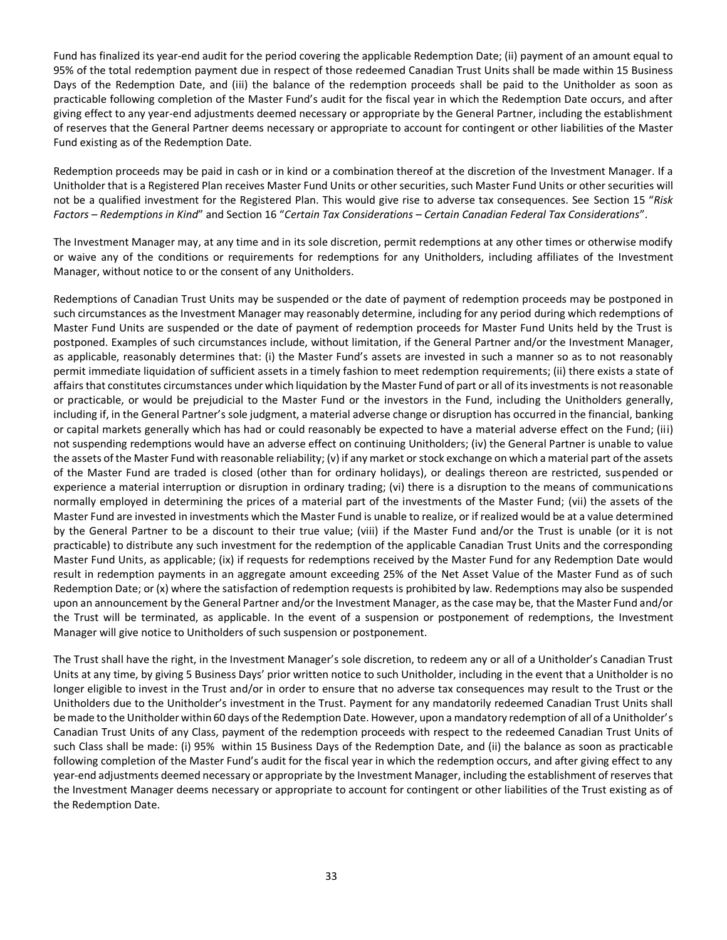Fund has finalized its year-end audit for the period covering the applicable Redemption Date; (ii) payment of an amount equal to 95% of the total redemption payment due in respect of those redeemed Canadian Trust Units shall be made within 15 Business Days of the Redemption Date, and (iii) the balance of the redemption proceeds shall be paid to the Unitholder as soon as practicable following completion of the Master Fund's audit for the fiscal year in which the Redemption Date occurs, and after giving effect to any year-end adjustments deemed necessary or appropriate by the General Partner, including the establishment of reserves that the General Partner deems necessary or appropriate to account for contingent or other liabilities of the Master Fund existing as of the Redemption Date.

Redemption proceeds may be paid in cash or in kind or a combination thereof at the discretion of the Investment Manager. If a Unitholder that is a Registered Plan receives Master Fund Units or other securities, such Master Fund Units or other securities will not be a qualified investment for the Registered Plan. This would give rise to adverse tax consequences. See Section 15 "*Risk Factors – Redemptions in Kind*" and Section 16 "*Certain Tax Considerations – Certain Canadian Federal Tax Considerations*".

The Investment Manager may, at any time and in its sole discretion, permit redemptions at any other times or otherwise modify or waive any of the conditions or requirements for redemptions for any Unitholders, including affiliates of the Investment Manager, without notice to or the consent of any Unitholders.

Redemptions of Canadian Trust Units may be suspended or the date of payment of redemption proceeds may be postponed in such circumstances as the Investment Manager may reasonably determine, including for any period during which redemptions of Master Fund Units are suspended or the date of payment of redemption proceeds for Master Fund Units held by the Trust is postponed. Examples of such circumstances include, without limitation, if the General Partner and/or the Investment Manager, as applicable, reasonably determines that: (i) the Master Fund's assets are invested in such a manner so as to not reasonably permit immediate liquidation of sufficient assets in a timely fashion to meet redemption requirements; (ii) there exists a state of affairs that constitutes circumstances under which liquidation by the Master Fund of part or all of its investments is not reasonable or practicable, or would be prejudicial to the Master Fund or the investors in the Fund, including the Unitholders generally, including if, in the General Partner's sole judgment, a material adverse change or disruption has occurred in the financial, banking or capital markets generally which has had or could reasonably be expected to have a material adverse effect on the Fund; (iii) not suspending redemptions would have an adverse effect on continuing Unitholders; (iv) the General Partner is unable to value the assets of the Master Fund with reasonable reliability; (v) if any market or stock exchange on which a material part of the assets of the Master Fund are traded is closed (other than for ordinary holidays), or dealings thereon are restricted, suspended or experience a material interruption or disruption in ordinary trading; (vi) there is a disruption to the means of communications normally employed in determining the prices of a material part of the investments of the Master Fund; (vii) the assets of the Master Fund are invested in investments which the Master Fund is unable to realize, or if realized would be at a value determined by the General Partner to be a discount to their true value; (viii) if the Master Fund and/or the Trust is unable (or it is not practicable) to distribute any such investment for the redemption of the applicable Canadian Trust Units and the corresponding Master Fund Units, as applicable; (ix) if requests for redemptions received by the Master Fund for any Redemption Date would result in redemption payments in an aggregate amount exceeding 25% of the Net Asset Value of the Master Fund as of such Redemption Date; or (x) where the satisfaction of redemption requests is prohibited by law. Redemptions may also be suspended upon an announcement by the General Partner and/or the Investment Manager, as the case may be, that the Master Fund and/or the Trust will be terminated, as applicable. In the event of a suspension or postponement of redemptions, the Investment Manager will give notice to Unitholders of such suspension or postponement.

The Trust shall have the right, in the Investment Manager's sole discretion, to redeem any or all of a Unitholder's Canadian Trust Units at any time, by giving 5 Business Days' prior written notice to such Unitholder, including in the event that a Unitholder is no longer eligible to invest in the Trust and/or in order to ensure that no adverse tax consequences may result to the Trust or the Unitholders due to the Unitholder's investment in the Trust. Payment for any mandatorily redeemed Canadian Trust Units shall be made to the Unitholder within 60 days of the Redemption Date. However, upon a mandatory redemption of all of a Unitholder's Canadian Trust Units of any Class, payment of the redemption proceeds with respect to the redeemed Canadian Trust Units of such Class shall be made: (i) 95% within 15 Business Days of the Redemption Date, and (ii) the balance as soon as practicable following completion of the Master Fund's audit for the fiscal year in which the redemption occurs, and after giving effect to any year-end adjustments deemed necessary or appropriate by the Investment Manager, including the establishment of reserves that the Investment Manager deems necessary or appropriate to account for contingent or other liabilities of the Trust existing as of the Redemption Date.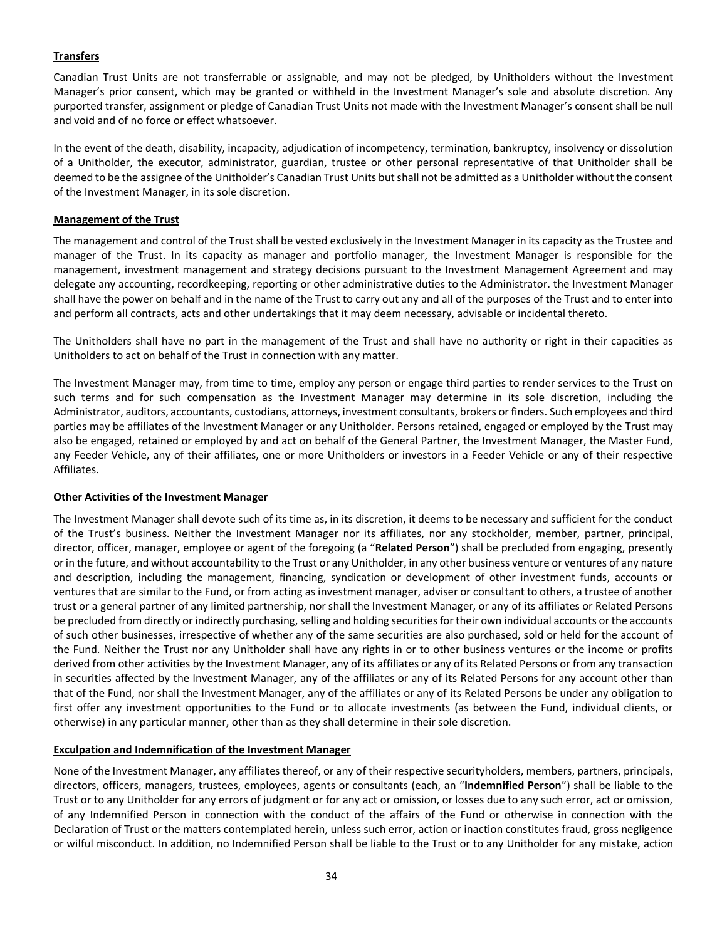# **Transfers**

Canadian Trust Units are not transferrable or assignable, and may not be pledged, by Unitholders without the Investment Manager's prior consent, which may be granted or withheld in the Investment Manager's sole and absolute discretion. Any purported transfer, assignment or pledge of Canadian Trust Units not made with the Investment Manager's consent shall be null and void and of no force or effect whatsoever.

In the event of the death, disability, incapacity, adjudication of incompetency, termination, bankruptcy, insolvency or dissolution of a Unitholder, the executor, administrator, guardian, trustee or other personal representative of that Unitholder shall be deemed to be the assignee of the Unitholder's Canadian Trust Units but shall not be admitted as a Unitholder without the consent of the Investment Manager, in its sole discretion.

## **Management of the Trust**

The management and control of the Trust shall be vested exclusively in the Investment Manager in its capacity as the Trustee and manager of the Trust. In its capacity as manager and portfolio manager, the Investment Manager is responsible for the management, investment management and strategy decisions pursuant to the Investment Management Agreement and may delegate any accounting, recordkeeping, reporting or other administrative duties to the Administrator. the Investment Manager shall have the power on behalf and in the name of the Trust to carry out any and all of the purposes of the Trust and to enter into and perform all contracts, acts and other undertakings that it may deem necessary, advisable or incidental thereto.

The Unitholders shall have no part in the management of the Trust and shall have no authority or right in their capacities as Unitholders to act on behalf of the Trust in connection with any matter.

The Investment Manager may, from time to time, employ any person or engage third parties to render services to the Trust on such terms and for such compensation as the Investment Manager may determine in its sole discretion, including the Administrator, auditors, accountants, custodians, attorneys, investment consultants, brokers or finders. Such employees and third parties may be affiliates of the Investment Manager or any Unitholder. Persons retained, engaged or employed by the Trust may also be engaged, retained or employed by and act on behalf of the General Partner, the Investment Manager, the Master Fund, any Feeder Vehicle, any of their affiliates, one or more Unitholders or investors in a Feeder Vehicle or any of their respective Affiliates.

## **Other Activities of the Investment Manager**

The Investment Manager shall devote such of its time as, in its discretion, it deems to be necessary and sufficient for the conduct of the Trust's business. Neither the Investment Manager nor its affiliates, nor any stockholder, member, partner, principal, director, officer, manager, employee or agent of the foregoing (a "**Related Person**") shall be precluded from engaging, presently or in the future, and without accountability to the Trust or any Unitholder, in any other business venture or ventures of any nature and description, including the management, financing, syndication or development of other investment funds, accounts or ventures that are similar to the Fund, or from acting as investment manager, adviser or consultant to others, a trustee of another trust or a general partner of any limited partnership, nor shall the Investment Manager, or any of its affiliates or Related Persons be precluded from directly or indirectly purchasing, selling and holding securities for their own individual accounts or the accounts of such other businesses, irrespective of whether any of the same securities are also purchased, sold or held for the account of the Fund. Neither the Trust nor any Unitholder shall have any rights in or to other business ventures or the income or profits derived from other activities by the Investment Manager, any of its affiliates or any of its Related Persons or from any transaction in securities affected by the Investment Manager, any of the affiliates or any of its Related Persons for any account other than that of the Fund, nor shall the Investment Manager, any of the affiliates or any of its Related Persons be under any obligation to first offer any investment opportunities to the Fund or to allocate investments (as between the Fund, individual clients, or otherwise) in any particular manner, other than as they shall determine in their sole discretion.

## **Exculpation and Indemnification of the Investment Manager**

None of the Investment Manager, any affiliates thereof, or any of their respective securityholders, members, partners, principals, directors, officers, managers, trustees, employees, agents or consultants (each, an "**Indemnified Person**") shall be liable to the Trust or to any Unitholder for any errors of judgment or for any act or omission, or losses due to any such error, act or omission, of any Indemnified Person in connection with the conduct of the affairs of the Fund or otherwise in connection with the Declaration of Trust or the matters contemplated herein, unless such error, action or inaction constitutes fraud, gross negligence or wilful misconduct. In addition, no Indemnified Person shall be liable to the Trust or to any Unitholder for any mistake, action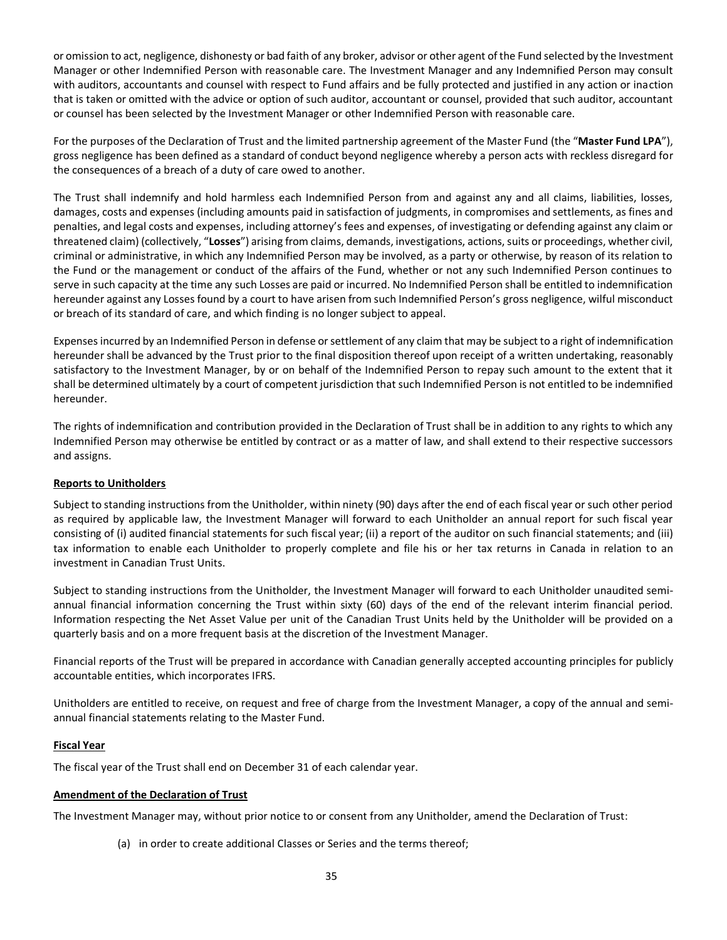or omission to act, negligence, dishonesty or bad faith of any broker, advisor or other agent of the Fund selected by the Investment Manager or other Indemnified Person with reasonable care. The Investment Manager and any Indemnified Person may consult with auditors, accountants and counsel with respect to Fund affairs and be fully protected and justified in any action or inaction that is taken or omitted with the advice or option of such auditor, accountant or counsel, provided that such auditor, accountant or counsel has been selected by the Investment Manager or other Indemnified Person with reasonable care.

For the purposes of the Declaration of Trust and the limited partnership agreement of the Master Fund (the "**Master Fund LPA**"), gross negligence has been defined as a standard of conduct beyond negligence whereby a person acts with reckless disregard for the consequences of a breach of a duty of care owed to another.

The Trust shall indemnify and hold harmless each Indemnified Person from and against any and all claims, liabilities, losses, damages, costs and expenses (including amounts paid in satisfaction of judgments, in compromises and settlements, as fines and penalties, and legal costs and expenses, including attorney's fees and expenses, of investigating or defending against any claim or threatened claim) (collectively, "**Losses**") arising from claims, demands, investigations, actions, suits or proceedings, whether civil, criminal or administrative, in which any Indemnified Person may be involved, as a party or otherwise, by reason of its relation to the Fund or the management or conduct of the affairs of the Fund, whether or not any such Indemnified Person continues to serve in such capacity at the time any such Losses are paid or incurred. No Indemnified Person shall be entitled to indemnification hereunder against any Losses found by a court to have arisen from such Indemnified Person's gross negligence, wilful misconduct or breach of its standard of care, and which finding is no longer subject to appeal.

Expenses incurred by an Indemnified Person in defense or settlement of any claim that may be subject to a right of indemnification hereunder shall be advanced by the Trust prior to the final disposition thereof upon receipt of a written undertaking, reasonably satisfactory to the Investment Manager, by or on behalf of the Indemnified Person to repay such amount to the extent that it shall be determined ultimately by a court of competent jurisdiction that such Indemnified Person is not entitled to be indemnified hereunder.

The rights of indemnification and contribution provided in the Declaration of Trust shall be in addition to any rights to which any Indemnified Person may otherwise be entitled by contract or as a matter of law, and shall extend to their respective successors and assigns.

## **Reports to Unitholders**

Subject to standing instructions from the Unitholder, within ninety (90) days after the end of each fiscal year or such other period as required by applicable law, the Investment Manager will forward to each Unitholder an annual report for such fiscal year consisting of (i) audited financial statements for such fiscal year; (ii) a report of the auditor on such financial statements; and (iii) tax information to enable each Unitholder to properly complete and file his or her tax returns in Canada in relation to an investment in Canadian Trust Units.

Subject to standing instructions from the Unitholder, the Investment Manager will forward to each Unitholder unaudited semiannual financial information concerning the Trust within sixty (60) days of the end of the relevant interim financial period. Information respecting the Net Asset Value per unit of the Canadian Trust Units held by the Unitholder will be provided on a quarterly basis and on a more frequent basis at the discretion of the Investment Manager.

Financial reports of the Trust will be prepared in accordance with Canadian generally accepted accounting principles for publicly accountable entities, which incorporates IFRS.

Unitholders are entitled to receive, on request and free of charge from the Investment Manager, a copy of the annual and semiannual financial statements relating to the Master Fund.

## **Fiscal Year**

The fiscal year of the Trust shall end on December 31 of each calendar year.

# **Amendment of the Declaration of Trust**

The Investment Manager may, without prior notice to or consent from any Unitholder, amend the Declaration of Trust:

(a) in order to create additional Classes or Series and the terms thereof;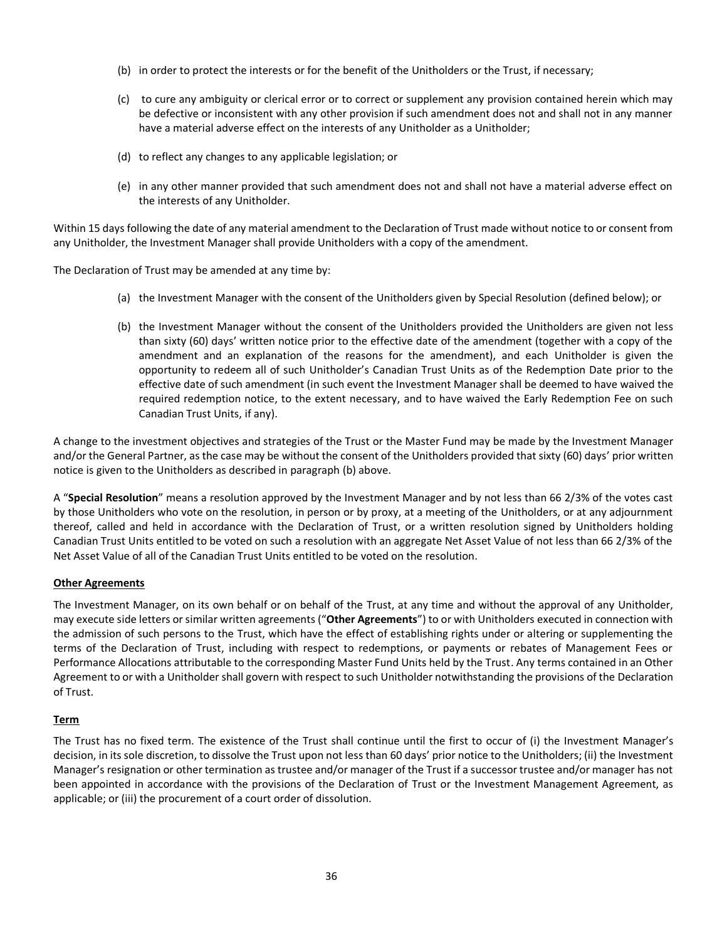- (b) in order to protect the interests or for the benefit of the Unitholders or the Trust, if necessary;
- (c) to cure any ambiguity or clerical error or to correct or supplement any provision contained herein which may be defective or inconsistent with any other provision if such amendment does not and shall not in any manner have a material adverse effect on the interests of any Unitholder as a Unitholder;
- (d) to reflect any changes to any applicable legislation; or
- (e) in any other manner provided that such amendment does not and shall not have a material adverse effect on the interests of any Unitholder.

Within 15 days following the date of any material amendment to the Declaration of Trust made without notice to or consent from any Unitholder, the Investment Manager shall provide Unitholders with a copy of the amendment.

The Declaration of Trust may be amended at any time by:

- (a) the Investment Manager with the consent of the Unitholders given by Special Resolution (defined below); or
- (b) the Investment Manager without the consent of the Unitholders provided the Unitholders are given not less than sixty (60) days' written notice prior to the effective date of the amendment (together with a copy of the amendment and an explanation of the reasons for the amendment), and each Unitholder is given the opportunity to redeem all of such Unitholder's Canadian Trust Units as of the Redemption Date prior to the effective date of such amendment (in such event the Investment Manager shall be deemed to have waived the required redemption notice, to the extent necessary, and to have waived the Early Redemption Fee on such Canadian Trust Units, if any).

A change to the investment objectives and strategies of the Trust or the Master Fund may be made by the Investment Manager and/or the General Partner, as the case may be without the consent of the Unitholders provided that sixty (60) days' prior written notice is given to the Unitholders as described in paragraph (b) above.

A "**Special Resolution**" means a resolution approved by the Investment Manager and by not less than 66 2/3% of the votes cast by those Unitholders who vote on the resolution, in person or by proxy, at a meeting of the Unitholders, or at any adjournment thereof, called and held in accordance with the Declaration of Trust, or a written resolution signed by Unitholders holding Canadian Trust Units entitled to be voted on such a resolution with an aggregate Net Asset Value of not less than 66 2/3% of the Net Asset Value of all of the Canadian Trust Units entitled to be voted on the resolution.

## **Other Agreements**

The Investment Manager, on its own behalf or on behalf of the Trust, at any time and without the approval of any Unitholder, may execute side letters or similar written agreements ("**Other Agreements**") to or with Unitholders executed in connection with the admission of such persons to the Trust, which have the effect of establishing rights under or altering or supplementing the terms of the Declaration of Trust, including with respect to redemptions, or payments or rebates of Management Fees or Performance Allocations attributable to the corresponding Master Fund Units held by the Trust. Any terms contained in an Other Agreement to or with a Unitholder shall govern with respect to such Unitholder notwithstanding the provisions of the Declaration of Trust.

#### **Term**

The Trust has no fixed term. The existence of the Trust shall continue until the first to occur of (i) the Investment Manager's decision, in its sole discretion, to dissolve the Trust upon not less than 60 days' prior notice to the Unitholders; (ii) the Investment Manager's resignation or other termination as trustee and/or manager of the Trust if a successor trustee and/or manager has not been appointed in accordance with the provisions of the Declaration of Trust or the Investment Management Agreement, as applicable; or (iii) the procurement of a court order of dissolution.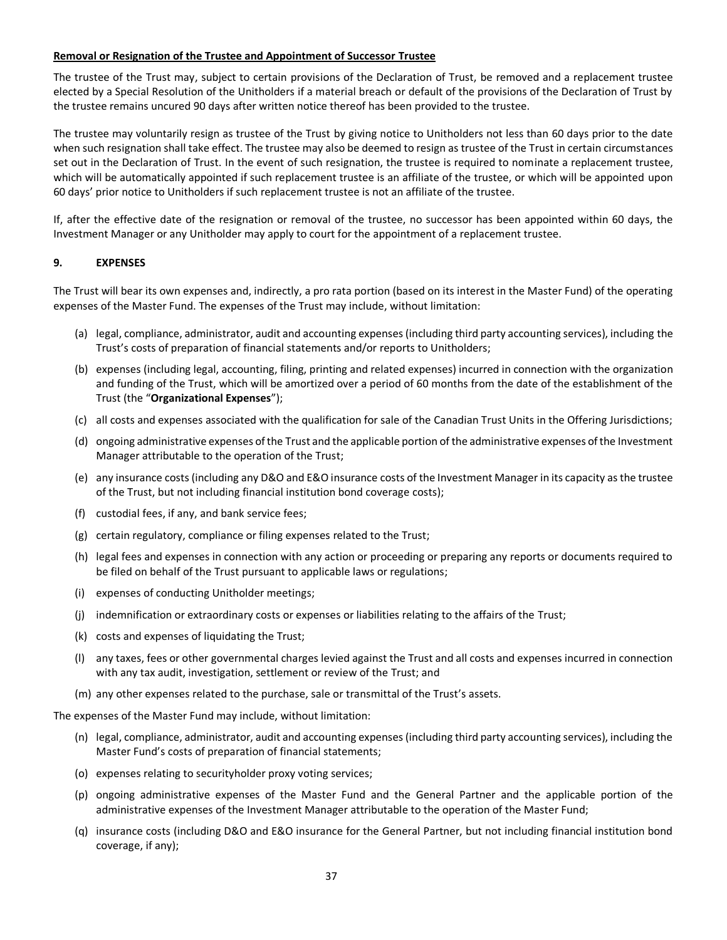## **Removal or Resignation of the Trustee and Appointment of Successor Trustee**

The trustee of the Trust may, subject to certain provisions of the Declaration of Trust, be removed and a replacement trustee elected by a Special Resolution of the Unitholders if a material breach or default of the provisions of the Declaration of Trust by the trustee remains uncured 90 days after written notice thereof has been provided to the trustee.

The trustee may voluntarily resign as trustee of the Trust by giving notice to Unitholders not less than 60 days prior to the date when such resignation shall take effect. The trustee may also be deemed to resign as trustee of the Trust in certain circumstances set out in the Declaration of Trust. In the event of such resignation, the trustee is required to nominate a replacement trustee, which will be automatically appointed if such replacement trustee is an affiliate of the trustee, or which will be appointed upon 60 days' prior notice to Unitholders if such replacement trustee is not an affiliate of the trustee.

If, after the effective date of the resignation or removal of the trustee, no successor has been appointed within 60 days, the Investment Manager or any Unitholder may apply to court for the appointment of a replacement trustee.

# <span id="page-36-0"></span>**9. EXPENSES**

The Trust will bear its own expenses and, indirectly, a pro rata portion (based on its interest in the Master Fund) of the operating expenses of the Master Fund. The expenses of the Trust may include, without limitation:

- (a) legal, compliance, administrator, audit and accounting expenses (including third party accounting services), including the Trust's costs of preparation of financial statements and/or reports to Unitholders;
- (b) expenses (including legal, accounting, filing, printing and related expenses) incurred in connection with the organization and funding of the Trust, which will be amortized over a period of 60 months from the date of the establishment of the Trust (the "**Organizational Expenses**");
- (c) all costs and expenses associated with the qualification for sale of the Canadian Trust Units in the Offering Jurisdictions;
- (d) ongoing administrative expenses of the Trust and the applicable portion of the administrative expenses of the Investment Manager attributable to the operation of the Trust;
- (e) any insurance costs (including any D&O and E&O insurance costs of the Investment Manager in its capacity as the trustee of the Trust, but not including financial institution bond coverage costs);
- (f) custodial fees, if any, and bank service fees;
- (g) certain regulatory, compliance or filing expenses related to the Trust;
- (h) legal fees and expenses in connection with any action or proceeding or preparing any reports or documents required to be filed on behalf of the Trust pursuant to applicable laws or regulations;
- (i) expenses of conducting Unitholder meetings;
- (j) indemnification or extraordinary costs or expenses or liabilities relating to the affairs of the Trust;
- (k) costs and expenses of liquidating the Trust;
- (l) any taxes, fees or other governmental charges levied against the Trust and all costs and expenses incurred in connection with any tax audit, investigation, settlement or review of the Trust; and
- (m) any other expenses related to the purchase, sale or transmittal of the Trust's assets.

The expenses of the Master Fund may include, without limitation:

- (n) legal, compliance, administrator, audit and accounting expenses (including third party accounting services), including the Master Fund's costs of preparation of financial statements;
- (o) expenses relating to securityholder proxy voting services;
- (p) ongoing administrative expenses of the Master Fund and the General Partner and the applicable portion of the administrative expenses of the Investment Manager attributable to the operation of the Master Fund;
- (q) insurance costs (including D&O and E&O insurance for the General Partner, but not including financial institution bond coverage, if any);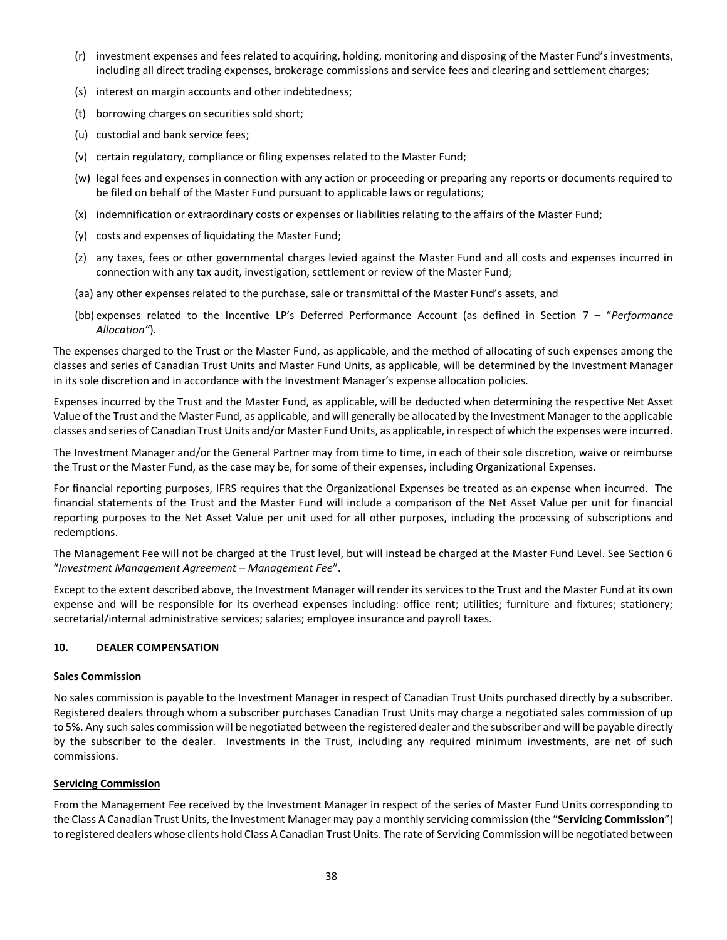- (r) investment expenses and fees related to acquiring, holding, monitoring and disposing of the Master Fund's investments, including all direct trading expenses, brokerage commissions and service fees and clearing and settlement charges;
- (s) interest on margin accounts and other indebtedness;
- (t) borrowing charges on securities sold short;
- (u) custodial and bank service fees;
- (v) certain regulatory, compliance or filing expenses related to the Master Fund;
- (w) legal fees and expenses in connection with any action or proceeding or preparing any reports or documents required to be filed on behalf of the Master Fund pursuant to applicable laws or regulations;
- (x) indemnification or extraordinary costs or expenses or liabilities relating to the affairs of the Master Fund;
- (y) costs and expenses of liquidating the Master Fund;
- (z) any taxes, fees or other governmental charges levied against the Master Fund and all costs and expenses incurred in connection with any tax audit, investigation, settlement or review of the Master Fund;
- (aa) any other expenses related to the purchase, sale or transmittal of the Master Fund's assets, and
- (bb) expenses related to the Incentive LP's Deferred Performance Account (as defined in Section [7](#page-27-0) "*Performance Allocation"*).

The expenses charged to the Trust or the Master Fund, as applicable, and the method of allocating of such expenses among the classes and series of Canadian Trust Units and Master Fund Units, as applicable, will be determined by the Investment Manager in its sole discretion and in accordance with the Investment Manager's expense allocation policies.

Expenses incurred by the Trust and the Master Fund, as applicable, will be deducted when determining the respective Net Asset Value of the Trust and the Master Fund, as applicable, and will generally be allocated by the Investment Manager to the applicable classes and series of Canadian Trust Units and/or Master Fund Units, as applicable, in respect of which the expenses were incurred.

The Investment Manager and/or the General Partner may from time to time, in each of their sole discretion, waive or reimburse the Trust or the Master Fund, as the case may be, for some of their expenses, including Organizational Expenses.

For financial reporting purposes, IFRS requires that the Organizational Expenses be treated as an expense when incurred. The financial statements of the Trust and the Master Fund will include a comparison of the Net Asset Value per unit for financial reporting purposes to the Net Asset Value per unit used for all other purposes, including the processing of subscriptions and redemptions.

The Management Fee will not be charged at the Trust level, but will instead be charged at the Master Fund Level. See Section 6 "*Investment Management Agreement* – *Management Fee*".

Except to the extent described above, the Investment Manager will render its services to the Trust and the Master Fund at its own expense and will be responsible for its overhead expenses including: office rent; utilities; furniture and fixtures; stationery; secretarial/internal administrative services; salaries; employee insurance and payroll taxes.

## <span id="page-37-0"></span>**10. DEALER COMPENSATION**

#### **Sales Commission**

No sales commission is payable to the Investment Manager in respect of Canadian Trust Units purchased directly by a subscriber. Registered dealers through whom a subscriber purchases Canadian Trust Units may charge a negotiated sales commission of up to 5%. Any such sales commission will be negotiated between the registered dealer and the subscriber and will be payable directly by the subscriber to the dealer. Investments in the Trust, including any required minimum investments, are net of such commissions.

## **Servicing Commission**

From the Management Fee received by the Investment Manager in respect of the series of Master Fund Units corresponding to the Class A Canadian Trust Units, the Investment Manager may pay a monthly servicing commission (the "**Servicing Commission**") to registered dealers whose clients hold Class A Canadian Trust Units. The rate of Servicing Commission will be negotiated between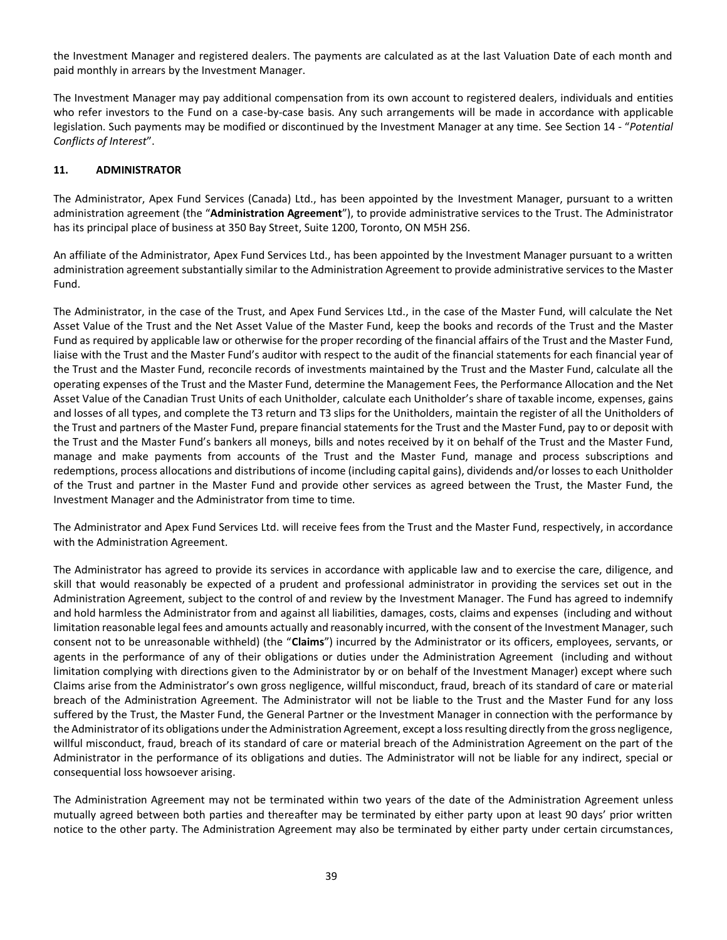the Investment Manager and registered dealers. The payments are calculated as at the last Valuation Date of each month and paid monthly in arrears by the Investment Manager.

The Investment Manager may pay additional compensation from its own account to registered dealers, individuals and entities who refer investors to the Fund on a case-by-case basis. Any such arrangements will be made in accordance with applicable legislation. Such payments may be modified or discontinued by the Investment Manager at any time. See Section 14 - "*Potential Conflicts of Interest*".

## <span id="page-38-0"></span>**11. ADMINISTRATOR**

The Administrator, Apex Fund Services (Canada) Ltd., has been appointed by the Investment Manager, pursuant to a written administration agreement (the "**Administration Agreement**"), to provide administrative services to the Trust. The Administrator has its principal place of business at 350 Bay Street, Suite 1200, Toronto, ON M5H 2S6.

An affiliate of the Administrator, Apex Fund Services Ltd., has been appointed by the Investment Manager pursuant to a written administration agreement substantially similar to the Administration Agreement to provide administrative services to the Master Fund.

The Administrator, in the case of the Trust, and Apex Fund Services Ltd., in the case of the Master Fund, will calculate the Net Asset Value of the Trust and the Net Asset Value of the Master Fund, keep the books and records of the Trust and the Master Fund as required by applicable law or otherwise for the proper recording of the financial affairs of the Trust and the Master Fund, liaise with the Trust and the Master Fund's auditor with respect to the audit of the financial statements for each financial year of the Trust and the Master Fund, reconcile records of investments maintained by the Trust and the Master Fund, calculate all the operating expenses of the Trust and the Master Fund, determine the Management Fees, the Performance Allocation and the Net Asset Value of the Canadian Trust Units of each Unitholder, calculate each Unitholder's share of taxable income, expenses, gains and losses of all types, and complete the T3 return and T3 slips for the Unitholders, maintain the register of all the Unitholders of the Trust and partners of the Master Fund, prepare financial statements for the Trust and the Master Fund, pay to or deposit with the Trust and the Master Fund's bankers all moneys, bills and notes received by it on behalf of the Trust and the Master Fund, manage and make payments from accounts of the Trust and the Master Fund, manage and process subscriptions and redemptions, process allocations and distributions of income (including capital gains), dividends and/or losses to each Unitholder of the Trust and partner in the Master Fund and provide other services as agreed between the Trust, the Master Fund, the Investment Manager and the Administrator from time to time.

The Administrator and Apex Fund Services Ltd. will receive fees from the Trust and the Master Fund, respectively, in accordance with the Administration Agreement.

The Administrator has agreed to provide its services in accordance with applicable law and to exercise the care, diligence, and skill that would reasonably be expected of a prudent and professional administrator in providing the services set out in the Administration Agreement, subject to the control of and review by the Investment Manager. The Fund has agreed to indemnify and hold harmless the Administrator from and against all liabilities, damages, costs, claims and expenses (including and without limitation reasonable legal fees and amounts actually and reasonably incurred, with the consent of the Investment Manager, such consent not to be unreasonable withheld) (the "**Claims**") incurred by the Administrator or its officers, employees, servants, or agents in the performance of any of their obligations or duties under the Administration Agreement (including and without limitation complying with directions given to the Administrator by or on behalf of the Investment Manager) except where such Claims arise from the Administrator's own gross negligence, willful misconduct, fraud, breach of its standard of care or material breach of the Administration Agreement. The Administrator will not be liable to the Trust and the Master Fund for any loss suffered by the Trust, the Master Fund, the General Partner or the Investment Manager in connection with the performance by the Administrator of its obligations under the Administration Agreement, except a loss resulting directly from the gross negligence, willful misconduct, fraud, breach of its standard of care or material breach of the Administration Agreement on the part of the Administrator in the performance of its obligations and duties. The Administrator will not be liable for any indirect, special or consequential loss howsoever arising.

The Administration Agreement may not be terminated within two years of the date of the Administration Agreement unless mutually agreed between both parties and thereafter may be terminated by either party upon at least 90 days' prior written notice to the other party. The Administration Agreement may also be terminated by either party under certain circumstances,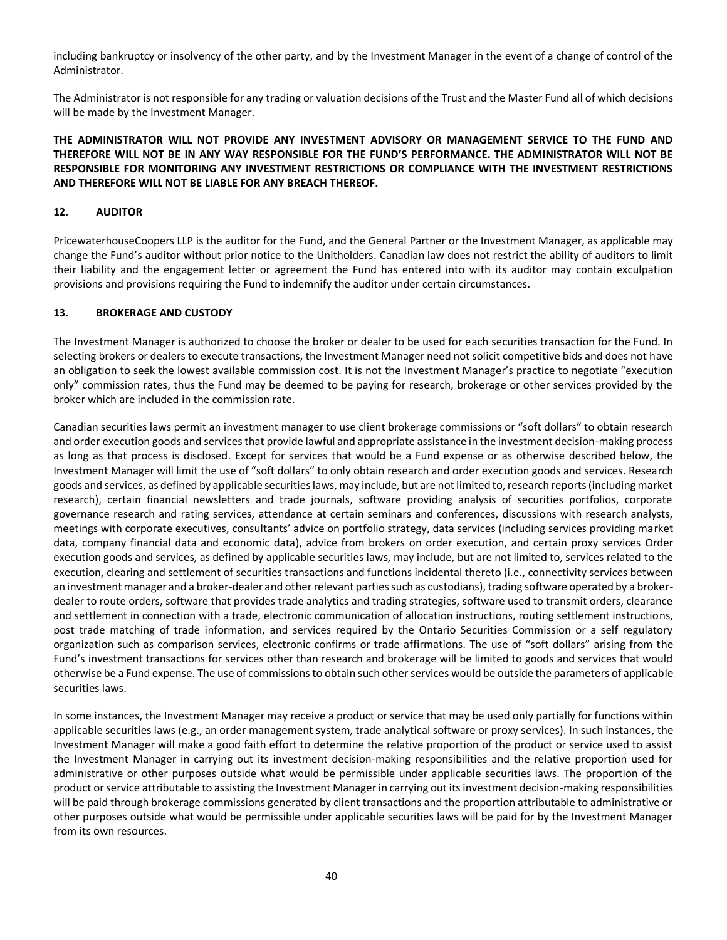including bankruptcy or insolvency of the other party, and by the Investment Manager in the event of a change of control of the Administrator.

The Administrator is not responsible for any trading or valuation decisions of the Trust and the Master Fund all of which decisions will be made by the Investment Manager.

# **THE ADMINISTRATOR WILL NOT PROVIDE ANY INVESTMENT ADVISORY OR MANAGEMENT SERVICE TO THE FUND AND THEREFORE WILL NOT BE IN ANY WAY RESPONSIBLE FOR THE FUND'S PERFORMANCE. THE ADMINISTRATOR WILL NOT BE RESPONSIBLE FOR MONITORING ANY INVESTMENT RESTRICTIONS OR COMPLIANCE WITH THE INVESTMENT RESTRICTIONS AND THEREFORE WILL NOT BE LIABLE FOR ANY BREACH THEREOF.**

## <span id="page-39-0"></span>**12. AUDITOR**

PricewaterhouseCoopers LLP is the auditor for the Fund, and the General Partner or the Investment Manager, as applicable may change the Fund's auditor without prior notice to the Unitholders. Canadian law does not restrict the ability of auditors to limit their liability and the engagement letter or agreement the Fund has entered into with its auditor may contain exculpation provisions and provisions requiring the Fund to indemnify the auditor under certain circumstances.

## <span id="page-39-1"></span>**13. BROKERAGE AND CUSTODY**

The Investment Manager is authorized to choose the broker or dealer to be used for each securities transaction for the Fund. In selecting brokers or dealers to execute transactions, the Investment Manager need not solicit competitive bids and does not have an obligation to seek the lowest available commission cost. It is not the Investment Manager's practice to negotiate "execution only" commission rates, thus the Fund may be deemed to be paying for research, brokerage or other services provided by the broker which are included in the commission rate.

Canadian securities laws permit an investment manager to use client brokerage commissions or "soft dollars" to obtain research and order execution goods and services that provide lawful and appropriate assistance in the investment decision-making process as long as that process is disclosed. Except for services that would be a Fund expense or as otherwise described below, the Investment Manager will limit the use of "soft dollars" to only obtain research and order execution goods and services. Research goods and services, as defined by applicable securities laws, may include, but are not limited to, research reports (including market research), certain financial newsletters and trade journals, software providing analysis of securities portfolios, corporate governance research and rating services, attendance at certain seminars and conferences, discussions with research analysts, meetings with corporate executives, consultants' advice on portfolio strategy, data services (including services providing market data, company financial data and economic data), advice from brokers on order execution, and certain proxy services Order execution goods and services, as defined by applicable securities laws, may include, but are not limited to, services related to the execution, clearing and settlement of securities transactions and functions incidental thereto (i.e., connectivity services between an investment manager and a broker-dealer and other relevant parties such as custodians), trading software operated by a brokerdealer to route orders, software that provides trade analytics and trading strategies, software used to transmit orders, clearance and settlement in connection with a trade, electronic communication of allocation instructions, routing settlement instructions, post trade matching of trade information, and services required by the Ontario Securities Commission or a self regulatory organization such as comparison services, electronic confirms or trade affirmations. The use of "soft dollars" arising from the Fund's investment transactions for services other than research and brokerage will be limited to goods and services that would otherwise be a Fund expense. The use of commissions to obtain such other services would be outside the parameters of applicable securities laws.

In some instances, the Investment Manager may receive a product or service that may be used only partially for functions within applicable securities laws (e.g., an order management system, trade analytical software or proxy services). In such instances, the Investment Manager will make a good faith effort to determine the relative proportion of the product or service used to assist the Investment Manager in carrying out its investment decision-making responsibilities and the relative proportion used for administrative or other purposes outside what would be permissible under applicable securities laws. The proportion of the product or service attributable to assisting the Investment Manager in carrying out its investment decision-making responsibilities will be paid through brokerage commissions generated by client transactions and the proportion attributable to administrative or other purposes outside what would be permissible under applicable securities laws will be paid for by the Investment Manager from its own resources.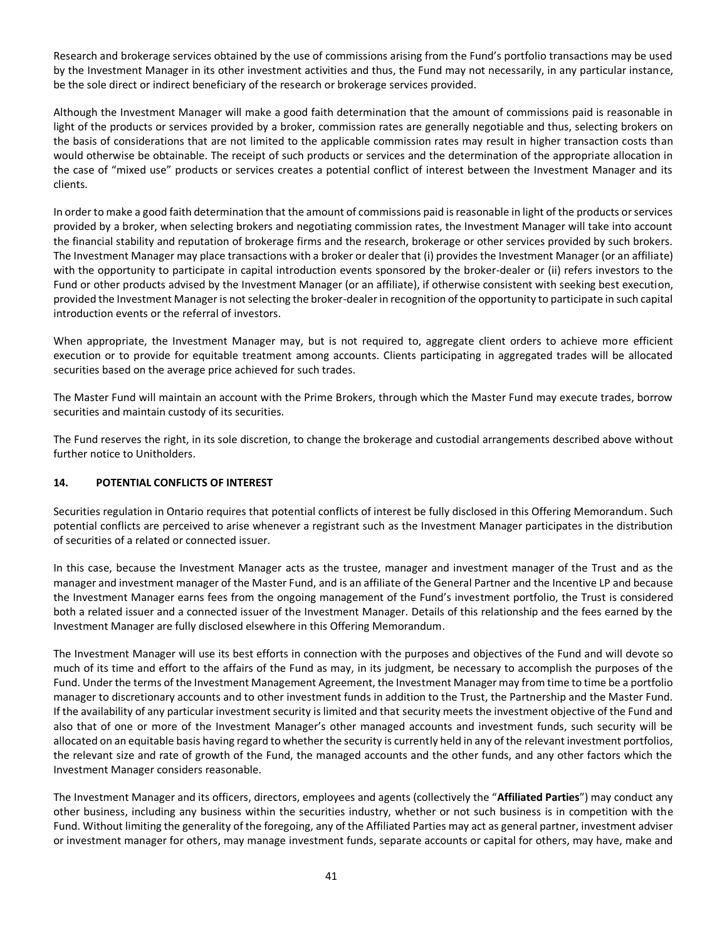Research and brokerage services obtained by the use of commissions arising from the Fund's portfolio transactions may be used by the Investment Manager in its other investment activities and thus, the Fund may not necessarily, in any particular instance, be the sole direct or indirect beneficiary of the research or brokerage services provided.

Although the Investment Manager will make a good faith determination that the amount of commissions paid is reasonable in light of the products or services provided by a broker, commission rates are generally negotiable and thus, selecting brokers on the basis of considerations that are not limited to the applicable commission rates may result in higher transaction costs than would otherwise be obtainable. The receipt of such products or services and the determination of the appropriate allocation in the case of "mixed use" products or services creates a potential conflict of interest between the Investment Manager and its clients.

In order to make a good faith determination that the amount of commissions paid is reasonable in light of the products or services provided by a broker, when selecting brokers and negotiating commission rates, the Investment Manager will take into account the financial stability and reputation of brokerage firms and the research, brokerage or other services provided by such brokers. The Investment Manager may place transactions with a broker or dealer that (i) provides the Investment Manager (or an affiliate) with the opportunity to participate in capital introduction events sponsored by the broker-dealer or (ii) refers investors to the Fund or other products advised by the Investment Manager (or an affiliate), if otherwise consistent with seeking best execution, provided the Investment Manager is not selecting the broker-dealer in recognition of the opportunity to participate in such capital introduction events or the referral of investors.

When appropriate, the Investment Manager may, but is not required to, aggregate client orders to achieve more efficient execution or to provide for equitable treatment among accounts. Clients participating in aggregated trades will be allocated securities based on the average price achieved for such trades.

The Master Fund will maintain an account with the Prime Brokers, through which the Master Fund may execute trades, borrow securities and maintain custody of its securities.

The Fund reserves the right, in its sole discretion, to change the brokerage and custodial arrangements described above without further notice to Unitholders.

# <span id="page-40-0"></span>**14. POTENTIAL CONFLICTS OF INTEREST**

Securities regulation in Ontario requires that potential conflicts of interest be fully disclosed in this Offering Memorandum. Such potential conflicts are perceived to arise whenever a registrant such as the Investment Manager participates in the distribution of securities of a related or connected issuer.

In this case, because the Investment Manager acts as the trustee, manager and investment manager of the Trust and as the manager and investment manager of the Master Fund, and is an affiliate of the General Partner and the Incentive LP and because the Investment Manager earns fees from the ongoing management of the Fund's investment portfolio, the Trust is considered both a related issuer and a connected issuer of the Investment Manager. Details of this relationship and the fees earned by the Investment Manager are fully disclosed elsewhere in this Offering Memorandum.

The Investment Manager will use its best efforts in connection with the purposes and objectives of the Fund and will devote so much of its time and effort to the affairs of the Fund as may, in its judgment, be necessary to accomplish the purposes of the Fund. Under the terms of the Investment Management Agreement, the Investment Manager may from time to time be a portfolio manager to discretionary accounts and to other investment funds in addition to the Trust, the Partnership and the Master Fund. If the availability of any particular investment security is limited and that security meets the investment objective of the Fund and also that of one or more of the Investment Manager's other managed accounts and investment funds, such security will be allocated on an equitable basis having regard to whether the security is currently held in any of the relevant investment portfolios, the relevant size and rate of growth of the Fund, the managed accounts and the other funds, and any other factors which the Investment Manager considers reasonable.

The Investment Manager and its officers, directors, employees and agents (collectively the "**Affiliated Parties**") may conduct any other business, including any business within the securities industry, whether or not such business is in competition with the Fund. Without limiting the generality of the foregoing, any of the Affiliated Parties may act as general partner, investment adviser or investment manager for others, may manage investment funds, separate accounts or capital for others, may have, make and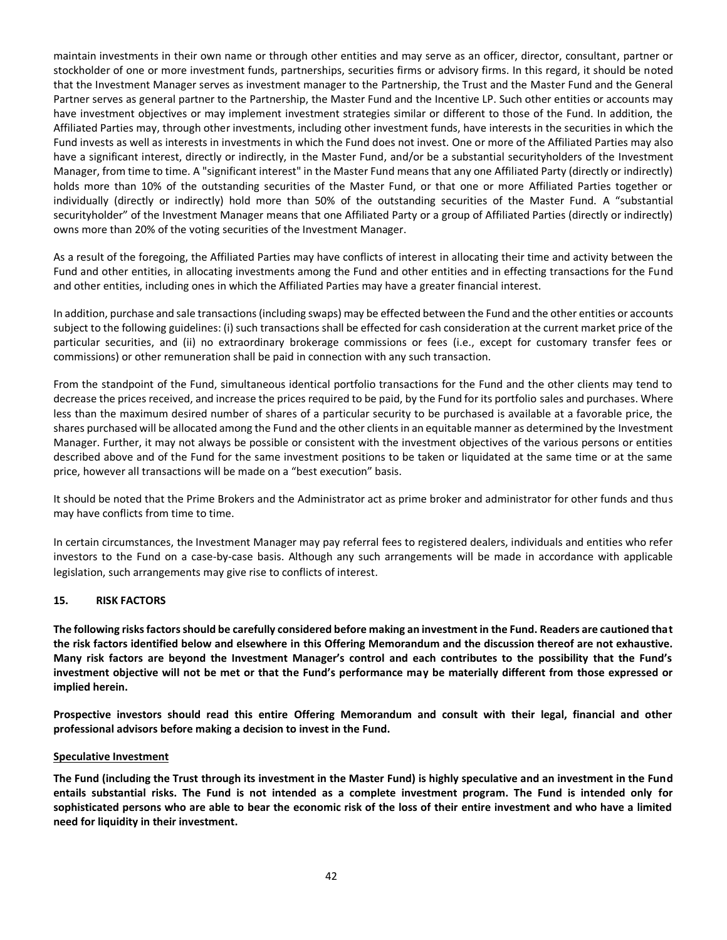maintain investments in their own name or through other entities and may serve as an officer, director, consultant, partner or stockholder of one or more investment funds, partnerships, securities firms or advisory firms. In this regard, it should be noted that the Investment Manager serves as investment manager to the Partnership, the Trust and the Master Fund and the General Partner serves as general partner to the Partnership, the Master Fund and the Incentive LP. Such other entities or accounts may have investment objectives or may implement investment strategies similar or different to those of the Fund. In addition, the Affiliated Parties may, through other investments, including other investment funds, have interests in the securities in which the Fund invests as well as interests in investments in which the Fund does not invest. One or more of the Affiliated Parties may also have a significant interest, directly or indirectly, in the Master Fund, and/or be a substantial securityholders of the Investment Manager, from time to time. A "significant interest" in the Master Fund means that any one Affiliated Party (directly or indirectly) holds more than 10% of the outstanding securities of the Master Fund, or that one or more Affiliated Parties together or individually (directly or indirectly) hold more than 50% of the outstanding securities of the Master Fund. A "substantial securityholder" of the Investment Manager means that one Affiliated Party or a group of Affiliated Parties (directly or indirectly) owns more than 20% of the voting securities of the Investment Manager.

As a result of the foregoing, the Affiliated Parties may have conflicts of interest in allocating their time and activity between the Fund and other entities, in allocating investments among the Fund and other entities and in effecting transactions for the Fund and other entities, including ones in which the Affiliated Parties may have a greater financial interest.

In addition, purchase and sale transactions (including swaps) may be effected between the Fund and the other entities or accounts subject to the following guidelines: (i) such transactions shall be effected for cash consideration at the current market price of the particular securities, and (ii) no extraordinary brokerage commissions or fees (i.e., except for customary transfer fees or commissions) or other remuneration shall be paid in connection with any such transaction.

From the standpoint of the Fund, simultaneous identical portfolio transactions for the Fund and the other clients may tend to decrease the prices received, and increase the prices required to be paid, by the Fund for its portfolio sales and purchases. Where less than the maximum desired number of shares of a particular security to be purchased is available at a favorable price, the shares purchased will be allocated among the Fund and the other clients in an equitable manner as determined by the Investment Manager. Further, it may not always be possible or consistent with the investment objectives of the various persons or entities described above and of the Fund for the same investment positions to be taken or liquidated at the same time or at the same price, however all transactions will be made on a "best execution" basis.

It should be noted that the Prime Brokers and the Administrator act as prime broker and administrator for other funds and thus may have conflicts from time to time.

In certain circumstances, the Investment Manager may pay referral fees to registered dealers, individuals and entities who refer investors to the Fund on a case-by-case basis. Although any such arrangements will be made in accordance with applicable legislation, such arrangements may give rise to conflicts of interest.

## <span id="page-41-0"></span>**15. RISK FACTORS**

**The following risks factors should be carefully considered before making an investment in the Fund. Readers are cautioned that the risk factors identified below and elsewhere in this Offering Memorandum and the discussion thereof are not exhaustive. Many risk factors are beyond the Investment Manager's control and each contributes to the possibility that the Fund's investment objective will not be met or that the Fund's performance may be materially different from those expressed or implied herein.**

**Prospective investors should read this entire Offering Memorandum and consult with their legal, financial and other professional advisors before making a decision to invest in the Fund.**

#### **Speculative Investment**

**The Fund (including the Trust through its investment in the Master Fund) is highly speculative and an investment in the Fund entails substantial risks. The Fund is not intended as a complete investment program. The Fund is intended only for sophisticated persons who are able to bear the economic risk of the loss of their entire investment and who have a limited need for liquidity in their investment.**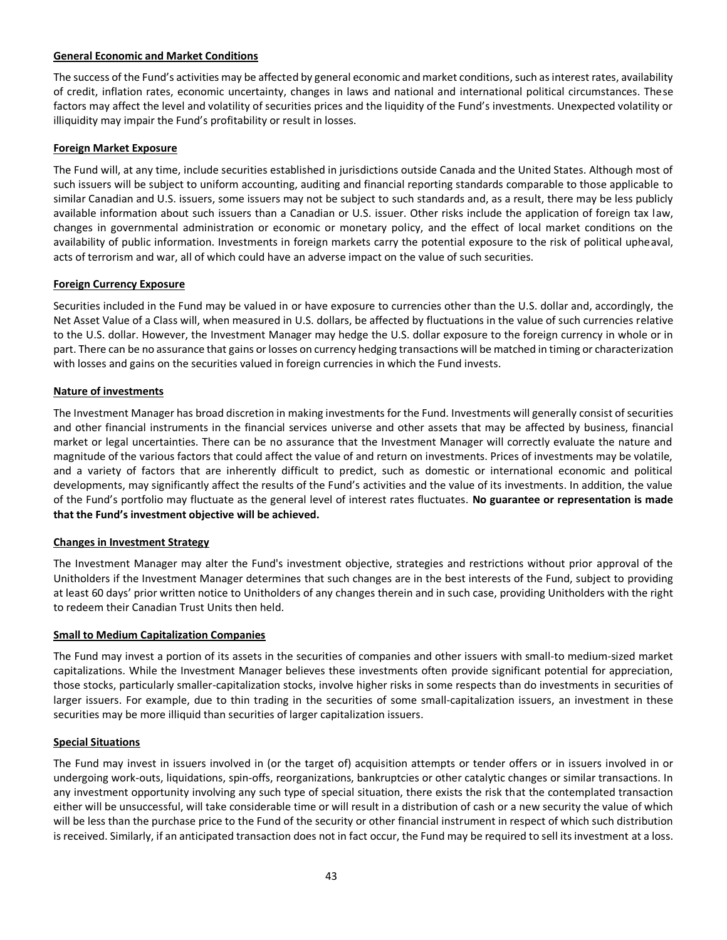## **General Economic and Market Conditions**

The success of the Fund's activities may be affected by general economic and market conditions, such as interest rates, availability of credit, inflation rates, economic uncertainty, changes in laws and national and international political circumstances. These factors may affect the level and volatility of securities prices and the liquidity of the Fund's investments. Unexpected volatility or illiquidity may impair the Fund's profitability or result in losses.

## **Foreign Market Exposure**

The Fund will, at any time, include securities established in jurisdictions outside Canada and the United States. Although most of such issuers will be subject to uniform accounting, auditing and financial reporting standards comparable to those applicable to similar Canadian and U.S. issuers, some issuers may not be subject to such standards and, as a result, there may be less publicly available information about such issuers than a Canadian or U.S. issuer. Other risks include the application of foreign tax law, changes in governmental administration or economic or monetary policy, and the effect of local market conditions on the availability of public information. Investments in foreign markets carry the potential exposure to the risk of political upheaval, acts of terrorism and war, all of which could have an adverse impact on the value of such securities.

# **Foreign Currency Exposure**

Securities included in the Fund may be valued in or have exposure to currencies other than the U.S. dollar and, accordingly, the Net Asset Value of a Class will, when measured in U.S. dollars, be affected by fluctuations in the value of such currencies relative to the U.S. dollar. However, the Investment Manager may hedge the U.S. dollar exposure to the foreign currency in whole or in part. There can be no assurance that gains or losses on currency hedging transactions will be matched in timing or characterization with losses and gains on the securities valued in foreign currencies in which the Fund invests.

# **Nature of investments**

The Investment Manager has broad discretion in making investments for the Fund. Investments will generally consist of securities and other financial instruments in the financial services universe and other assets that may be affected by business, financial market or legal uncertainties. There can be no assurance that the Investment Manager will correctly evaluate the nature and magnitude of the various factors that could affect the value of and return on investments. Prices of investments may be volatile, and a variety of factors that are inherently difficult to predict, such as domestic or international economic and political developments, may significantly affect the results of the Fund's activities and the value of its investments. In addition, the value of the Fund's portfolio may fluctuate as the general level of interest rates fluctuates. **No guarantee or representation is made that the Fund's investment objective will be achieved.**

## **Changes in Investment Strategy**

The Investment Manager may alter the Fund's investment objective, strategies and restrictions without prior approval of the Unitholders if the Investment Manager determines that such changes are in the best interests of the Fund, subject to providing at least 60 days' prior written notice to Unitholders of any changes therein and in such case, providing Unitholders with the right to redeem their Canadian Trust Units then held.

## **Small to Medium Capitalization Companies**

The Fund may invest a portion of its assets in the securities of companies and other issuers with small-to medium-sized market capitalizations. While the Investment Manager believes these investments often provide significant potential for appreciation, those stocks, particularly smaller-capitalization stocks, involve higher risks in some respects than do investments in securities of larger issuers. For example, due to thin trading in the securities of some small-capitalization issuers, an investment in these securities may be more illiquid than securities of larger capitalization issuers.

## **Special Situations**

The Fund may invest in issuers involved in (or the target of) acquisition attempts or tender offers or in issuers involved in or undergoing work-outs, liquidations, spin-offs, reorganizations, bankruptcies or other catalytic changes or similar transactions. In any investment opportunity involving any such type of special situation, there exists the risk that the contemplated transaction either will be unsuccessful, will take considerable time or will result in a distribution of cash or a new security the value of which will be less than the purchase price to the Fund of the security or other financial instrument in respect of which such distribution is received. Similarly, if an anticipated transaction does not in fact occur, the Fund may be required to sell its investment at a loss.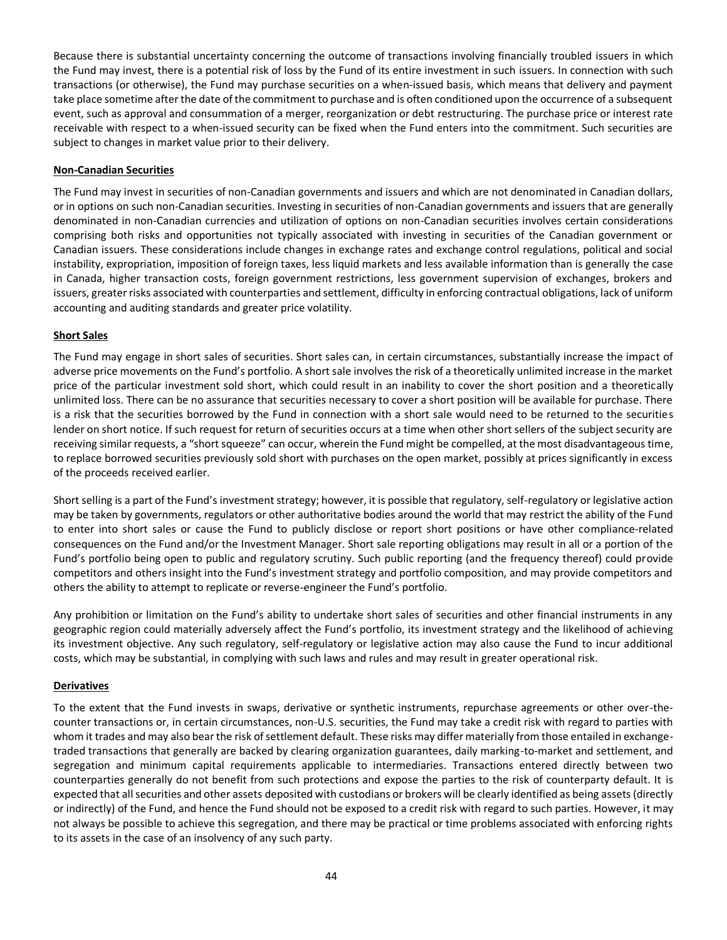Because there is substantial uncertainty concerning the outcome of transactions involving financially troubled issuers in which the Fund may invest, there is a potential risk of loss by the Fund of its entire investment in such issuers. In connection with such transactions (or otherwise), the Fund may purchase securities on a when-issued basis, which means that delivery and payment take place sometime after the date of the commitment to purchase and is often conditioned upon the occurrence of a subsequent event, such as approval and consummation of a merger, reorganization or debt restructuring. The purchase price or interest rate receivable with respect to a when-issued security can be fixed when the Fund enters into the commitment. Such securities are subject to changes in market value prior to their delivery.

# **Non-Canadian Securities**

The Fund may invest in securities of non-Canadian governments and issuers and which are not denominated in Canadian dollars, or in options on such non-Canadian securities. Investing in securities of non-Canadian governments and issuers that are generally denominated in non-Canadian currencies and utilization of options on non-Canadian securities involves certain considerations comprising both risks and opportunities not typically associated with investing in securities of the Canadian government or Canadian issuers. These considerations include changes in exchange rates and exchange control regulations, political and social instability, expropriation, imposition of foreign taxes, less liquid markets and less available information than is generally the case in Canada, higher transaction costs, foreign government restrictions, less government supervision of exchanges, brokers and issuers, greater risks associated with counterparties and settlement, difficulty in enforcing contractual obligations, lack of uniform accounting and auditing standards and greater price volatility.

# **Short Sales**

The Fund may engage in short sales of securities. Short sales can, in certain circumstances, substantially increase the impact of adverse price movements on the Fund's portfolio. A short sale involves the risk of a theoretically unlimited increase in the market price of the particular investment sold short, which could result in an inability to cover the short position and a theoretically unlimited loss. There can be no assurance that securities necessary to cover a short position will be available for purchase. There is a risk that the securities borrowed by the Fund in connection with a short sale would need to be returned to the securities lender on short notice. If such request for return of securities occurs at a time when other short sellers of the subject security are receiving similar requests, a "short squeeze" can occur, wherein the Fund might be compelled, at the most disadvantageous time, to replace borrowed securities previously sold short with purchases on the open market, possibly at prices significantly in excess of the proceeds received earlier.

Short selling is a part of the Fund's investment strategy; however, it is possible that regulatory, self-regulatory or legislative action may be taken by governments, regulators or other authoritative bodies around the world that may restrict the ability of the Fund to enter into short sales or cause the Fund to publicly disclose or report short positions or have other compliance-related consequences on the Fund and/or the Investment Manager. Short sale reporting obligations may result in all or a portion of the Fund's portfolio being open to public and regulatory scrutiny. Such public reporting (and the frequency thereof) could provide competitors and others insight into the Fund's investment strategy and portfolio composition, and may provide competitors and others the ability to attempt to replicate or reverse-engineer the Fund's portfolio.

Any prohibition or limitation on the Fund's ability to undertake short sales of securities and other financial instruments in any geographic region could materially adversely affect the Fund's portfolio, its investment strategy and the likelihood of achieving its investment objective. Any such regulatory, self-regulatory or legislative action may also cause the Fund to incur additional costs, which may be substantial, in complying with such laws and rules and may result in greater operational risk.

## **Derivatives**

To the extent that the Fund invests in swaps, derivative or synthetic instruments, repurchase agreements or other over-thecounter transactions or, in certain circumstances, non-U.S. securities, the Fund may take a credit risk with regard to parties with whom it trades and may also bear the risk of settlement default. These risks may differ materially from those entailed in exchangetraded transactions that generally are backed by clearing organization guarantees, daily marking-to-market and settlement, and segregation and minimum capital requirements applicable to intermediaries. Transactions entered directly between two counterparties generally do not benefit from such protections and expose the parties to the risk of counterparty default. It is expected that all securities and other assets deposited with custodians or brokers will be clearly identified as being assets (directly or indirectly) of the Fund, and hence the Fund should not be exposed to a credit risk with regard to such parties. However, it may not always be possible to achieve this segregation, and there may be practical or time problems associated with enforcing rights to its assets in the case of an insolvency of any such party.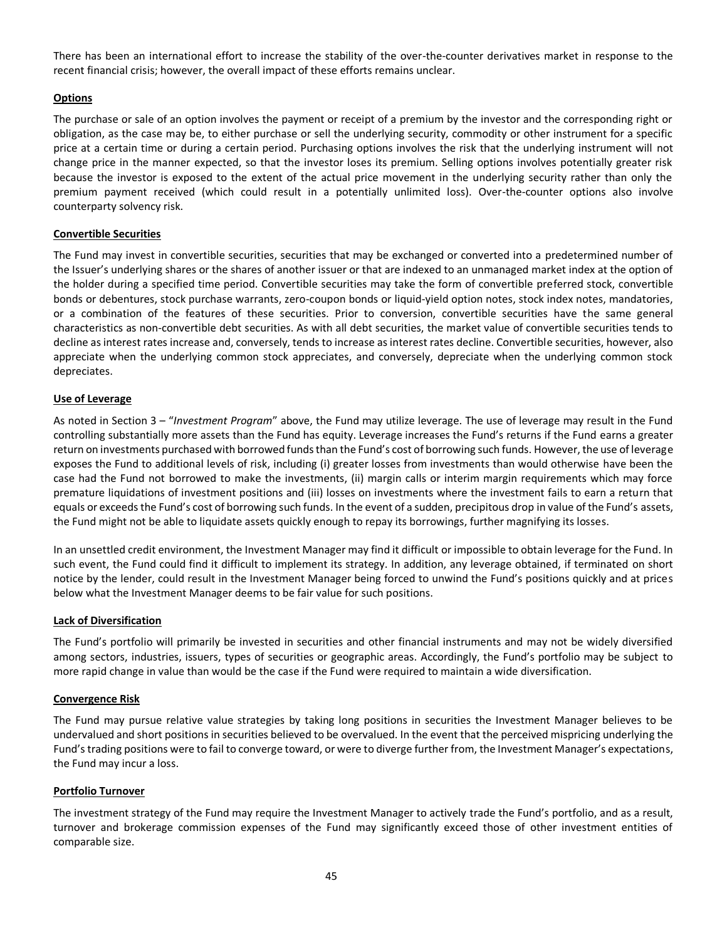There has been an international effort to increase the stability of the over-the-counter derivatives market in response to the recent financial crisis; however, the overall impact of these efforts remains unclear.

#### **Options**

The purchase or sale of an option involves the payment or receipt of a premium by the investor and the corresponding right or obligation, as the case may be, to either purchase or sell the underlying security, commodity or other instrument for a specific price at a certain time or during a certain period. Purchasing options involves the risk that the underlying instrument will not change price in the manner expected, so that the investor loses its premium. Selling options involves potentially greater risk because the investor is exposed to the extent of the actual price movement in the underlying security rather than only the premium payment received (which could result in a potentially unlimited loss). Over-the-counter options also involve counterparty solvency risk.

#### **Convertible Securities**

The Fund may invest in convertible securities, securities that may be exchanged or converted into a predetermined number of the Issuer's underlying shares or the shares of another issuer or that are indexed to an unmanaged market index at the option of the holder during a specified time period. Convertible securities may take the form of convertible preferred stock, convertible bonds or debentures, stock purchase warrants, zero-coupon bonds or liquid-yield option notes, stock index notes, mandatories, or a combination of the features of these securities. Prior to conversion, convertible securities have the same general characteristics as non-convertible debt securities. As with all debt securities, the market value of convertible securities tends to decline as interest rates increase and, conversely, tends to increase as interest rates decline. Convertible securities, however, also appreciate when the underlying common stock appreciates, and conversely, depreciate when the underlying common stock depreciates.

#### **Use of Leverage**

As noted in Sectio[n 3](#page-19-0) – "*Investment Program*" above, the Fund may utilize leverage. The use of leverage may result in the Fund controlling substantially more assets than the Fund has equity. Leverage increases the Fund's returns if the Fund earns a greater return on investments purchased with borrowed funds than the Fund's cost of borrowing such funds. However, the use of leverage exposes the Fund to additional levels of risk, including (i) greater losses from investments than would otherwise have been the case had the Fund not borrowed to make the investments, (ii) margin calls or interim margin requirements which may force premature liquidations of investment positions and (iii) losses on investments where the investment fails to earn a return that equals or exceeds the Fund's cost of borrowing such funds. In the event of a sudden, precipitous drop in value of the Fund's assets, the Fund might not be able to liquidate assets quickly enough to repay its borrowings, further magnifying its losses.

In an unsettled credit environment, the Investment Manager may find it difficult or impossible to obtain leverage for the Fund. In such event, the Fund could find it difficult to implement its strategy. In addition, any leverage obtained, if terminated on short notice by the lender, could result in the Investment Manager being forced to unwind the Fund's positions quickly and at prices below what the Investment Manager deems to be fair value for such positions.

#### **Lack of Diversification**

The Fund's portfolio will primarily be invested in securities and other financial instruments and may not be widely diversified among sectors, industries, issuers, types of securities or geographic areas. Accordingly, the Fund's portfolio may be subject to more rapid change in value than would be the case if the Fund were required to maintain a wide diversification.

#### **Convergence Risk**

The Fund may pursue relative value strategies by taking long positions in securities the Investment Manager believes to be undervalued and short positions in securities believed to be overvalued. In the event that the perceived mispricing underlying the Fund's trading positions were to fail to converge toward, or were to diverge further from, the Investment Manager's expectations, the Fund may incur a loss.

#### **Portfolio Turnover**

The investment strategy of the Fund may require the Investment Manager to actively trade the Fund's portfolio, and as a result, turnover and brokerage commission expenses of the Fund may significantly exceed those of other investment entities of comparable size.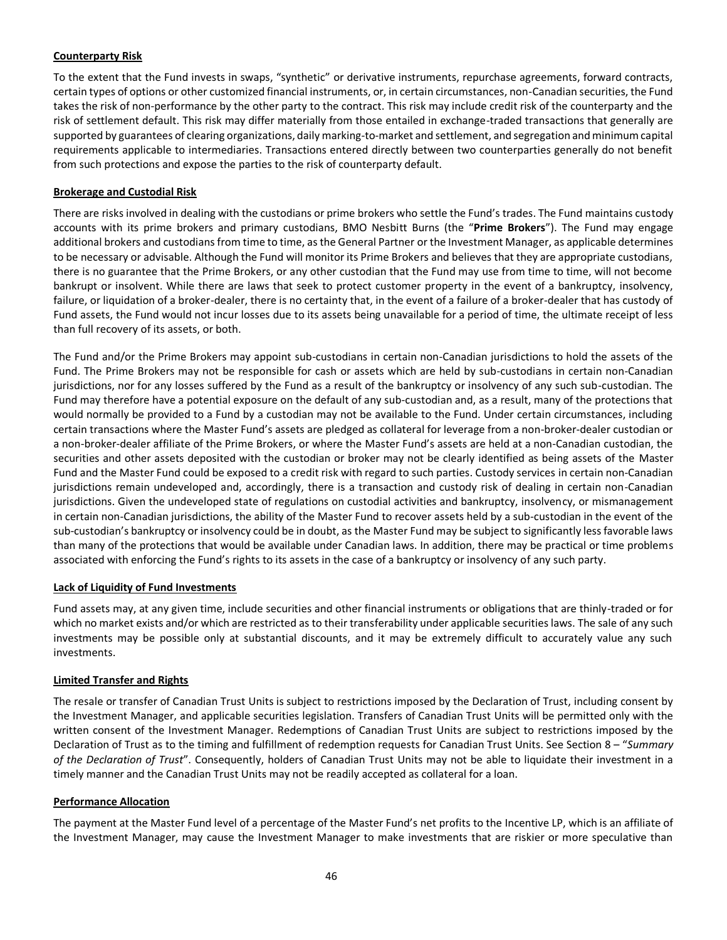# **Counterparty Risk**

To the extent that the Fund invests in swaps, "synthetic" or derivative instruments, repurchase agreements, forward contracts, certain types of options or other customized financial instruments, or, in certain circumstances, non-Canadian securities, the Fund takes the risk of non-performance by the other party to the contract. This risk may include credit risk of the counterparty and the risk of settlement default. This risk may differ materially from those entailed in exchange-traded transactions that generally are supported by guarantees of clearing organizations, daily marking-to-market and settlement, and segregation and minimum capital requirements applicable to intermediaries. Transactions entered directly between two counterparties generally do not benefit from such protections and expose the parties to the risk of counterparty default.

## **Brokerage and Custodial Risk**

There are risks involved in dealing with the custodians or prime brokers who settle the Fund's trades. The Fund maintains custody accounts with its prime brokers and primary custodians, BMO Nesbitt Burns (the "**Prime Brokers**"). The Fund may engage additional brokers and custodians from time to time, as the General Partner or the Investment Manager, as applicable determines to be necessary or advisable. Although the Fund will monitor its Prime Brokers and believes that they are appropriate custodians, there is no guarantee that the Prime Brokers, or any other custodian that the Fund may use from time to time, will not become bankrupt or insolvent. While there are laws that seek to protect customer property in the event of a bankruptcy, insolvency, failure, or liquidation of a broker-dealer, there is no certainty that, in the event of a failure of a broker-dealer that has custody of Fund assets, the Fund would not incur losses due to its assets being unavailable for a period of time, the ultimate receipt of less than full recovery of its assets, or both.

The Fund and/or the Prime Brokers may appoint sub-custodians in certain non-Canadian jurisdictions to hold the assets of the Fund. The Prime Brokers may not be responsible for cash or assets which are held by sub-custodians in certain non-Canadian jurisdictions, nor for any losses suffered by the Fund as a result of the bankruptcy or insolvency of any such sub-custodian. The Fund may therefore have a potential exposure on the default of any sub-custodian and, as a result, many of the protections that would normally be provided to a Fund by a custodian may not be available to the Fund. Under certain circumstances, including certain transactions where the Master Fund's assets are pledged as collateral for leverage from a non-broker-dealer custodian or a non-broker-dealer affiliate of the Prime Brokers, or where the Master Fund's assets are held at a non-Canadian custodian, the securities and other assets deposited with the custodian or broker may not be clearly identified as being assets of the Master Fund and the Master Fund could be exposed to a credit risk with regard to such parties. Custody services in certain non-Canadian jurisdictions remain undeveloped and, accordingly, there is a transaction and custody risk of dealing in certain non-Canadian jurisdictions. Given the undeveloped state of regulations on custodial activities and bankruptcy, insolvency, or mismanagement in certain non-Canadian jurisdictions, the ability of the Master Fund to recover assets held by a sub-custodian in the event of the sub-custodian's bankruptcy or insolvency could be in doubt, as the Master Fund may be subject to significantly less favorable laws than many of the protections that would be available under Canadian laws. In addition, there may be practical or time problems associated with enforcing the Fund's rights to its assets in the case of a bankruptcy or insolvency of any such party.

## **Lack of Liquidity of Fund Investments**

Fund assets may, at any given time, include securities and other financial instruments or obligations that are thinly-traded or for which no market exists and/or which are restricted as to their transferability under applicable securities laws. The sale of any such investments may be possible only at substantial discounts, and it may be extremely difficult to accurately value any such investments.

## **Limited Transfer and Rights**

The resale or transfer of Canadian Trust Units is subject to restrictions imposed by the Declaration of Trust, including consent by the Investment Manager, and applicable securities legislation. Transfers of Canadian Trust Units will be permitted only with the written consent of the Investment Manager. Redemptions of Canadian Trust Units are subject to restrictions imposed by the Declaration of Trust as to the timing and fulfillment of redemption requests for Canadian Trust Units. See Sectio[n 8](#page-28-0) – "*Summary of the Declaration of Trust*". Consequently, holders of Canadian Trust Units may not be able to liquidate their investment in a timely manner and the Canadian Trust Units may not be readily accepted as collateral for a loan.

## **Performance Allocation**

The payment at the Master Fund level of a percentage of the Master Fund's net profits to the Incentive LP, which is an affiliate of the Investment Manager, may cause the Investment Manager to make investments that are riskier or more speculative than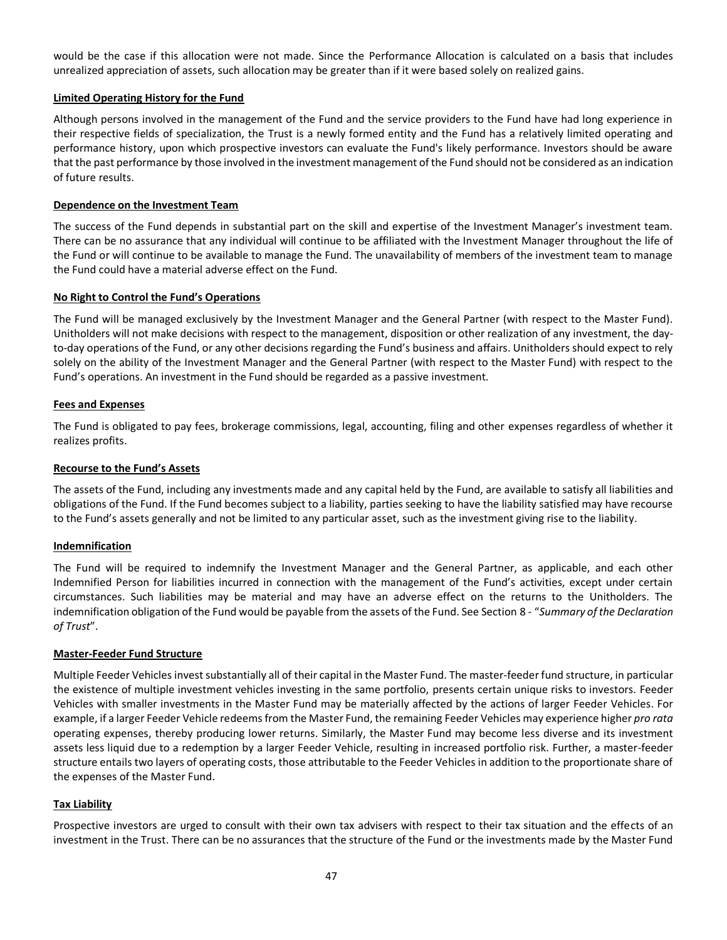would be the case if this allocation were not made. Since the Performance Allocation is calculated on a basis that includes unrealized appreciation of assets, such allocation may be greater than if it were based solely on realized gains.

#### **Limited Operating History for the Fund**

Although persons involved in the management of the Fund and the service providers to the Fund have had long experience in their respective fields of specialization, the Trust is a newly formed entity and the Fund has a relatively limited operating and performance history, upon which prospective investors can evaluate the Fund's likely performance. Investors should be aware that the past performance by those involved in the investment management of the Fund should not be considered as an indication of future results.

#### **Dependence on the Investment Team**

The success of the Fund depends in substantial part on the skill and expertise of the Investment Manager's investment team. There can be no assurance that any individual will continue to be affiliated with the Investment Manager throughout the life of the Fund or will continue to be available to manage the Fund. The unavailability of members of the investment team to manage the Fund could have a material adverse effect on the Fund.

#### **No Right to Control the Fund's Operations**

The Fund will be managed exclusively by the Investment Manager and the General Partner (with respect to the Master Fund). Unitholders will not make decisions with respect to the management, disposition or other realization of any investment, the dayto-day operations of the Fund, or any other decisions regarding the Fund's business and affairs. Unitholders should expect to rely solely on the ability of the Investment Manager and the General Partner (with respect to the Master Fund) with respect to the Fund's operations. An investment in the Fund should be regarded as a passive investment.

#### **Fees and Expenses**

The Fund is obligated to pay fees, brokerage commissions, legal, accounting, filing and other expenses regardless of whether it realizes profits.

#### **Recourse to the Fund's Assets**

The assets of the Fund, including any investments made and any capital held by the Fund, are available to satisfy all liabilities and obligations of the Fund. If the Fund becomes subject to a liability, parties seeking to have the liability satisfied may have recourse to the Fund's assets generally and not be limited to any particular asset, such as the investment giving rise to the liability.

#### **Indemnification**

The Fund will be required to indemnify the Investment Manager and the General Partner, as applicable, and each other Indemnified Person for liabilities incurred in connection with the management of the Fund's activities, except under certain circumstances. Such liabilities may be material and may have an adverse effect on the returns to the Unitholders. The indemnification obligation of the Fund would be payable from the assets of the Fund. See Section [8](#page-28-0) - "*Summary of the Declaration of Trust*".

#### **Master-Feeder Fund Structure**

Multiple Feeder Vehicles invest substantially all of their capital in the Master Fund. The master-feeder fund structure, in particular the existence of multiple investment vehicles investing in the same portfolio, presents certain unique risks to investors. Feeder Vehicles with smaller investments in the Master Fund may be materially affected by the actions of larger Feeder Vehicles. For example, if a larger Feeder Vehicle redeems from the Master Fund, the remaining Feeder Vehicles may experience higher *pro rata* operating expenses, thereby producing lower returns. Similarly, the Master Fund may become less diverse and its investment assets less liquid due to a redemption by a larger Feeder Vehicle, resulting in increased portfolio risk. Further, a master-feeder structure entails two layers of operating costs, those attributable to the Feeder Vehicles in addition to the proportionate share of the expenses of the Master Fund.

#### **Tax Liability**

Prospective investors are urged to consult with their own tax advisers with respect to their tax situation and the effects of an investment in the Trust. There can be no assurances that the structure of the Fund or the investments made by the Master Fund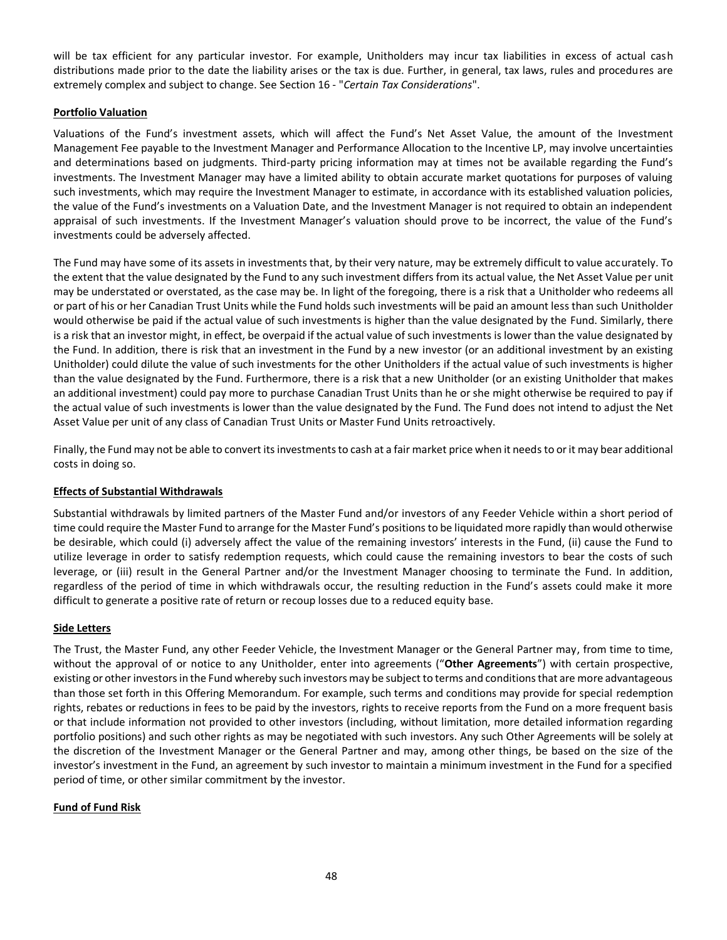will be tax efficient for any particular investor. For example, Unitholders may incur tax liabilities in excess of actual cash distributions made prior to the date the liability arises or the tax is due. Further, in general, tax laws, rules and procedures are extremely complex and subject to change. See Section 16 - "*Certain Tax Considerations*".

## **Portfolio Valuation**

Valuations of the Fund's investment assets, which will affect the Fund's Net Asset Value, the amount of the Investment Management Fee payable to the Investment Manager and Performance Allocation to the Incentive LP, may involve uncertainties and determinations based on judgments. Third-party pricing information may at times not be available regarding the Fund's investments. The Investment Manager may have a limited ability to obtain accurate market quotations for purposes of valuing such investments, which may require the Investment Manager to estimate, in accordance with its established valuation policies, the value of the Fund's investments on a Valuation Date, and the Investment Manager is not required to obtain an independent appraisal of such investments. If the Investment Manager's valuation should prove to be incorrect, the value of the Fund's investments could be adversely affected.

The Fund may have some of its assets in investments that, by their very nature, may be extremely difficult to value accurately. To the extent that the value designated by the Fund to any such investment differs from its actual value, the Net Asset Value per unit may be understated or overstated, as the case may be. In light of the foregoing, there is a risk that a Unitholder who redeems all or part of his or her Canadian Trust Units while the Fund holds such investments will be paid an amount less than such Unitholder would otherwise be paid if the actual value of such investments is higher than the value designated by the Fund. Similarly, there is a risk that an investor might, in effect, be overpaid if the actual value of such investments is lower than the value designated by the Fund. In addition, there is risk that an investment in the Fund by a new investor (or an additional investment by an existing Unitholder) could dilute the value of such investments for the other Unitholders if the actual value of such investments is higher than the value designated by the Fund. Furthermore, there is a risk that a new Unitholder (or an existing Unitholder that makes an additional investment) could pay more to purchase Canadian Trust Units than he or she might otherwise be required to pay if the actual value of such investments is lower than the value designated by the Fund. The Fund does not intend to adjust the Net Asset Value per unit of any class of Canadian Trust Units or Master Fund Units retroactively.

Finally, the Fund may not be able to convert its investments to cash at a fair market price when it needsto or it may bear additional costs in doing so.

# **Effects of Substantial Withdrawals**

Substantial withdrawals by limited partners of the Master Fund and/or investors of any Feeder Vehicle within a short period of time could require the Master Fund to arrange for the Master Fund's positions to be liquidated more rapidly than would otherwise be desirable, which could (i) adversely affect the value of the remaining investors' interests in the Fund, (ii) cause the Fund to utilize leverage in order to satisfy redemption requests, which could cause the remaining investors to bear the costs of such leverage, or (iii) result in the General Partner and/or the Investment Manager choosing to terminate the Fund. In addition, regardless of the period of time in which withdrawals occur, the resulting reduction in the Fund's assets could make it more difficult to generate a positive rate of return or recoup losses due to a reduced equity base.

## **Side Letters**

The Trust, the Master Fund, any other Feeder Vehicle, the Investment Manager or the General Partner may, from time to time, without the approval of or notice to any Unitholder, enter into agreements ("**Other Agreements**") with certain prospective, existing or other investors in the Fund whereby such investors may be subject to terms and conditions that are more advantageous than those set forth in this Offering Memorandum. For example, such terms and conditions may provide for special redemption rights, rebates or reductions in fees to be paid by the investors, rights to receive reports from the Fund on a more frequent basis or that include information not provided to other investors (including, without limitation, more detailed information regarding portfolio positions) and such other rights as may be negotiated with such investors. Any such Other Agreements will be solely at the discretion of the Investment Manager or the General Partner and may, among other things, be based on the size of the investor's investment in the Fund, an agreement by such investor to maintain a minimum investment in the Fund for a specified period of time, or other similar commitment by the investor.

## **Fund of Fund Risk**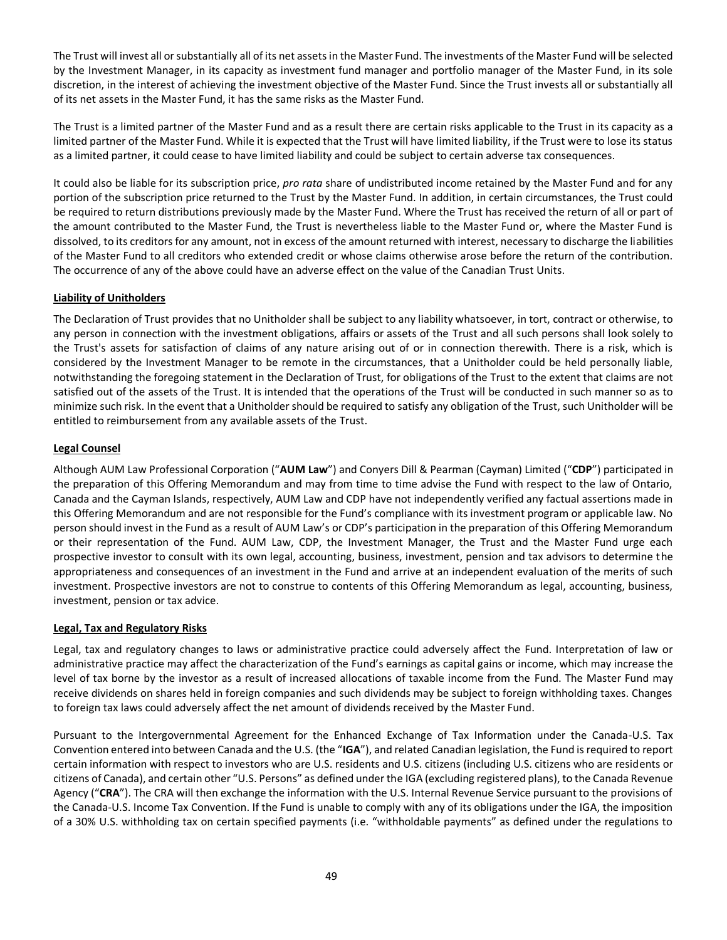The Trust will invest all or substantially all of its net assets in the Master Fund. The investments of the Master Fund will be selected by the Investment Manager, in its capacity as investment fund manager and portfolio manager of the Master Fund, in its sole discretion, in the interest of achieving the investment objective of the Master Fund. Since the Trust invests all or substantially all of its net assets in the Master Fund, it has the same risks as the Master Fund.

The Trust is a limited partner of the Master Fund and as a result there are certain risks applicable to the Trust in its capacity as a limited partner of the Master Fund. While it is expected that the Trust will have limited liability, if the Trust were to lose its status as a limited partner, it could cease to have limited liability and could be subject to certain adverse tax consequences.

It could also be liable for its subscription price, *pro rata* share of undistributed income retained by the Master Fund and for any portion of the subscription price returned to the Trust by the Master Fund. In addition, in certain circumstances, the Trust could be required to return distributions previously made by the Master Fund. Where the Trust has received the return of all or part of the amount contributed to the Master Fund, the Trust is nevertheless liable to the Master Fund or, where the Master Fund is dissolved, to its creditors for any amount, not in excess of the amount returned with interest, necessary to discharge the liabilities of the Master Fund to all creditors who extended credit or whose claims otherwise arose before the return of the contribution. The occurrence of any of the above could have an adverse effect on the value of the Canadian Trust Units.

# **Liability of Unitholders**

The Declaration of Trust provides that no Unitholder shall be subject to any liability whatsoever, in tort, contract or otherwise, to any person in connection with the investment obligations, affairs or assets of the Trust and all such persons shall look solely to the Trust's assets for satisfaction of claims of any nature arising out of or in connection therewith. There is a risk, which is considered by the Investment Manager to be remote in the circumstances, that a Unitholder could be held personally liable, notwithstanding the foregoing statement in the Declaration of Trust, for obligations of the Trust to the extent that claims are not satisfied out of the assets of the Trust. It is intended that the operations of the Trust will be conducted in such manner so as to minimize such risk. In the event that a Unitholder should be required to satisfy any obligation of the Trust, such Unitholder will be entitled to reimbursement from any available assets of the Trust.

# **Legal Counsel**

Although AUM Law Professional Corporation ("**AUM Law**") and Conyers Dill & Pearman (Cayman) Limited ("**CDP**") participated in the preparation of this Offering Memorandum and may from time to time advise the Fund with respect to the law of Ontario, Canada and the Cayman Islands, respectively, AUM Law and CDP have not independently verified any factual assertions made in this Offering Memorandum and are not responsible for the Fund's compliance with its investment program or applicable law. No person should invest in the Fund as a result of AUM Law's or CDP's participation in the preparation of this Offering Memorandum or their representation of the Fund. AUM Law, CDP, the Investment Manager, the Trust and the Master Fund urge each prospective investor to consult with its own legal, accounting, business, investment, pension and tax advisors to determine the appropriateness and consequences of an investment in the Fund and arrive at an independent evaluation of the merits of such investment. Prospective investors are not to construe to contents of this Offering Memorandum as legal, accounting, business, investment, pension or tax advice.

## **Legal, Tax and Regulatory Risks**

Legal, tax and regulatory changes to laws or administrative practice could adversely affect the Fund. Interpretation of law or administrative practice may affect the characterization of the Fund's earnings as capital gains or income, which may increase the level of tax borne by the investor as a result of increased allocations of taxable income from the Fund. The Master Fund may receive dividends on shares held in foreign companies and such dividends may be subject to foreign withholding taxes. Changes to foreign tax laws could adversely affect the net amount of dividends received by the Master Fund.

Pursuant to the Intergovernmental Agreement for the Enhanced Exchange of Tax Information under the Canada-U.S. Tax Convention entered into between Canada and the U.S. (the "**IGA**"), and related Canadian legislation, the Fund is required to report certain information with respect to investors who are U.S. residents and U.S. citizens (including U.S. citizens who are residents or citizens of Canada), and certain other "U.S. Persons" as defined under the IGA (excluding registered plans), to the Canada Revenue Agency ("**CRA**"). The CRA will then exchange the information with the U.S. Internal Revenue Service pursuant to the provisions of the Canada-U.S. Income Tax Convention. If the Fund is unable to comply with any of its obligations under the IGA, the imposition of a 30% U.S. withholding tax on certain specified payments (i.e. "withholdable payments" as defined under the regulations to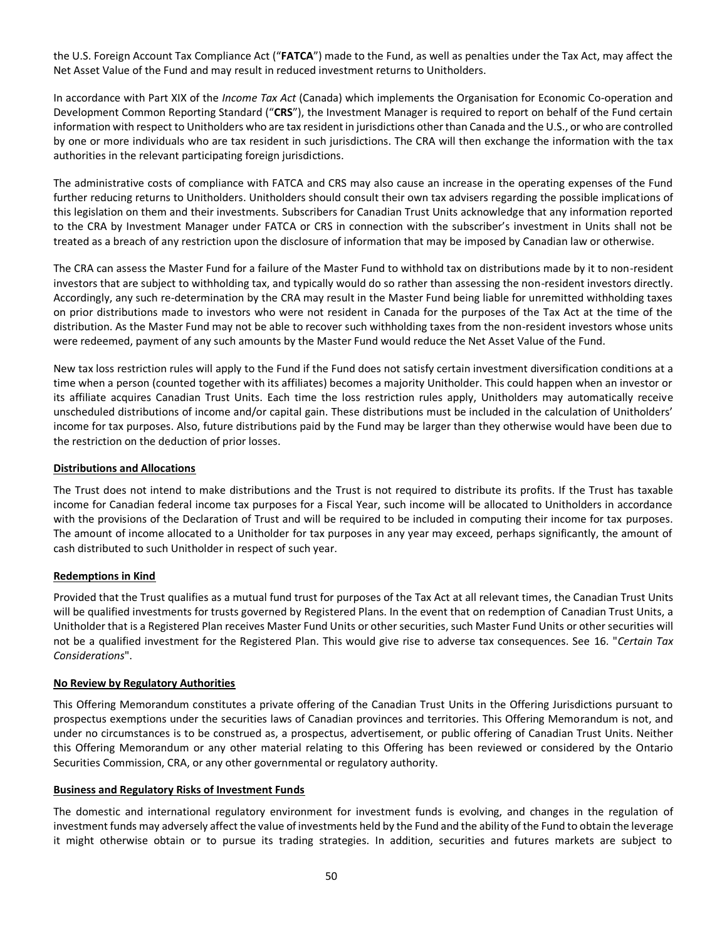the U.S. Foreign Account Tax Compliance Act ("**FATCA**") made to the Fund, as well as penalties under the Tax Act, may affect the Net Asset Value of the Fund and may result in reduced investment returns to Unitholders.

In accordance with Part XIX of the *Income Tax Act* (Canada) which implements the Organisation for Economic Co-operation and Development Common Reporting Standard ("**CRS**"), the Investment Manager is required to report on behalf of the Fund certain information with respect to Unitholders who are tax resident in jurisdictions other than Canada and the U.S., or who are controlled by one or more individuals who are tax resident in such jurisdictions. The CRA will then exchange the information with the tax authorities in the relevant participating foreign jurisdictions.

The administrative costs of compliance with FATCA and CRS may also cause an increase in the operating expenses of the Fund further reducing returns to Unitholders. Unitholders should consult their own tax advisers regarding the possible implications of this legislation on them and their investments. Subscribers for Canadian Trust Units acknowledge that any information reported to the CRA by Investment Manager under FATCA or CRS in connection with the subscriber's investment in Units shall not be treated as a breach of any restriction upon the disclosure of information that may be imposed by Canadian law or otherwise.

The CRA can assess the Master Fund for a failure of the Master Fund to withhold tax on distributions made by it to non-resident investors that are subject to withholding tax, and typically would do so rather than assessing the non-resident investors directly. Accordingly, any such re-determination by the CRA may result in the Master Fund being liable for unremitted withholding taxes on prior distributions made to investors who were not resident in Canada for the purposes of the Tax Act at the time of the distribution. As the Master Fund may not be able to recover such withholding taxes from the non-resident investors whose units were redeemed, payment of any such amounts by the Master Fund would reduce the Net Asset Value of the Fund.

New tax loss restriction rules will apply to the Fund if the Fund does not satisfy certain investment diversification conditions at a time when a person (counted together with its affiliates) becomes a majority Unitholder. This could happen when an investor or its affiliate acquires Canadian Trust Units. Each time the loss restriction rules apply, Unitholders may automatically receive unscheduled distributions of income and/or capital gain. These distributions must be included in the calculation of Unitholders' income for tax purposes. Also, future distributions paid by the Fund may be larger than they otherwise would have been due to the restriction on the deduction of prior losses.

## **Distributions and Allocations**

The Trust does not intend to make distributions and the Trust is not required to distribute its profits. If the Trust has taxable income for Canadian federal income tax purposes for a Fiscal Year, such income will be allocated to Unitholders in accordance with the provisions of the Declaration of Trust and will be required to be included in computing their income for tax purposes. The amount of income allocated to a Unitholder for tax purposes in any year may exceed, perhaps significantly, the amount of cash distributed to such Unitholder in respect of such year.

# **Redemptions in Kind**

Provided that the Trust qualifies as a mutual fund trust for purposes of the Tax Act at all relevant times, the Canadian Trust Units will be qualified investments for trusts governed by Registered Plans. In the event that on redemption of Canadian Trust Units, a Unitholder that is a Registered Plan receives Master Fund Units or other securities, such Master Fund Units or other securities will not be a qualified investment for the Registered Plan. This would give rise to adverse tax consequences. See 16. "*Certain Tax Considerations*".

## **No Review by Regulatory Authorities**

This Offering Memorandum constitutes a private offering of the Canadian Trust Units in the Offering Jurisdictions pursuant to prospectus exemptions under the securities laws of Canadian provinces and territories. This Offering Memorandum is not, and under no circumstances is to be construed as, a prospectus, advertisement, or public offering of Canadian Trust Units. Neither this Offering Memorandum or any other material relating to this Offering has been reviewed or considered by the Ontario Securities Commission, CRA, or any other governmental or regulatory authority.

## **Business and Regulatory Risks of Investment Funds**

The domestic and international regulatory environment for investment funds is evolving, and changes in the regulation of investment funds may adversely affect the value of investments held by the Fund and the ability of the Fund to obtain the leverage it might otherwise obtain or to pursue its trading strategies. In addition, securities and futures markets are subject to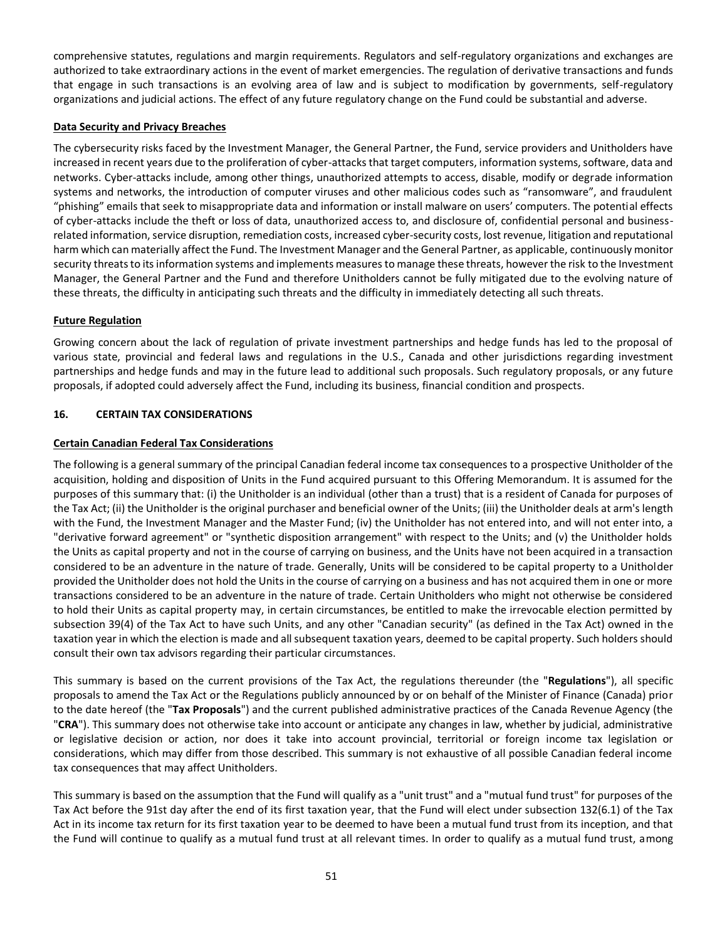comprehensive statutes, regulations and margin requirements. Regulators and self-regulatory organizations and exchanges are authorized to take extraordinary actions in the event of market emergencies. The regulation of derivative transactions and funds that engage in such transactions is an evolving area of law and is subject to modification by governments, self-regulatory organizations and judicial actions. The effect of any future regulatory change on the Fund could be substantial and adverse.

## **Data Security and Privacy Breaches**

The cybersecurity risks faced by the Investment Manager, the General Partner, the Fund, service providers and Unitholders have increased in recent years due to the proliferation of cyber-attacks that target computers, information systems, software, data and networks. Cyber-attacks include, among other things, unauthorized attempts to access, disable, modify or degrade information systems and networks, the introduction of computer viruses and other malicious codes such as "ransomware", and fraudulent "phishing" emails that seek to misappropriate data and information or install malware on users' computers. The potential effects of cyber-attacks include the theft or loss of data, unauthorized access to, and disclosure of, confidential personal and businessrelated information, service disruption, remediation costs, increased cyber-security costs, lost revenue, litigation and reputational harm which can materially affect the Fund. The Investment Manager and the General Partner, as applicable, continuously monitor security threats to its information systems and implements measures to manage these threats, however the risk to the Investment Manager, the General Partner and the Fund and therefore Unitholders cannot be fully mitigated due to the evolving nature of these threats, the difficulty in anticipating such threats and the difficulty in immediately detecting all such threats.

# **Future Regulation**

Growing concern about the lack of regulation of private investment partnerships and hedge funds has led to the proposal of various state, provincial and federal laws and regulations in the U.S., Canada and other jurisdictions regarding investment partnerships and hedge funds and may in the future lead to additional such proposals. Such regulatory proposals, or any future proposals, if adopted could adversely affect the Fund, including its business, financial condition and prospects.

# <span id="page-50-0"></span>**16. CERTAIN TAX CONSIDERATIONS**

## **Certain Canadian Federal Tax Considerations**

The following is a general summary of the principal Canadian federal income tax consequences to a prospective Unitholder of the acquisition, holding and disposition of Units in the Fund acquired pursuant to this Offering Memorandum. It is assumed for the purposes of this summary that: (i) the Unitholder is an individual (other than a trust) that is a resident of Canada for purposes of the Tax Act; (ii) the Unitholder is the original purchaser and beneficial owner of the Units; (iii) the Unitholder deals at arm's length with the Fund, the Investment Manager and the Master Fund; (iv) the Unitholder has not entered into, and will not enter into, a "derivative forward agreement" or "synthetic disposition arrangement" with respect to the Units; and (v) the Unitholder holds the Units as capital property and not in the course of carrying on business, and the Units have not been acquired in a transaction considered to be an adventure in the nature of trade. Generally, Units will be considered to be capital property to a Unitholder provided the Unitholder does not hold the Units in the course of carrying on a business and has not acquired them in one or more transactions considered to be an adventure in the nature of trade. Certain Unitholders who might not otherwise be considered to hold their Units as capital property may, in certain circumstances, be entitled to make the irrevocable election permitted by subsection 39(4) of the Tax Act to have such Units, and any other "Canadian security" (as defined in the Tax Act) owned in the taxation year in which the election is made and all subsequent taxation years, deemed to be capital property. Such holders should consult their own tax advisors regarding their particular circumstances.

This summary is based on the current provisions of the Tax Act, the regulations thereunder (the "**Regulations**"), all specific proposals to amend the Tax Act or the Regulations publicly announced by or on behalf of the Minister of Finance (Canada) prior to the date hereof (the "**Tax Proposals**") and the current published administrative practices of the Canada Revenue Agency (the "**CRA**"). This summary does not otherwise take into account or anticipate any changes in law, whether by judicial, administrative or legislative decision or action, nor does it take into account provincial, territorial or foreign income tax legislation or considerations, which may differ from those described. This summary is not exhaustive of all possible Canadian federal income tax consequences that may affect Unitholders.

This summary is based on the assumption that the Fund will qualify as a "unit trust" and a "mutual fund trust" for purposes of the Tax Act before the 91st day after the end of its first taxation year, that the Fund will elect under subsection 132(6.1) of the Tax Act in its income tax return for its first taxation year to be deemed to have been a mutual fund trust from its inception, and that the Fund will continue to qualify as a mutual fund trust at all relevant times. In order to qualify as a mutual fund trust, among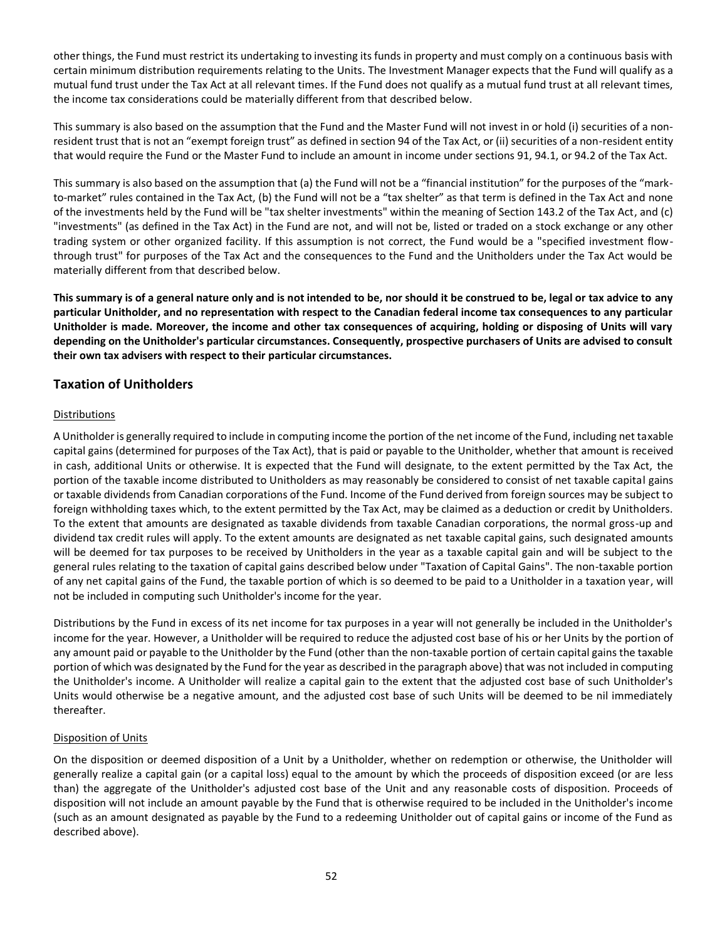other things, the Fund must restrict its undertaking to investing its funds in property and must comply on a continuous basis with certain minimum distribution requirements relating to the Units. The Investment Manager expects that the Fund will qualify as a mutual fund trust under the Tax Act at all relevant times. If the Fund does not qualify as a mutual fund trust at all relevant times, the income tax considerations could be materially different from that described below.

This summary is also based on the assumption that the Fund and the Master Fund will not invest in or hold (i) securities of a nonresident trust that is not an "exempt foreign trust" as defined in section 94 of the Tax Act, or (ii) securities of a non-resident entity that would require the Fund or the Master Fund to include an amount in income under sections 91, 94.1, or 94.2 of the Tax Act.

This summary is also based on the assumption that (a) the Fund will not be a "financial institution" for the purposes of the "markto-market" rules contained in the Tax Act, (b) the Fund will not be a "tax shelter" as that term is defined in the Tax Act and none of the investments held by the Fund will be "tax shelter investments" within the meaning of Section 143.2 of the Tax Act, and (c) "investments" (as defined in the Tax Act) in the Fund are not, and will not be, listed or traded on a stock exchange or any other trading system or other organized facility. If this assumption is not correct, the Fund would be a "specified investment flowthrough trust" for purposes of the Tax Act and the consequences to the Fund and the Unitholders under the Tax Act would be materially different from that described below.

**This summary is of a general nature only and is not intended to be, nor should it be construed to be, legal or tax advice to any particular Unitholder, and no representation with respect to the Canadian federal income tax consequences to any particular Unitholder is made. Moreover, the income and other tax consequences of acquiring, holding or disposing of Units will vary depending on the Unitholder's particular circumstances. Consequently, prospective purchasers of Units are advised to consult their own tax advisers with respect to their particular circumstances.**

# **Taxation of Unitholders**

# **Distributions**

A Unitholder is generally required to include in computing income the portion of the net income of the Fund, including net taxable capital gains (determined for purposes of the Tax Act), that is paid or payable to the Unitholder, whether that amount is received in cash, additional Units or otherwise. It is expected that the Fund will designate, to the extent permitted by the Tax Act, the portion of the taxable income distributed to Unitholders as may reasonably be considered to consist of net taxable capital gains or taxable dividends from Canadian corporations of the Fund. Income of the Fund derived from foreign sources may be subject to foreign withholding taxes which, to the extent permitted by the Tax Act, may be claimed as a deduction or credit by Unitholders. To the extent that amounts are designated as taxable dividends from taxable Canadian corporations, the normal gross-up and dividend tax credit rules will apply. To the extent amounts are designated as net taxable capital gains, such designated amounts will be deemed for tax purposes to be received by Unitholders in the year as a taxable capital gain and will be subject to the general rules relating to the taxation of capital gains described below under "Taxation of Capital Gains". The non-taxable portion of any net capital gains of the Fund, the taxable portion of which is so deemed to be paid to a Unitholder in a taxation year, will not be included in computing such Unitholder's income for the year.

Distributions by the Fund in excess of its net income for tax purposes in a year will not generally be included in the Unitholder's income for the year. However, a Unitholder will be required to reduce the adjusted cost base of his or her Units by the portion of any amount paid or payable to the Unitholder by the Fund (other than the non-taxable portion of certain capital gains the taxable portion of which was designated by the Fund for the year as described in the paragraph above) that was not included in computing the Unitholder's income. A Unitholder will realize a capital gain to the extent that the adjusted cost base of such Unitholder's Units would otherwise be a negative amount, and the adjusted cost base of such Units will be deemed to be nil immediately thereafter.

## Disposition of Units

On the disposition or deemed disposition of a Unit by a Unitholder, whether on redemption or otherwise, the Unitholder will generally realize a capital gain (or a capital loss) equal to the amount by which the proceeds of disposition exceed (or are less than) the aggregate of the Unitholder's adjusted cost base of the Unit and any reasonable costs of disposition. Proceeds of disposition will not include an amount payable by the Fund that is otherwise required to be included in the Unitholder's income (such as an amount designated as payable by the Fund to a redeeming Unitholder out of capital gains or income of the Fund as described above).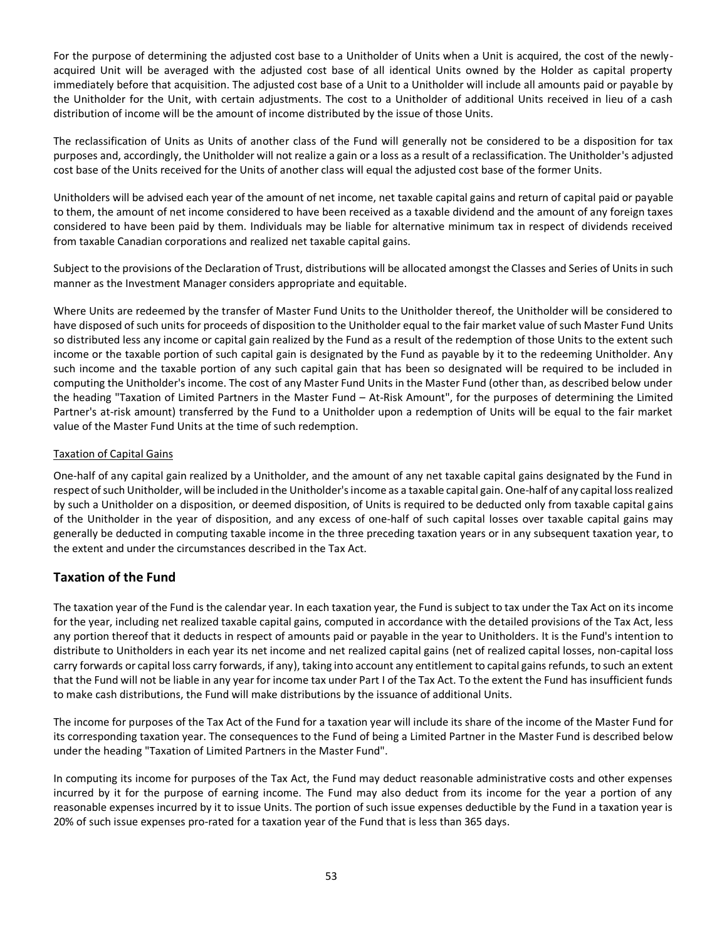For the purpose of determining the adjusted cost base to a Unitholder of Units when a Unit is acquired, the cost of the newlyacquired Unit will be averaged with the adjusted cost base of all identical Units owned by the Holder as capital property immediately before that acquisition. The adjusted cost base of a Unit to a Unitholder will include all amounts paid or payable by the Unitholder for the Unit, with certain adjustments. The cost to a Unitholder of additional Units received in lieu of a cash distribution of income will be the amount of income distributed by the issue of those Units.

The reclassification of Units as Units of another class of the Fund will generally not be considered to be a disposition for tax purposes and, accordingly, the Unitholder will not realize a gain or a loss as a result of a reclassification. The Unitholder's adjusted cost base of the Units received for the Units of another class will equal the adjusted cost base of the former Units.

Unitholders will be advised each year of the amount of net income, net taxable capital gains and return of capital paid or payable to them, the amount of net income considered to have been received as a taxable dividend and the amount of any foreign taxes considered to have been paid by them. Individuals may be liable for alternative minimum tax in respect of dividends received from taxable Canadian corporations and realized net taxable capital gains.

Subject to the provisions of the Declaration of Trust, distributions will be allocated amongst the Classes and Series of Units in such manner as the Investment Manager considers appropriate and equitable.

Where Units are redeemed by the transfer of Master Fund Units to the Unitholder thereof, the Unitholder will be considered to have disposed of such units for proceeds of disposition to the Unitholder equal to the fair market value of such Master Fund Units so distributed less any income or capital gain realized by the Fund as a result of the redemption of those Units to the extent such income or the taxable portion of such capital gain is designated by the Fund as payable by it to the redeeming Unitholder. Any such income and the taxable portion of any such capital gain that has been so designated will be required to be included in computing the Unitholder's income. The cost of any Master Fund Units in the Master Fund (other than, as described below under the heading "Taxation of Limited Partners in the Master Fund – At-Risk Amount", for the purposes of determining the Limited Partner's at-risk amount) transferred by the Fund to a Unitholder upon a redemption of Units will be equal to the fair market value of the Master Fund Units at the time of such redemption.

## Taxation of Capital Gains

One-half of any capital gain realized by a Unitholder, and the amount of any net taxable capital gains designated by the Fund in respect of such Unitholder, will be included in the Unitholder's income as a taxable capital gain. One-half of any capital loss realized by such a Unitholder on a disposition, or deemed disposition, of Units is required to be deducted only from taxable capital gains of the Unitholder in the year of disposition, and any excess of one-half of such capital losses over taxable capital gains may generally be deducted in computing taxable income in the three preceding taxation years or in any subsequent taxation year, to the extent and under the circumstances described in the Tax Act.

# **Taxation of the Fund**

The taxation year of the Fund is the calendar year. In each taxation year, the Fund is subject to tax under the Tax Act on its income for the year, including net realized taxable capital gains, computed in accordance with the detailed provisions of the Tax Act, less any portion thereof that it deducts in respect of amounts paid or payable in the year to Unitholders. It is the Fund's intention to distribute to Unitholders in each year its net income and net realized capital gains (net of realized capital losses, non-capital loss carry forwards or capital loss carry forwards, if any), taking into account any entitlement to capital gains refunds, to such an extent that the Fund will not be liable in any year for income tax under Part I of the Tax Act. To the extent the Fund has insufficient funds to make cash distributions, the Fund will make distributions by the issuance of additional Units.

The income for purposes of the Tax Act of the Fund for a taxation year will include its share of the income of the Master Fund for its corresponding taxation year. The consequences to the Fund of being a Limited Partner in the Master Fund is described below under the heading "Taxation of Limited Partners in the Master Fund".

In computing its income for purposes of the Tax Act, the Fund may deduct reasonable administrative costs and other expenses incurred by it for the purpose of earning income. The Fund may also deduct from its income for the year a portion of any reasonable expenses incurred by it to issue Units. The portion of such issue expenses deductible by the Fund in a taxation year is 20% of such issue expenses pro-rated for a taxation year of the Fund that is less than 365 days.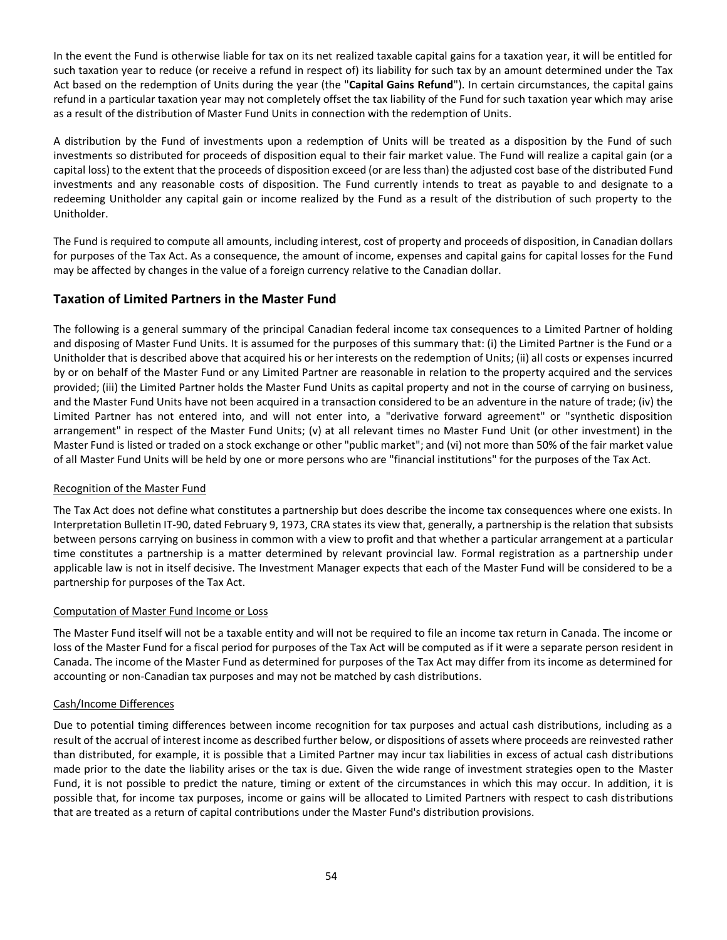In the event the Fund is otherwise liable for tax on its net realized taxable capital gains for a taxation year, it will be entitled for such taxation year to reduce (or receive a refund in respect of) its liability for such tax by an amount determined under the Tax Act based on the redemption of Units during the year (the "**Capital Gains Refund**"). In certain circumstances, the capital gains refund in a particular taxation year may not completely offset the tax liability of the Fund for such taxation year which may arise as a result of the distribution of Master Fund Units in connection with the redemption of Units.

A distribution by the Fund of investments upon a redemption of Units will be treated as a disposition by the Fund of such investments so distributed for proceeds of disposition equal to their fair market value. The Fund will realize a capital gain (or a capital loss) to the extent that the proceeds of disposition exceed (or are less than) the adjusted cost base of the distributed Fund investments and any reasonable costs of disposition. The Fund currently intends to treat as payable to and designate to a redeeming Unitholder any capital gain or income realized by the Fund as a result of the distribution of such property to the Unitholder.

The Fund is required to compute all amounts, including interest, cost of property and proceeds of disposition, in Canadian dollars for purposes of the Tax Act. As a consequence, the amount of income, expenses and capital gains for capital losses for the Fund may be affected by changes in the value of a foreign currency relative to the Canadian dollar.

# **Taxation of Limited Partners in the Master Fund**

The following is a general summary of the principal Canadian federal income tax consequences to a Limited Partner of holding and disposing of Master Fund Units. It is assumed for the purposes of this summary that: (i) the Limited Partner is the Fund or a Unitholder that is described above that acquired his or her interests on the redemption of Units; (ii) all costs or expenses incurred by or on behalf of the Master Fund or any Limited Partner are reasonable in relation to the property acquired and the services provided; (iii) the Limited Partner holds the Master Fund Units as capital property and not in the course of carrying on business, and the Master Fund Units have not been acquired in a transaction considered to be an adventure in the nature of trade; (iv) the Limited Partner has not entered into, and will not enter into, a "derivative forward agreement" or "synthetic disposition arrangement" in respect of the Master Fund Units; (v) at all relevant times no Master Fund Unit (or other investment) in the Master Fund is listed or traded on a stock exchange or other "public market"; and (vi) not more than 50% of the fair market value of all Master Fund Units will be held by one or more persons who are "financial institutions" for the purposes of the Tax Act.

## Recognition of the Master Fund

The Tax Act does not define what constitutes a partnership but does describe the income tax consequences where one exists. In Interpretation Bulletin IT-90, dated February 9, 1973, CRA states its view that, generally, a partnership is the relation that subsists between persons carrying on business in common with a view to profit and that whether a particular arrangement at a particular time constitutes a partnership is a matter determined by relevant provincial law. Formal registration as a partnership under applicable law is not in itself decisive. The Investment Manager expects that each of the Master Fund will be considered to be a partnership for purposes of the Tax Act.

## Computation of Master Fund Income or Loss

The Master Fund itself will not be a taxable entity and will not be required to file an income tax return in Canada. The income or loss of the Master Fund for a fiscal period for purposes of the Tax Act will be computed as if it were a separate person resident in Canada. The income of the Master Fund as determined for purposes of the Tax Act may differ from its income as determined for accounting or non-Canadian tax purposes and may not be matched by cash distributions.

## Cash/Income Differences

Due to potential timing differences between income recognition for tax purposes and actual cash distributions, including as a result of the accrual of interest income as described further below, or dispositions of assets where proceeds are reinvested rather than distributed, for example, it is possible that a Limited Partner may incur tax liabilities in excess of actual cash distributions made prior to the date the liability arises or the tax is due. Given the wide range of investment strategies open to the Master Fund, it is not possible to predict the nature, timing or extent of the circumstances in which this may occur. In addition, it is possible that, for income tax purposes, income or gains will be allocated to Limited Partners with respect to cash distributions that are treated as a return of capital contributions under the Master Fund's distribution provisions.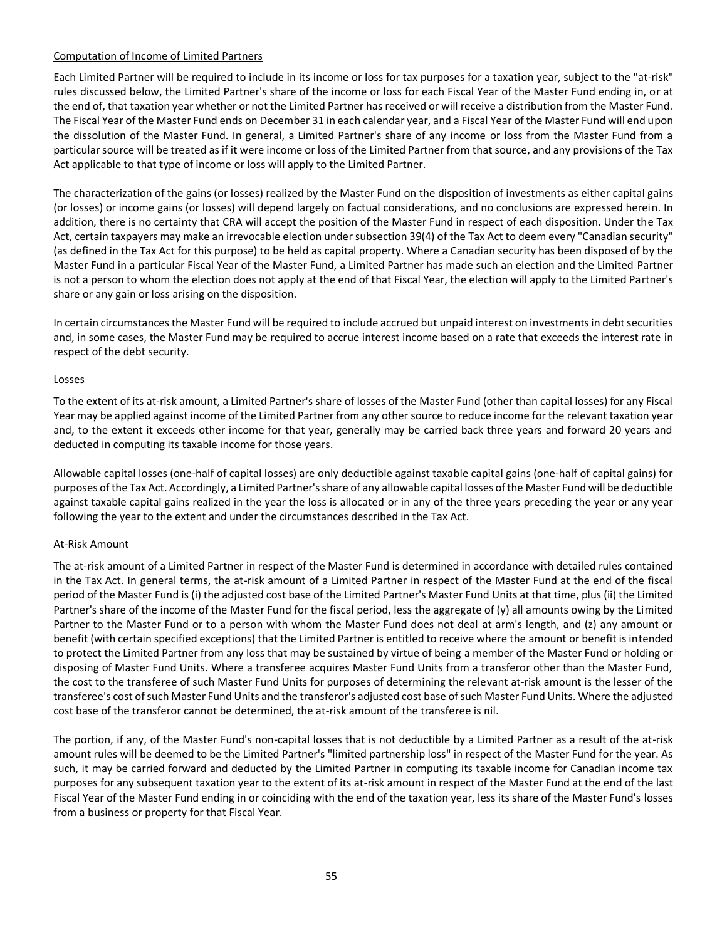# Computation of Income of Limited Partners

Each Limited Partner will be required to include in its income or loss for tax purposes for a taxation year, subject to the "at-risk" rules discussed below, the Limited Partner's share of the income or loss for each Fiscal Year of the Master Fund ending in, or at the end of, that taxation year whether or not the Limited Partner has received or will receive a distribution from the Master Fund. The Fiscal Year of the Master Fund ends on December 31 in each calendar year, and a Fiscal Year of the Master Fund will end upon the dissolution of the Master Fund. In general, a Limited Partner's share of any income or loss from the Master Fund from a particular source will be treated as if it were income or loss of the Limited Partner from that source, and any provisions of the Tax Act applicable to that type of income or loss will apply to the Limited Partner.

The characterization of the gains (or losses) realized by the Master Fund on the disposition of investments as either capital gains (or losses) or income gains (or losses) will depend largely on factual considerations, and no conclusions are expressed herein. In addition, there is no certainty that CRA will accept the position of the Master Fund in respect of each disposition. Under the Tax Act, certain taxpayers may make an irrevocable election under subsection 39(4) of the Tax Act to deem every "Canadian security" (as defined in the Tax Act for this purpose) to be held as capital property. Where a Canadian security has been disposed of by the Master Fund in a particular Fiscal Year of the Master Fund, a Limited Partner has made such an election and the Limited Partner is not a person to whom the election does not apply at the end of that Fiscal Year, the election will apply to the Limited Partner's share or any gain or loss arising on the disposition.

In certain circumstances the Master Fund will be required to include accrued but unpaid interest on investments in debt securities and, in some cases, the Master Fund may be required to accrue interest income based on a rate that exceeds the interest rate in respect of the debt security.

#### Losses

To the extent of its at-risk amount, a Limited Partner's share of losses of the Master Fund (other than capital losses) for any Fiscal Year may be applied against income of the Limited Partner from any other source to reduce income for the relevant taxation year and, to the extent it exceeds other income for that year, generally may be carried back three years and forward 20 years and deducted in computing its taxable income for those years.

Allowable capital losses (one-half of capital losses) are only deductible against taxable capital gains (one-half of capital gains) for purposes of the Tax Act. Accordingly, a Limited Partner's share of any allowable capital losses of the Master Fund will be deductible against taxable capital gains realized in the year the loss is allocated or in any of the three years preceding the year or any year following the year to the extent and under the circumstances described in the Tax Act.

## At-Risk Amount

The at-risk amount of a Limited Partner in respect of the Master Fund is determined in accordance with detailed rules contained in the Tax Act. In general terms, the at-risk amount of a Limited Partner in respect of the Master Fund at the end of the fiscal period of the Master Fund is (i) the adjusted cost base of the Limited Partner's Master Fund Units at that time, plus (ii) the Limited Partner's share of the income of the Master Fund for the fiscal period, less the aggregate of (y) all amounts owing by the Limited Partner to the Master Fund or to a person with whom the Master Fund does not deal at arm's length, and (z) any amount or benefit (with certain specified exceptions) that the Limited Partner is entitled to receive where the amount or benefit is intended to protect the Limited Partner from any loss that may be sustained by virtue of being a member of the Master Fund or holding or disposing of Master Fund Units. Where a transferee acquires Master Fund Units from a transferor other than the Master Fund, the cost to the transferee of such Master Fund Units for purposes of determining the relevant at-risk amount is the lesser of the transferee's cost of such Master Fund Units and the transferor's adjusted cost base of such Master Fund Units. Where the adjusted cost base of the transferor cannot be determined, the at-risk amount of the transferee is nil.

The portion, if any, of the Master Fund's non-capital losses that is not deductible by a Limited Partner as a result of the at-risk amount rules will be deemed to be the Limited Partner's "limited partnership loss" in respect of the Master Fund for the year. As such, it may be carried forward and deducted by the Limited Partner in computing its taxable income for Canadian income tax purposes for any subsequent taxation year to the extent of its at-risk amount in respect of the Master Fund at the end of the last Fiscal Year of the Master Fund ending in or coinciding with the end of the taxation year, less its share of the Master Fund's losses from a business or property for that Fiscal Year.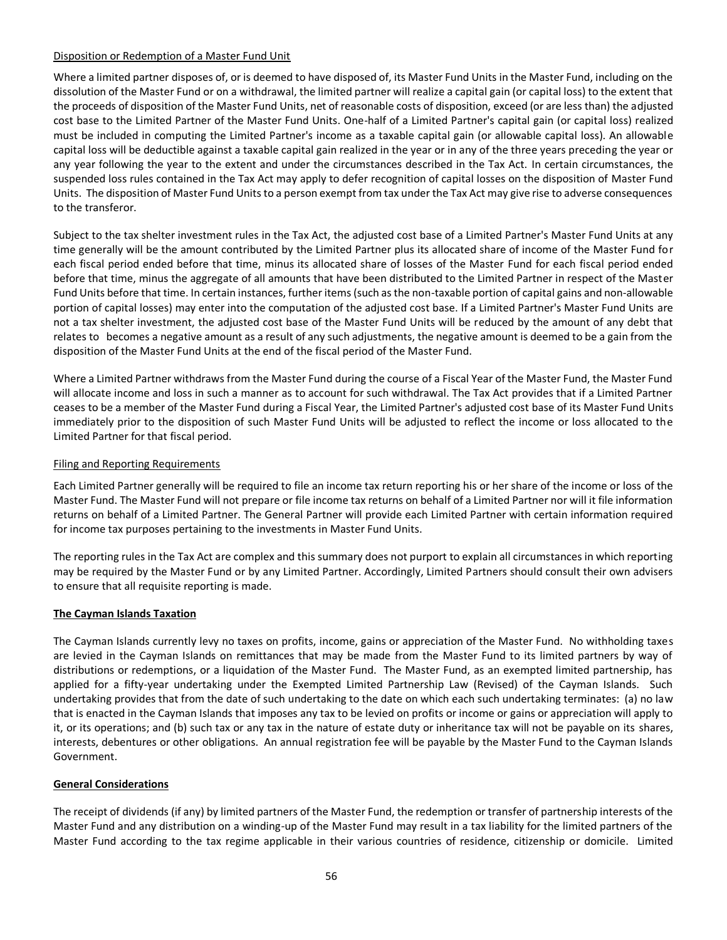# Disposition or Redemption of a Master Fund Unit

Where a limited partner disposes of, or is deemed to have disposed of, its Master Fund Units in the Master Fund, including on the dissolution of the Master Fund or on a withdrawal, the limited partner will realize a capital gain (or capital loss) to the extent that the proceeds of disposition of the Master Fund Units, net of reasonable costs of disposition, exceed (or are less than) the adjusted cost base to the Limited Partner of the Master Fund Units. One-half of a Limited Partner's capital gain (or capital loss) realized must be included in computing the Limited Partner's income as a taxable capital gain (or allowable capital loss). An allowable capital loss will be deductible against a taxable capital gain realized in the year or in any of the three years preceding the year or any year following the year to the extent and under the circumstances described in the Tax Act. In certain circumstances, the suspended loss rules contained in the Tax Act may apply to defer recognition of capital losses on the disposition of Master Fund Units. The disposition of Master Fund Units to a person exempt from tax under the Tax Act may give rise to adverse consequences to the transferor.

Subject to the tax shelter investment rules in the Tax Act, the adjusted cost base of a Limited Partner's Master Fund Units at any time generally will be the amount contributed by the Limited Partner plus its allocated share of income of the Master Fund for each fiscal period ended before that time, minus its allocated share of losses of the Master Fund for each fiscal period ended before that time, minus the aggregate of all amounts that have been distributed to the Limited Partner in respect of the Master Fund Units before that time. In certain instances, further items (such as the non-taxable portion of capital gains and non-allowable portion of capital losses) may enter into the computation of the adjusted cost base. If a Limited Partner's Master Fund Units are not a tax shelter investment, the adjusted cost base of the Master Fund Units will be reduced by the amount of any debt that relates to becomes a negative amount as a result of any such adjustments, the negative amount is deemed to be a gain from the disposition of the Master Fund Units at the end of the fiscal period of the Master Fund.

Where a Limited Partner withdraws from the Master Fund during the course of a Fiscal Year of the Master Fund, the Master Fund will allocate income and loss in such a manner as to account for such withdrawal. The Tax Act provides that if a Limited Partner ceases to be a member of the Master Fund during a Fiscal Year, the Limited Partner's adjusted cost base of its Master Fund Units immediately prior to the disposition of such Master Fund Units will be adjusted to reflect the income or loss allocated to the Limited Partner for that fiscal period.

## Filing and Reporting Requirements

Each Limited Partner generally will be required to file an income tax return reporting his or her share of the income or loss of the Master Fund. The Master Fund will not prepare or file income tax returns on behalf of a Limited Partner nor will it file information returns on behalf of a Limited Partner. The General Partner will provide each Limited Partner with certain information required for income tax purposes pertaining to the investments in Master Fund Units.

The reporting rules in the Tax Act are complex and this summary does not purport to explain all circumstances in which reporting may be required by the Master Fund or by any Limited Partner. Accordingly, Limited Partners should consult their own advisers to ensure that all requisite reporting is made.

## **The Cayman Islands Taxation**

The Cayman Islands currently levy no taxes on profits, income, gains or appreciation of the Master Fund. No withholding taxes are levied in the Cayman Islands on remittances that may be made from the Master Fund to its limited partners by way of distributions or redemptions, or a liquidation of the Master Fund. The Master Fund, as an exempted limited partnership, has applied for a fifty-year undertaking under the Exempted Limited Partnership Law (Revised) of the Cayman Islands. Such undertaking provides that from the date of such undertaking to the date on which each such undertaking terminates: (a) no law that is enacted in the Cayman Islands that imposes any tax to be levied on profits or income or gains or appreciation will apply to it, or its operations; and (b) such tax or any tax in the nature of estate duty or inheritance tax will not be payable on its shares, interests, debentures or other obligations. An annual registration fee will be payable by the Master Fund to the Cayman Islands Government.

## **General Considerations**

The receipt of dividends (if any) by limited partners of the Master Fund, the redemption or transfer of partnership interests of the Master Fund and any distribution on a winding-up of the Master Fund may result in a tax liability for the limited partners of the Master Fund according to the tax regime applicable in their various countries of residence, citizenship or domicile. Limited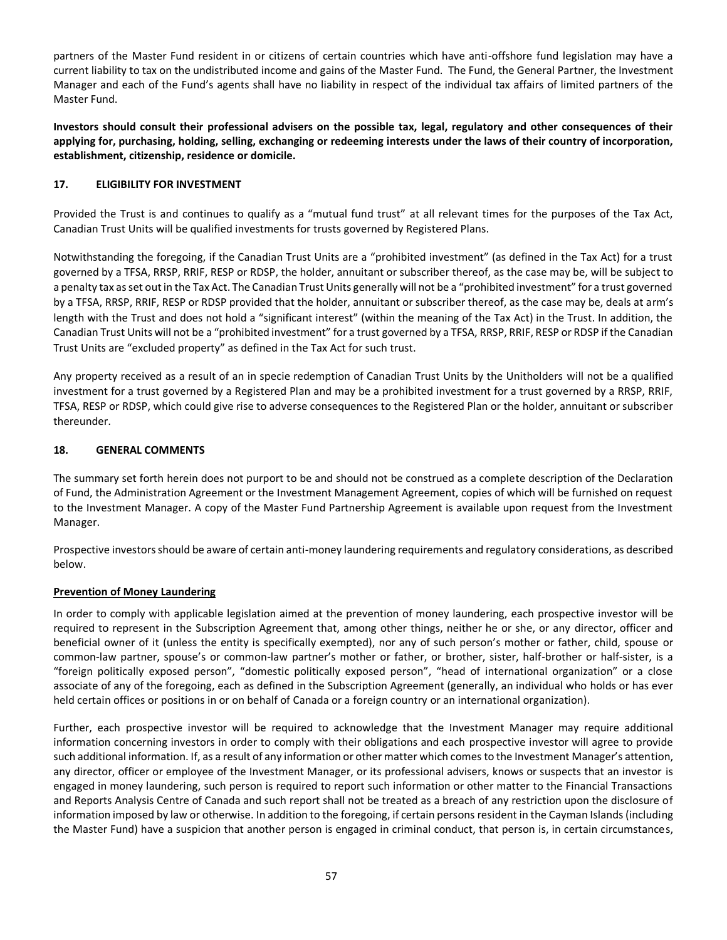partners of the Master Fund resident in or citizens of certain countries which have anti-offshore fund legislation may have a current liability to tax on the undistributed income and gains of the Master Fund. The Fund, the General Partner, the Investment Manager and each of the Fund's agents shall have no liability in respect of the individual tax affairs of limited partners of the Master Fund.

**Investors should consult their professional advisers on the possible tax, legal, regulatory and other consequences of their applying for, purchasing, holding, selling, exchanging or redeeming interests under the laws of their country of incorporation, establishment, citizenship, residence or domicile.**

# <span id="page-56-0"></span>**17. ELIGIBILITY FOR INVESTMENT**

Provided the Trust is and continues to qualify as a "mutual fund trust" at all relevant times for the purposes of the Tax Act, Canadian Trust Units will be qualified investments for trusts governed by Registered Plans.

Notwithstanding the foregoing, if the Canadian Trust Units are a "prohibited investment" (as defined in the Tax Act) for a trust governed by a TFSA, RRSP, RRIF, RESP or RDSP, the holder, annuitant or subscriber thereof, as the case may be, will be subject to a penalty tax as set out in the Tax Act. The Canadian Trust Units generally will not be a "prohibited investment" for a trust governed by a TFSA, RRSP, RRIF, RESP or RDSP provided that the holder, annuitant or subscriber thereof, as the case may be, deals at arm's length with the Trust and does not hold a "significant interest" (within the meaning of the Tax Act) in the Trust. In addition, the Canadian Trust Units will not be a "prohibited investment" for a trust governed by a TFSA, RRSP, RRIF, RESP or RDSP if the Canadian Trust Units are "excluded property" as defined in the Tax Act for such trust.

Any property received as a result of an in specie redemption of Canadian Trust Units by the Unitholders will not be a qualified investment for a trust governed by a Registered Plan and may be a prohibited investment for a trust governed by a RRSP, RRIF, TFSA, RESP or RDSP, which could give rise to adverse consequences to the Registered Plan or the holder, annuitant or subscriber thereunder.

# <span id="page-56-1"></span>**18. GENERAL COMMENTS**

The summary set forth herein does not purport to be and should not be construed as a complete description of the Declaration of Fund, the Administration Agreement or the Investment Management Agreement, copies of which will be furnished on request to the Investment Manager. A copy of the Master Fund Partnership Agreement is available upon request from the Investment Manager.

Prospective investors should be aware of certain anti-money laundering requirements and regulatory considerations, as described below.

## **Prevention of Money Laundering**

In order to comply with applicable legislation aimed at the prevention of money laundering, each prospective investor will be required to represent in the Subscription Agreement that, among other things, neither he or she, or any director, officer and beneficial owner of it (unless the entity is specifically exempted), nor any of such person's mother or father, child, spouse or common-law partner, spouse's or common-law partner's mother or father, or brother, sister, half-brother or half-sister, is a "foreign politically exposed person", "domestic politically exposed person", "head of international organization" or a close associate of any of the foregoing, each as defined in the Subscription Agreement (generally, an individual who holds or has ever held certain offices or positions in or on behalf of Canada or a foreign country or an international organization).

Further, each prospective investor will be required to acknowledge that the Investment Manager may require additional information concerning investors in order to comply with their obligations and each prospective investor will agree to provide such additional information. If, as a result of any information or other matter which comes to the Investment Manager's attention, any director, officer or employee of the Investment Manager, or its professional advisers, knows or suspects that an investor is engaged in money laundering, such person is required to report such information or other matter to the Financial Transactions and Reports Analysis Centre of Canada and such report shall not be treated as a breach of any restriction upon the disclosure of information imposed by law or otherwise. In addition to the foregoing, if certain persons resident in the Cayman Islands (including the Master Fund) have a suspicion that another person is engaged in criminal conduct, that person is, in certain circumstances,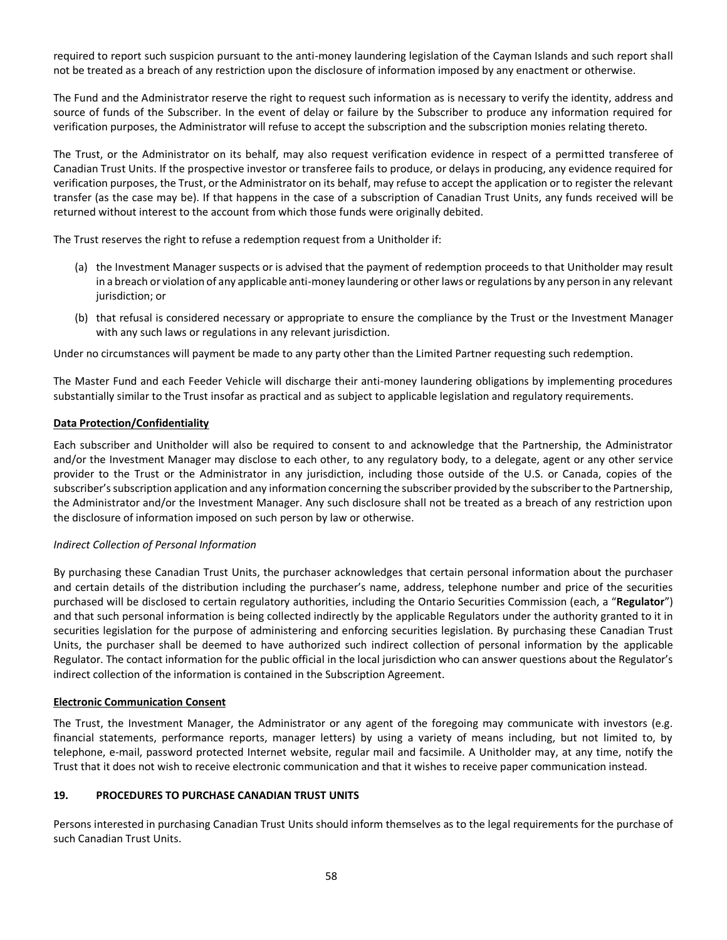required to report such suspicion pursuant to the anti-money laundering legislation of the Cayman Islands and such report shall not be treated as a breach of any restriction upon the disclosure of information imposed by any enactment or otherwise.

The Fund and the Administrator reserve the right to request such information as is necessary to verify the identity, address and source of funds of the Subscriber. In the event of delay or failure by the Subscriber to produce any information required for verification purposes, the Administrator will refuse to accept the subscription and the subscription monies relating thereto.

The Trust, or the Administrator on its behalf, may also request verification evidence in respect of a permitted transferee of Canadian Trust Units. If the prospective investor or transferee fails to produce, or delays in producing, any evidence required for verification purposes, the Trust, or the Administrator on its behalf, may refuse to accept the application or to register the relevant transfer (as the case may be). If that happens in the case of a subscription of Canadian Trust Units, any funds received will be returned without interest to the account from which those funds were originally debited.

The Trust reserves the right to refuse a redemption request from a Unitholder if:

- (a) the Investment Manager suspects or is advised that the payment of redemption proceeds to that Unitholder may result in a breach or violation of any applicable anti-money laundering or other laws or regulations by any person in any relevant jurisdiction; or
- (b) that refusal is considered necessary or appropriate to ensure the compliance by the Trust or the Investment Manager with any such laws or regulations in any relevant jurisdiction.

Under no circumstances will payment be made to any party other than the Limited Partner requesting such redemption.

The Master Fund and each Feeder Vehicle will discharge their anti-money laundering obligations by implementing procedures substantially similar to the Trust insofar as practical and as subject to applicable legislation and regulatory requirements.

#### **Data Protection/Confidentiality**

Each subscriber and Unitholder will also be required to consent to and acknowledge that the Partnership, the Administrator and/or the Investment Manager may disclose to each other, to any regulatory body, to a delegate, agent or any other service provider to the Trust or the Administrator in any jurisdiction, including those outside of the U.S. or Canada, copies of the subscriber's subscription application and any information concerning the subscriber provided by the subscriber to the Partnership, the Administrator and/or the Investment Manager. Any such disclosure shall not be treated as a breach of any restriction upon the disclosure of information imposed on such person by law or otherwise.

## *Indirect Collection of Personal Information*

By purchasing these Canadian Trust Units, the purchaser acknowledges that certain personal information about the purchaser and certain details of the distribution including the purchaser's name, address, telephone number and price of the securities purchased will be disclosed to certain regulatory authorities, including the Ontario Securities Commission (each, a "**Regulator**") and that such personal information is being collected indirectly by the applicable Regulators under the authority granted to it in securities legislation for the purpose of administering and enforcing securities legislation. By purchasing these Canadian Trust Units, the purchaser shall be deemed to have authorized such indirect collection of personal information by the applicable Regulator. The contact information for the public official in the local jurisdiction who can answer questions about the Regulator's indirect collection of the information is contained in the Subscription Agreement.

## **Electronic Communication Consent**

The Trust, the Investment Manager, the Administrator or any agent of the foregoing may communicate with investors (e.g. financial statements, performance reports, manager letters) by using a variety of means including, but not limited to, by telephone, e-mail, password protected Internet website, regular mail and facsimile. A Unitholder may, at any time, notify the Trust that it does not wish to receive electronic communication and that it wishes to receive paper communication instead.

## <span id="page-57-0"></span>**19. PROCEDURES TO PURCHASE CANADIAN TRUST UNITS**

Persons interested in purchasing Canadian Trust Units should inform themselves as to the legal requirements for the purchase of such Canadian Trust Units.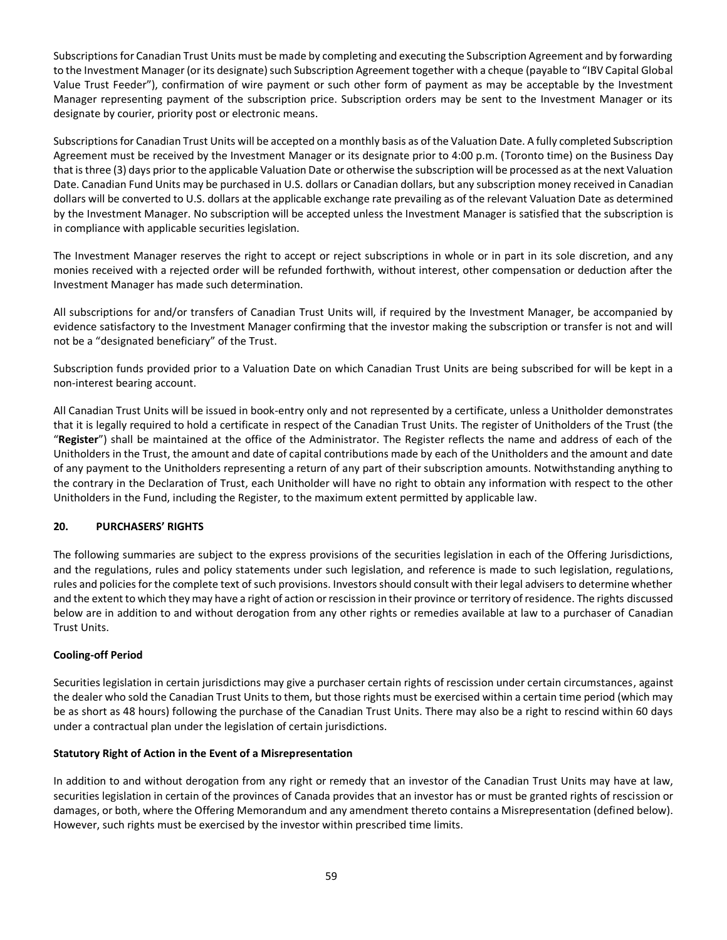Subscriptions for Canadian Trust Units must be made by completing and executing the Subscription Agreement and by forwarding to the Investment Manager (or its designate) such Subscription Agreement together with a cheque (payable to "IBV Capital Global Value Trust Feeder"), confirmation of wire payment or such other form of payment as may be acceptable by the Investment Manager representing payment of the subscription price. Subscription orders may be sent to the Investment Manager or its designate by courier, priority post or electronic means.

Subscriptions for Canadian Trust Units will be accepted on a monthly basis as of the Valuation Date. A fully completed Subscription Agreement must be received by the Investment Manager or its designate prior to 4:00 p.m. (Toronto time) on the Business Day that is three (3) days prior to the applicable Valuation Date or otherwise the subscription will be processed as at the next Valuation Date. Canadian Fund Units may be purchased in U.S. dollars or Canadian dollars, but any subscription money received in Canadian dollars will be converted to U.S. dollars at the applicable exchange rate prevailing as of the relevant Valuation Date as determined by the Investment Manager. No subscription will be accepted unless the Investment Manager is satisfied that the subscription is in compliance with applicable securities legislation.

The Investment Manager reserves the right to accept or reject subscriptions in whole or in part in its sole discretion, and any monies received with a rejected order will be refunded forthwith, without interest, other compensation or deduction after the Investment Manager has made such determination.

All subscriptions for and/or transfers of Canadian Trust Units will, if required by the Investment Manager, be accompanied by evidence satisfactory to the Investment Manager confirming that the investor making the subscription or transfer is not and will not be a "designated beneficiary" of the Trust.

Subscription funds provided prior to a Valuation Date on which Canadian Trust Units are being subscribed for will be kept in a non-interest bearing account.

All Canadian Trust Units will be issued in book-entry only and not represented by a certificate, unless a Unitholder demonstrates that it is legally required to hold a certificate in respect of the Canadian Trust Units. The register of Unitholders of the Trust (the "**Register**") shall be maintained at the office of the Administrator. The Register reflects the name and address of each of the Unitholders in the Trust, the amount and date of capital contributions made by each of the Unitholders and the amount and date of any payment to the Unitholders representing a return of any part of their subscription amounts. Notwithstanding anything to the contrary in the Declaration of Trust, each Unitholder will have no right to obtain any information with respect to the other Unitholders in the Fund, including the Register, to the maximum extent permitted by applicable law.

# <span id="page-58-0"></span>**20. PURCHASERS' RIGHTS**

The following summaries are subject to the express provisions of the securities legislation in each of the Offering Jurisdictions, and the regulations, rules and policy statements under such legislation, and reference is made to such legislation, regulations, rules and policies for the complete text of such provisions. Investors should consult with their legal advisers to determine whether and the extent to which they may have a right of action or rescission in their province or territory of residence. The rights discussed below are in addition to and without derogation from any other rights or remedies available at law to a purchaser of Canadian Trust Units.

## **Cooling-off Period**

Securities legislation in certain jurisdictions may give a purchaser certain rights of rescission under certain circumstances, against the dealer who sold the Canadian Trust Units to them, but those rights must be exercised within a certain time period (which may be as short as 48 hours) following the purchase of the Canadian Trust Units. There may also be a right to rescind within 60 days under a contractual plan under the legislation of certain jurisdictions.

## **Statutory Right of Action in the Event of a Misrepresentation**

In addition to and without derogation from any right or remedy that an investor of the Canadian Trust Units may have at law, securities legislation in certain of the provinces of Canada provides that an investor has or must be granted rights of rescission or damages, or both, where the Offering Memorandum and any amendment thereto contains a Misrepresentation (defined below). However, such rights must be exercised by the investor within prescribed time limits.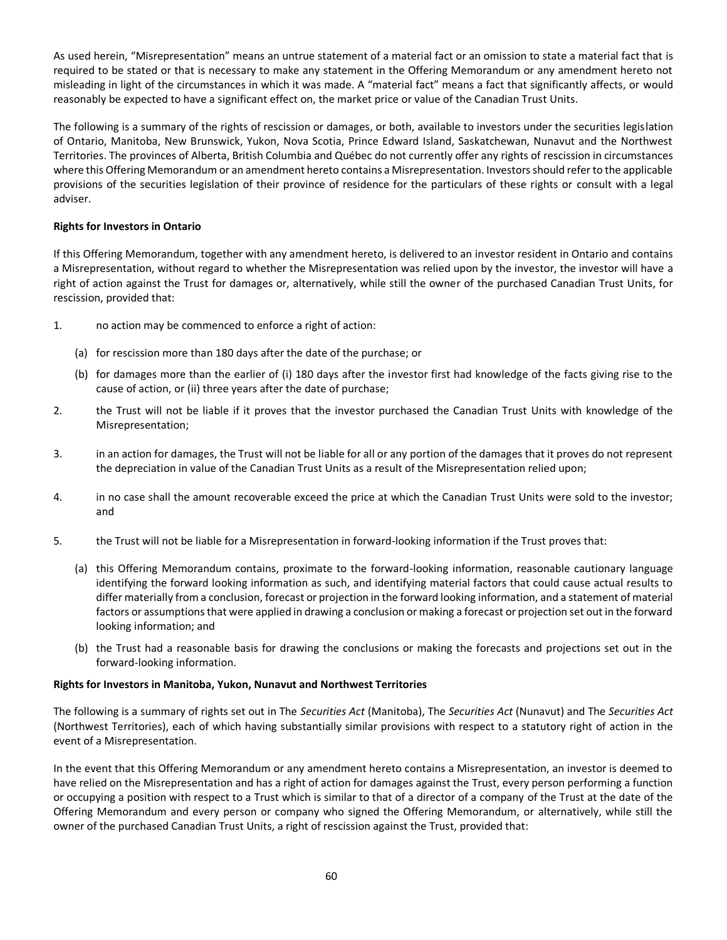As used herein, "Misrepresentation" means an untrue statement of a material fact or an omission to state a material fact that is required to be stated or that is necessary to make any statement in the Offering Memorandum or any amendment hereto not misleading in light of the circumstances in which it was made. A "material fact" means a fact that significantly affects, or would reasonably be expected to have a significant effect on, the market price or value of the Canadian Trust Units.

The following is a summary of the rights of rescission or damages, or both, available to investors under the securities legislation of Ontario, Manitoba, New Brunswick, Yukon, Nova Scotia, Prince Edward Island, Saskatchewan, Nunavut and the Northwest Territories. The provinces of Alberta, British Columbia and Québec do not currently offer any rights of rescission in circumstances where this Offering Memorandum or an amendment hereto contains a Misrepresentation. Investors should refer to the applicable provisions of the securities legislation of their province of residence for the particulars of these rights or consult with a legal adviser.

## **Rights for Investors in Ontario**

If this Offering Memorandum, together with any amendment hereto, is delivered to an investor resident in Ontario and contains a Misrepresentation, without regard to whether the Misrepresentation was relied upon by the investor, the investor will have a right of action against the Trust for damages or, alternatively, while still the owner of the purchased Canadian Trust Units, for rescission, provided that:

- 1. no action may be commenced to enforce a right of action:
	- (a) for rescission more than 180 days after the date of the purchase; or
	- (b) for damages more than the earlier of (i) 180 days after the investor first had knowledge of the facts giving rise to the cause of action, or (ii) three years after the date of purchase;
- 2. the Trust will not be liable if it proves that the investor purchased the Canadian Trust Units with knowledge of the Misrepresentation;
- 3. in an action for damages, the Trust will not be liable for all or any portion of the damages that it proves do not represent the depreciation in value of the Canadian Trust Units as a result of the Misrepresentation relied upon;
- 4. in no case shall the amount recoverable exceed the price at which the Canadian Trust Units were sold to the investor; and
- 5. the Trust will not be liable for a Misrepresentation in forward-looking information if the Trust proves that:
	- (a) this Offering Memorandum contains, proximate to the forward-looking information, reasonable cautionary language identifying the forward looking information as such, and identifying material factors that could cause actual results to differ materially from a conclusion, forecast or projection in the forward looking information, and a statement of material factors or assumptions that were applied in drawing a conclusion or making a forecast or projection set out in the forward looking information; and
	- (b) the Trust had a reasonable basis for drawing the conclusions or making the forecasts and projections set out in the forward-looking information.

## **Rights for Investors in Manitoba, Yukon, Nunavut and Northwest Territories**

The following is a summary of rights set out in The *Securities Act* (Manitoba), The *Securities Act* (Nunavut) and The *Securities Act* (Northwest Territories), each of which having substantially similar provisions with respect to a statutory right of action in the event of a Misrepresentation.

In the event that this Offering Memorandum or any amendment hereto contains a Misrepresentation, an investor is deemed to have relied on the Misrepresentation and has a right of action for damages against the Trust, every person performing a function or occupying a position with respect to a Trust which is similar to that of a director of a company of the Trust at the date of the Offering Memorandum and every person or company who signed the Offering Memorandum, or alternatively, while still the owner of the purchased Canadian Trust Units, a right of rescission against the Trust, provided that: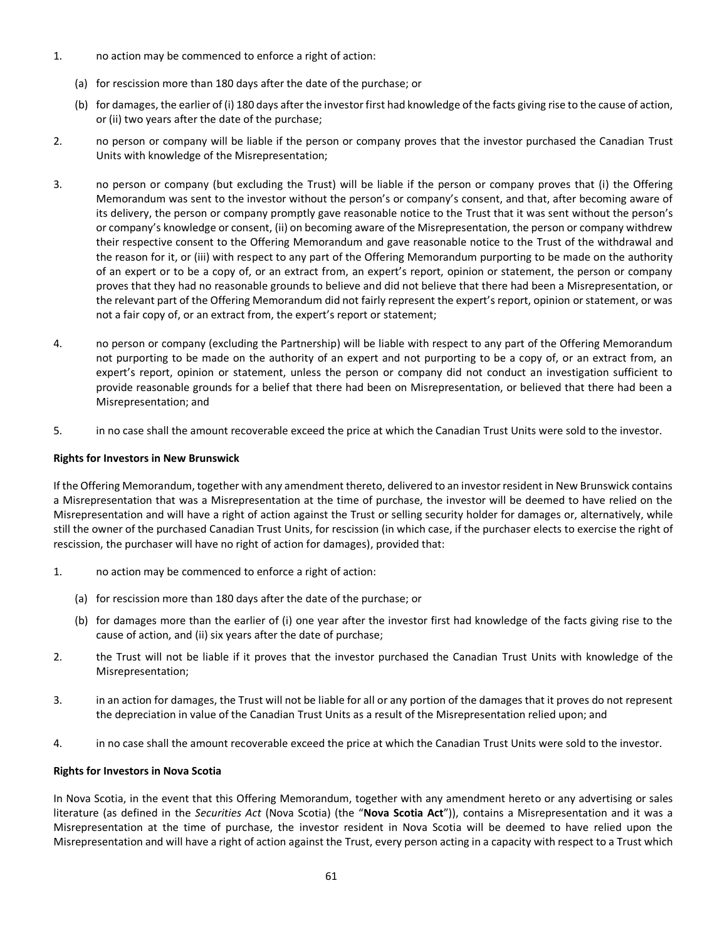- 1. no action may be commenced to enforce a right of action:
	- (a) for rescission more than 180 days after the date of the purchase; or
	- (b) for damages, the earlier of (i) 180 days after the investor first had knowledge of the facts giving rise to the cause of action, or (ii) two years after the date of the purchase;
- 2. no person or company will be liable if the person or company proves that the investor purchased the Canadian Trust Units with knowledge of the Misrepresentation;
- 3. no person or company (but excluding the Trust) will be liable if the person or company proves that (i) the Offering Memorandum was sent to the investor without the person's or company's consent, and that, after becoming aware of its delivery, the person or company promptly gave reasonable notice to the Trust that it was sent without the person's or company's knowledge or consent, (ii) on becoming aware of the Misrepresentation, the person or company withdrew their respective consent to the Offering Memorandum and gave reasonable notice to the Trust of the withdrawal and the reason for it, or (iii) with respect to any part of the Offering Memorandum purporting to be made on the authority of an expert or to be a copy of, or an extract from, an expert's report, opinion or statement, the person or company proves that they had no reasonable grounds to believe and did not believe that there had been a Misrepresentation, or the relevant part of the Offering Memorandum did not fairly represent the expert's report, opinion or statement, or was not a fair copy of, or an extract from, the expert's report or statement;
- 4. no person or company (excluding the Partnership) will be liable with respect to any part of the Offering Memorandum not purporting to be made on the authority of an expert and not purporting to be a copy of, or an extract from, an expert's report, opinion or statement, unless the person or company did not conduct an investigation sufficient to provide reasonable grounds for a belief that there had been on Misrepresentation, or believed that there had been a Misrepresentation; and
- 5. in no case shall the amount recoverable exceed the price at which the Canadian Trust Units were sold to the investor.

# **Rights for Investors in New Brunswick**

If the Offering Memorandum, together with any amendment thereto, delivered to an investor resident in New Brunswick contains a Misrepresentation that was a Misrepresentation at the time of purchase, the investor will be deemed to have relied on the Misrepresentation and will have a right of action against the Trust or selling security holder for damages or, alternatively, while still the owner of the purchased Canadian Trust Units, for rescission (in which case, if the purchaser elects to exercise the right of rescission, the purchaser will have no right of action for damages), provided that:

- 1. no action may be commenced to enforce a right of action:
	- (a) for rescission more than 180 days after the date of the purchase; or
	- (b) for damages more than the earlier of (i) one year after the investor first had knowledge of the facts giving rise to the cause of action, and (ii) six years after the date of purchase;
- 2. the Trust will not be liable if it proves that the investor purchased the Canadian Trust Units with knowledge of the Misrepresentation;
- 3. in an action for damages, the Trust will not be liable for all or any portion of the damages that it proves do not represent the depreciation in value of the Canadian Trust Units as a result of the Misrepresentation relied upon; and
- 4. in no case shall the amount recoverable exceed the price at which the Canadian Trust Units were sold to the investor.

## **Rights for Investors in Nova Scotia**

In Nova Scotia, in the event that this Offering Memorandum, together with any amendment hereto or any advertising or sales literature (as defined in the *Securities Act* (Nova Scotia) (the "**Nova Scotia Act**")), contains a Misrepresentation and it was a Misrepresentation at the time of purchase, the investor resident in Nova Scotia will be deemed to have relied upon the Misrepresentation and will have a right of action against the Trust, every person acting in a capacity with respect to a Trust which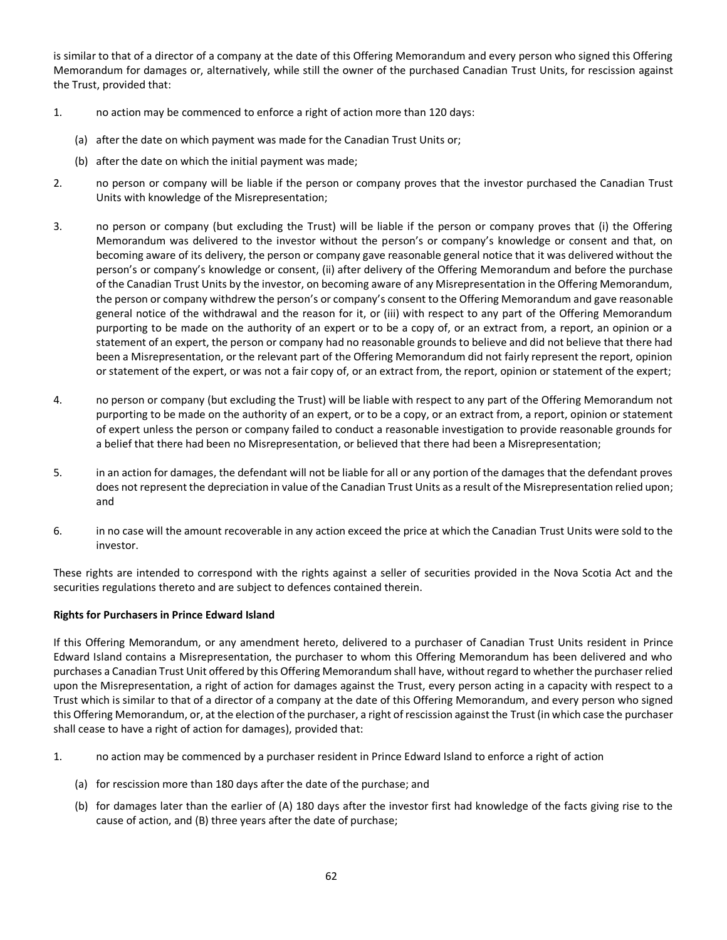is similar to that of a director of a company at the date of this Offering Memorandum and every person who signed this Offering Memorandum for damages or, alternatively, while still the owner of the purchased Canadian Trust Units, for rescission against the Trust, provided that:

- 1. no action may be commenced to enforce a right of action more than 120 days:
	- (a) after the date on which payment was made for the Canadian Trust Units or;
	- (b) after the date on which the initial payment was made;
- 2. no person or company will be liable if the person or company proves that the investor purchased the Canadian Trust Units with knowledge of the Misrepresentation;
- 3. no person or company (but excluding the Trust) will be liable if the person or company proves that (i) the Offering Memorandum was delivered to the investor without the person's or company's knowledge or consent and that, on becoming aware of its delivery, the person or company gave reasonable general notice that it was delivered without the person's or company's knowledge or consent, (ii) after delivery of the Offering Memorandum and before the purchase of the Canadian Trust Units by the investor, on becoming aware of any Misrepresentation in the Offering Memorandum, the person or company withdrew the person's or company's consent to the Offering Memorandum and gave reasonable general notice of the withdrawal and the reason for it, or (iii) with respect to any part of the Offering Memorandum purporting to be made on the authority of an expert or to be a copy of, or an extract from, a report, an opinion or a statement of an expert, the person or company had no reasonable grounds to believe and did not believe that there had been a Misrepresentation, or the relevant part of the Offering Memorandum did not fairly represent the report, opinion or statement of the expert, or was not a fair copy of, or an extract from, the report, opinion or statement of the expert;
- 4. no person or company (but excluding the Trust) will be liable with respect to any part of the Offering Memorandum not purporting to be made on the authority of an expert, or to be a copy, or an extract from, a report, opinion or statement of expert unless the person or company failed to conduct a reasonable investigation to provide reasonable grounds for a belief that there had been no Misrepresentation, or believed that there had been a Misrepresentation;
- 5. in an action for damages, the defendant will not be liable for all or any portion of the damages that the defendant proves does not represent the depreciation in value of the Canadian Trust Units as a result of the Misrepresentation relied upon; and
- 6. in no case will the amount recoverable in any action exceed the price at which the Canadian Trust Units were sold to the investor.

These rights are intended to correspond with the rights against a seller of securities provided in the Nova Scotia Act and the securities regulations thereto and are subject to defences contained therein.

#### **Rights for Purchasers in Prince Edward Island**

If this Offering Memorandum, or any amendment hereto, delivered to a purchaser of Canadian Trust Units resident in Prince Edward Island contains a Misrepresentation, the purchaser to whom this Offering Memorandum has been delivered and who purchases a Canadian Trust Unit offered by this Offering Memorandum shall have, without regard to whether the purchaser relied upon the Misrepresentation, a right of action for damages against the Trust, every person acting in a capacity with respect to a Trust which is similar to that of a director of a company at the date of this Offering Memorandum, and every person who signed this Offering Memorandum, or, at the election of the purchaser, a right of rescission against the Trust (in which case the purchaser shall cease to have a right of action for damages), provided that:

- 1. no action may be commenced by a purchaser resident in Prince Edward Island to enforce a right of action
	- (a) for rescission more than 180 days after the date of the purchase; and
	- (b) for damages later than the earlier of (A) 180 days after the investor first had knowledge of the facts giving rise to the cause of action, and (B) three years after the date of purchase;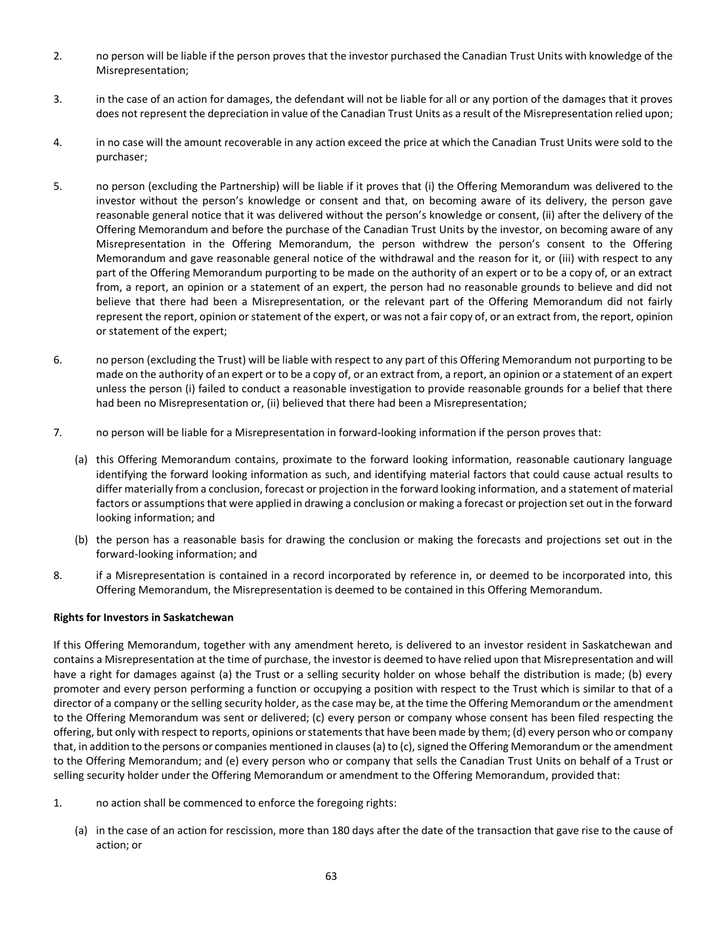- 2. no person will be liable if the person proves that the investor purchased the Canadian Trust Units with knowledge of the Misrepresentation;
- 3. in the case of an action for damages, the defendant will not be liable for all or any portion of the damages that it proves does not represent the depreciation in value of the Canadian Trust Units as a result of the Misrepresentation relied upon;
- 4. in no case will the amount recoverable in any action exceed the price at which the Canadian Trust Units were sold to the purchaser;
- 5. no person (excluding the Partnership) will be liable if it proves that (i) the Offering Memorandum was delivered to the investor without the person's knowledge or consent and that, on becoming aware of its delivery, the person gave reasonable general notice that it was delivered without the person's knowledge or consent, (ii) after the delivery of the Offering Memorandum and before the purchase of the Canadian Trust Units by the investor, on becoming aware of any Misrepresentation in the Offering Memorandum, the person withdrew the person's consent to the Offering Memorandum and gave reasonable general notice of the withdrawal and the reason for it, or (iii) with respect to any part of the Offering Memorandum purporting to be made on the authority of an expert or to be a copy of, or an extract from, a report, an opinion or a statement of an expert, the person had no reasonable grounds to believe and did not believe that there had been a Misrepresentation, or the relevant part of the Offering Memorandum did not fairly represent the report, opinion or statement of the expert, or was not a fair copy of, or an extract from, the report, opinion or statement of the expert;
- 6. no person (excluding the Trust) will be liable with respect to any part of this Offering Memorandum not purporting to be made on the authority of an expert or to be a copy of, or an extract from, a report, an opinion or a statement of an expert unless the person (i) failed to conduct a reasonable investigation to provide reasonable grounds for a belief that there had been no Misrepresentation or, (ii) believed that there had been a Misrepresentation;
- 7. no person will be liable for a Misrepresentation in forward-looking information if the person proves that:
	- (a) this Offering Memorandum contains, proximate to the forward looking information, reasonable cautionary language identifying the forward looking information as such, and identifying material factors that could cause actual results to differ materially from a conclusion, forecast or projection in the forward looking information, and a statement of material factors or assumptions that were applied in drawing a conclusion or making a forecast or projection set out in the forward looking information; and
	- (b) the person has a reasonable basis for drawing the conclusion or making the forecasts and projections set out in the forward-looking information; and
- 8. if a Misrepresentation is contained in a record incorporated by reference in, or deemed to be incorporated into, this Offering Memorandum, the Misrepresentation is deemed to be contained in this Offering Memorandum.

## **Rights for Investors in Saskatchewan**

If this Offering Memorandum, together with any amendment hereto, is delivered to an investor resident in Saskatchewan and contains a Misrepresentation at the time of purchase, the investor is deemed to have relied upon that Misrepresentation and will have a right for damages against (a) the Trust or a selling security holder on whose behalf the distribution is made; (b) every promoter and every person performing a function or occupying a position with respect to the Trust which is similar to that of a director of a company or the selling security holder, as the case may be, at the time the Offering Memorandum or the amendment to the Offering Memorandum was sent or delivered; (c) every person or company whose consent has been filed respecting the offering, but only with respect to reports, opinions or statements that have been made by them; (d) every person who or company that, in addition to the persons or companies mentioned in clauses (a) to (c), signed the Offering Memorandum or the amendment to the Offering Memorandum; and (e) every person who or company that sells the Canadian Trust Units on behalf of a Trust or selling security holder under the Offering Memorandum or amendment to the Offering Memorandum, provided that:

- 1. no action shall be commenced to enforce the foregoing rights:
	- (a) in the case of an action for rescission, more than 180 days after the date of the transaction that gave rise to the cause of action; or